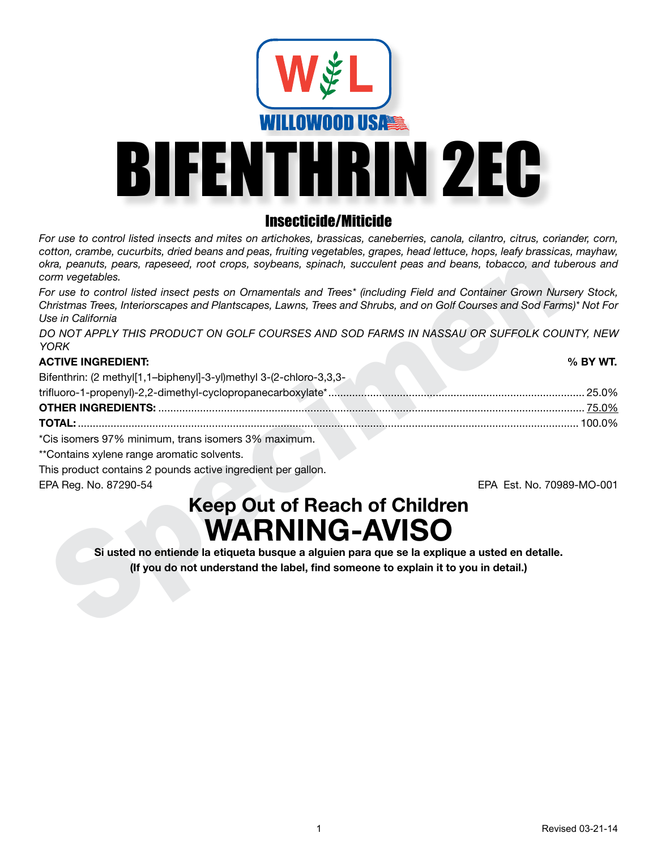

# Insecticide/Miticide

*For use to control listed insects and mites on artichokes, brassicas, caneberries, canola, cilantro, citrus, coriander, corn, cotton, crambe, cucurbits, dried beans and peas, fruiting vegetables, grapes, head lettuce, hops, leafy brassicas, mayhaw, okra, peanuts, pears, rapeseed, root crops, soybeans, spinach, succulent peas and beans, tobacco, and tuberous and corm vegetables.*

*For use to control listed insect pests on Ornamentals and Trees\* (including Field and Container Grown Nursery Stock, Christmas Trees, Interiorscapes and Plantscapes, Lawns, Trees and Shrubs, and on Golf Courses and Sod Farms)\* Not For Use in California*

*DO NOT APPLY THIS PRODUCT ON GOLF COURSES AND SOD FARMS IN NASSAU OR SUFFOLK COUNTY, NEW YORK*

| <b>ACTIVE INGREDIENT:</b> |  | % BY WT. |
|---------------------------|--|----------|
|---------------------------|--|----------|

EPA Feat. No. 7096<br>
Share peanuls, pears, repessed, root crops, soybeans, spinch, succulent peas and beans, tobacco, and tub<br>
orm regetables.<br>
Or use to control listed insect pests on Ornamentals and Trees' (including Fiel Bifenthrin: (2 methyl[1,1–biphenyl]-3-yl)methyl 3-(2-chloro-3,3,3 trifluoro-1-propenyl)-2,2-dimethyl-cyclopropanecarboxylate\*...................................................................................... 25.0% **OTHER INGREDIENTS:** ............................................................................................................................................... 75.0% **TOTAL:** ........................................................................................................................................................................ 100.0% \*Cis isomers 97% minimum, trans isomers 3% maximum.

\*\*Contains xylene range aromatic solvents.

This product contains 2 pounds active ingredient per gallon.

EPA Reg. No. 87290-54 EPA Est. No. 70989-MO-001

# **Keep Out of Reach of Children WARNING-AVISO**

**Si usted no entiende la etiqueta busque a alguien para que se la explique a usted en detalle. (If you do not understand the label, find someone to explain it to you in detail.)**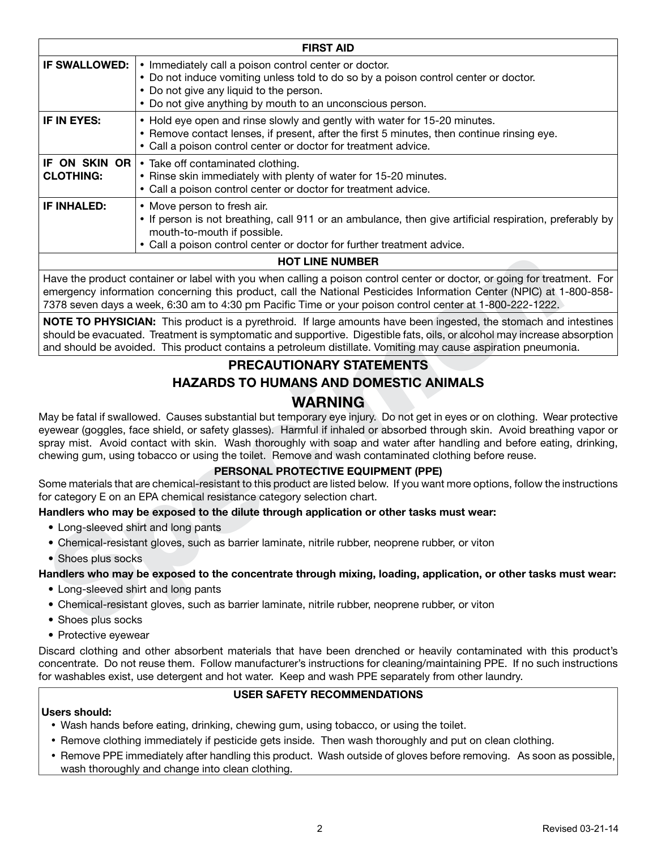|                                   | <b>FIRST AID</b>                                                                                                                                                                                                                                     |
|-----------------------------------|------------------------------------------------------------------------------------------------------------------------------------------------------------------------------------------------------------------------------------------------------|
| <b>IF SWALLOWED:</b>              | • Immediately call a poison control center or doctor.<br>• Do not induce vomiting unless told to do so by a poison control center or doctor.<br>• Do not give any liquid to the person.<br>• Do not give anything by mouth to an unconscious person. |
| IF IN EYES:                       | • Hold eye open and rinse slowly and gently with water for 15-20 minutes.<br>• Remove contact lenses, if present, after the first 5 minutes, then continue rinsing eye.<br>• Call a poison control center or doctor for treatment advice.            |
| IF ON SKIN OR<br><b>CLOTHING:</b> | • Take off contaminated clothing.<br>• Rinse skin immediately with plenty of water for 15-20 minutes.<br>• Call a poison control center or doctor for treatment advice.                                                                              |
| <b>IF INHALED:</b>                | • Move person to fresh air.<br>• If person is not breathing, call 911 or an ambulance, then give artificial respiration, preferably by<br>mouth-to-mouth if possible.<br>• Call a poison control center or doctor for further treatment advice.      |
|                                   | <b>HOT LINE NUMBER</b>                                                                                                                                                                                                                               |

Have the product container or label with you when calling a poison control center or doctor, or going for treatment. For emergency information concerning this product, call the National Pesticides Information Center (NPIC) at 1-800-858- 7378 seven days a week, 6:30 am to 4:30 pm Pacific Time or your poison control center at 1-800-222-1222.

**NOTE TO PHYSICIAN:** This product is a pyrethroid. If large amounts have been ingested, the stomach and intestines should be evacuated. Treatment is symptomatic and supportive. Digestible fats, oils, or alcohol may increase absorption and should be avoided. This product contains a petroleum distillate. Vomiting may cause aspiration pneumonia.

# **PRECAUTIONARY STATEMENTS HAZARDS TO HUMANS AND DOMESTIC ANIMALS WARNING**

Have the product container or label with you when calling a poison control center or doctor, or going for treat<br>emergency information concerning this product, call the National Pesticides Information Center (NPIC) at 17378 May be fatal if swallowed. Causes substantial but temporary eye injury. Do not get in eyes or on clothing. Wear protective eyewear (goggles, face shield, or safety glasses). Harmful if inhaled or absorbed through skin. Avoid breathing vapor or spray mist. Avoid contact with skin. Wash thoroughly with soap and water after handling and before eating, drinking, chewing gum, using tobacco or using the toilet. Remove and wash contaminated clothing before reuse.

# **PERSONAL PROTECTIVE EQUIPMENT (PPE)**

Some materials that are chemical-resistant to this product are listed below. If you want more options, follow the instructions for category E on an EPA chemical resistance category selection chart.

# **Handlers who may be exposed to the dilute through application or other tasks must wear:**

- Long-sleeved shirt and long pants
- Chemical-resistant gloves, such as barrier laminate, nitrile rubber, neoprene rubber, or viton
- Shoes plus socks

# **Handlers who may be exposed to the concentrate through mixing, loading, application, or other tasks must wear:**

- Long-sleeved shirt and long pants
- Chemical-resistant gloves, such as barrier laminate, nitrile rubber, neoprene rubber, or viton
- Shoes plus socks
- Protective eyewear

Discard clothing and other absorbent materials that have been drenched or heavily contaminated with this product's concentrate. Do not reuse them. Follow manufacturer's instructions for cleaning/maintaining PPE. If no such instructions for washables exist, use detergent and hot water. Keep and wash PPE separately from other laundry.

# **USER SAFETY RECOMMENDATIONS**

# **Users should:**

- • Wash hands before eating, drinking, chewing gum, using tobacco, or using the toilet.
- • Remove clothing immediately if pesticide gets inside. Then wash thoroughly and put on clean clothing.
- • Remove PPE immediately after handling this product. Wash outside of gloves before removing. As soon as possible, wash thoroughly and change into clean clothing.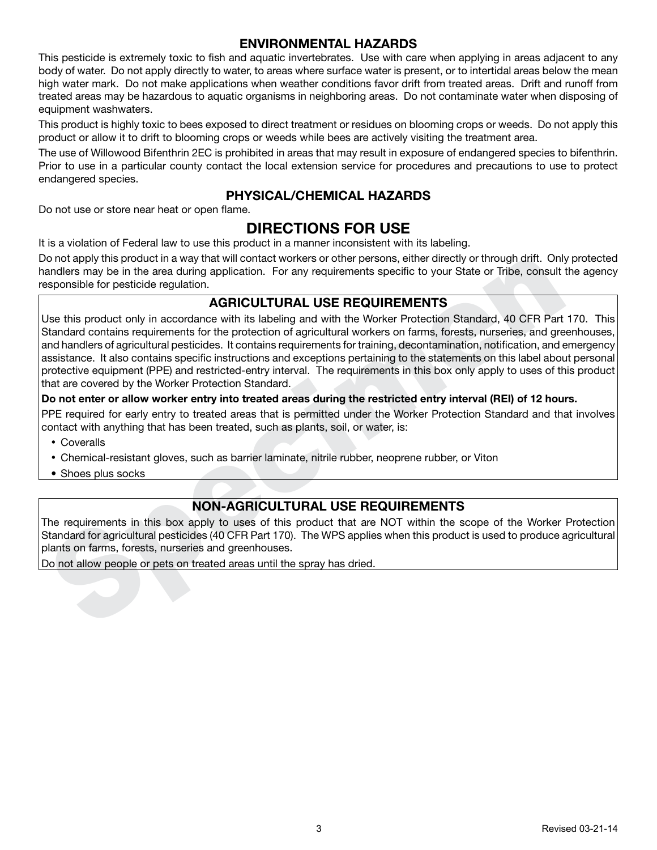# **ENVIRONMENTAL HAZARDS**

This pesticide is extremely toxic to fish and aquatic invertebrates. Use with care when applying in areas adjacent to any body of water. Do not apply directly to water, to areas where surface water is present, or to intertidal areas below the mean high water mark. Do not make applications when weather conditions favor drift from treated areas. Drift and runoff from treated areas may be hazardous to aquatic organisms in neighboring areas. Do not contaminate water when disposing of equipment washwaters.

This product is highly toxic to bees exposed to direct treatment or residues on blooming crops or weeds. Do not apply this product or allow it to drift to blooming crops or weeds while bees are actively visiting the treatment area.

The use of Willowood Bifenthrin 2EC is prohibited in areas that may result in exposure of endangered species to bifenthrin. Prior to use in a particular county contact the local extension service for procedures and precautions to use to protect endangered species.

# **PHYSICAL/CHEMICAL HAZARDS**

Do not use or store near heat or open flame.

# **DIRECTIONS FOR USE**

It is a violation of Federal law to use this product in a manner inconsistent with its labeling.

Do not apply this product in a way that will contact workers or other persons, either directly or through drift. Only protected handlers may be in the area during application. For any requirements specific to your State or Tribe, consult the agency responsible for pesticide regulation.

# **AGRICULTURAL USE REQUIREMENTS**

or or apply this product in a way that will contact workers or other persons, either directly or through drink Contact when and the separation. For any requirements specific to your State or Tribe, consult that consider th Use this product only in accordance with its labeling and with the Worker Protection Standard, 40 CFR Part 170. This Standard contains requirements for the protection of agricultural workers on farms, forests, nurseries, and greenhouses, and handlers of agricultural pesticides. It contains requirements for training, decontamination, notification, and emergency assistance. It also contains specific instructions and exceptions pertaining to the statements on this label about personal protective equipment (PPE) and restricted-entry interval. The requirements in this box only apply to uses of this product that are covered by the Worker Protection Standard.

# **Do not enter or allow worker entry into treated areas during the restricted entry interval (REI) of 12 hours.**

PPE required for early entry to treated areas that is permitted under the Worker Protection Standard and that involves contact with anything that has been treated, such as plants, soil, or water, is:

- Coveralls
- • Chemical-resistant gloves, such as barrier laminate, nitrile rubber, neoprene rubber, or Viton
- Shoes plus socks

# **NON-AGRICULTURAL USE REQUIREMENTS**

The requirements in this box apply to uses of this product that are NOT within the scope of the Worker Protection Standard for agricultural pesticides (40 CFR Part 170). The WPS applies when this product is used to produce agricultural plants on farms, forests, nurseries and greenhouses.

Do not allow people or pets on treated areas until the spray has dried.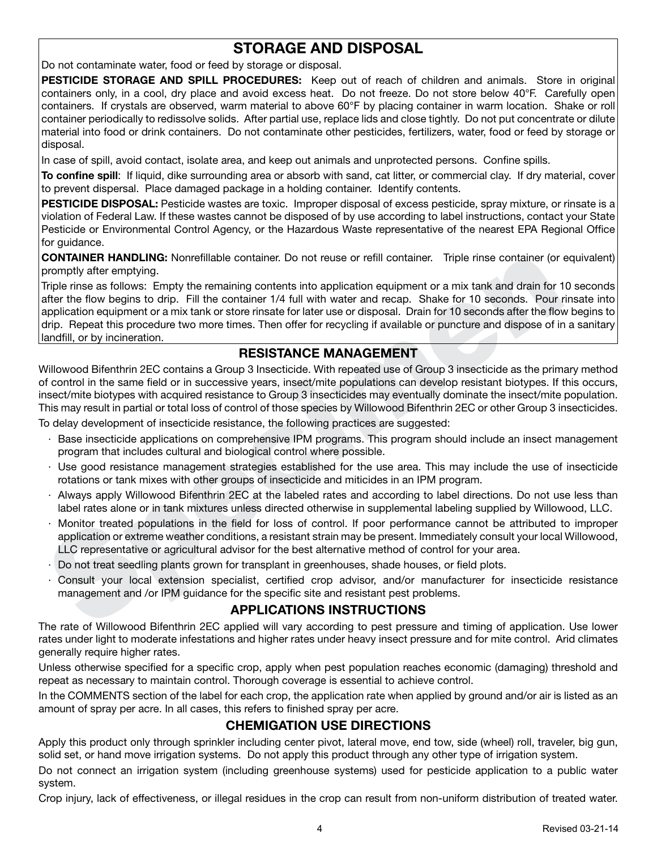# **STORAGE AND DISPOSAL**

Do not contaminate water, food or feed by storage or disposal.

**PESTICIDE STORAGE AND SPILL PROCEDURES:** Keep out of reach of children and animals. Store in original containers only, in a cool, dry place and avoid excess heat. Do not freeze. Do not store below 40°F. Carefully open containers. If crystals are observed, warm material to above 60°F by placing container in warm location. Shake or roll container periodically to redissolve solids. After partial use, replace lids and close tightly. Do not put concentrate or dilute material into food or drink containers. Do not contaminate other pesticides, fertilizers, water, food or feed by storage or disposal.

In case of spill, avoid contact, isolate area, and keep out animals and unprotected persons. Confine spills.

**To confine spill**: If liquid, dike surrounding area or absorb with sand, cat litter, or commercial clay. If dry material, cover to prevent dispersal. Place damaged package in a holding container. Identify contents.

**PESTICIDE DISPOSAL:** Pesticide wastes are toxic. Improper disposal of excess pesticide, spray mixture, or rinsate is a violation of Federal Law. If these wastes cannot be disposed of by use according to label instructions, contact your State Pesticide or Environmental Control Agency, or the Hazardous Waste representative of the nearest EPA Regional Office for guidance.

**CONTAINER HANDLING:** Nonrefillable container. Do not reuse or refill container. Triple rinse container (or equivalent) promptly after emptying.

COMTAINER HANDLING: Nonrefillable container. Do not reuse or refill container. Triple rines container (or<br>
Comparity after emptying.<br>
From promptive and solution that the solution of the full with water and recap- Shake fo Triple rinse as follows: Empty the remaining contents into application equipment or a mix tank and drain for 10 seconds after the flow begins to drip. Fill the container 1/4 full with water and recap. Shake for 10 seconds. Pour rinsate into application equipment or a mix tank or store rinsate for later use or disposal. Drain for 10 seconds after the flow begins to drip. Repeat this procedure two more times. Then offer for recycling if available or puncture and dispose of in a sanitary landfill, or by incineration.

# **RESISTANCE MANAGEMENT**

Willowood Bifenthrin 2EC contains a Group 3 Insecticide. With repeated use of Group 3 insecticide as the primary method of control in the same field or in successive years, insect/mite populations can develop resistant biotypes. If this occurs, insect/mite biotypes with acquired resistance to Group 3 insecticides may eventually dominate the insect/mite population. This may result in partial or total loss of control of those species by Willowood Bifenthrin 2EC or other Group 3 insecticides.

To delay development of insecticide resistance, the following practices are suggested:

- · Base insecticide applications on comprehensive IPM programs. This program should include an insect management program that includes cultural and biological control where possible.
- · Use good resistance management strategies established for the use area. This may include the use of insecticide rotations or tank mixes with other groups of insecticide and miticides in an IPM program.
- · Always apply Willowood Bifenthrin 2EC at the labeled rates and according to label directions. Do not use less than label rates alone or in tank mixtures unless directed otherwise in supplemental labeling supplied by Willowood, LLC.
- · Monitor treated populations in the field for loss of control. If poor performance cannot be attributed to improper application or extreme weather conditions, a resistant strain may be present. Immediately consult your local Willowood, LLC representative or agricultural advisor for the best alternative method of control for your area.
- · Do not treat seedling plants grown for transplant in greenhouses, shade houses, or field plots.
- Consult your local extension specialist, certified crop advisor, and/or manufacturer for insecticide resistance management and /or IPM guidance for the specific site and resistant pest problems.

# **APPLICATIONS INSTRUCTIONS**

The rate of Willowood Bifenthrin 2EC applied will vary according to pest pressure and timing of application. Use lower rates under light to moderate infestations and higher rates under heavy insect pressure and for mite control. Arid climates generally require higher rates.

Unless otherwise specified for a specific crop, apply when pest population reaches economic (damaging) threshold and repeat as necessary to maintain control. Thorough coverage is essential to achieve control.

In the COMMENTS section of the label for each crop, the application rate when applied by ground and/or air is listed as an amount of spray per acre. In all cases, this refers to finished spray per acre.

# **CHEMIGATION USE DIRECTIONS**

Apply this product only through sprinkler including center pivot, lateral move, end tow, side (wheel) roll, traveler, big gun, solid set, or hand move irrigation systems. Do not apply this product through any other type of irrigation system.

Do not connect an irrigation system (including greenhouse systems) used for pesticide application to a public water system.

Crop injury, lack of effectiveness, or illegal residues in the crop can result from non-uniform distribution of treated water.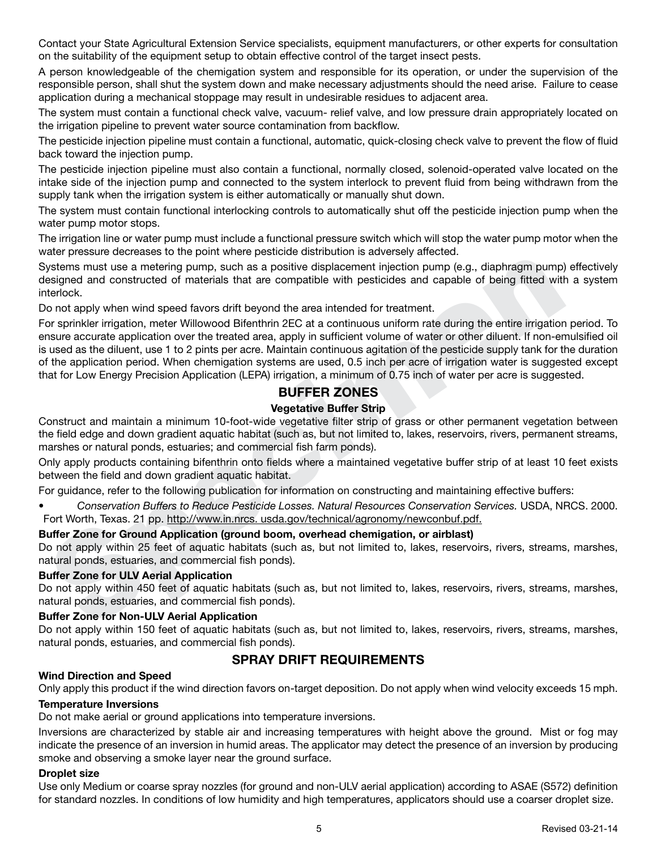Contact your State Agricultural Extension Service specialists, equipment manufacturers, or other experts for consultation on the suitability of the equipment setup to obtain effective control of the target insect pests.

A person knowledgeable of the chemigation system and responsible for its operation, or under the supervision of the responsible person, shall shut the system down and make necessary adjustments should the need arise. Failure to cease application during a mechanical stoppage may result in undesirable residues to adjacent area.

The system must contain a functional check valve, vacuum- relief valve, and low pressure drain appropriately located on the irrigation pipeline to prevent water source contamination from backflow.

The pesticide injection pipeline must contain a functional, automatic, quick-closing check valve to prevent the flow of fluid back toward the injection pump.

The pesticide injection pipeline must also contain a functional, normally closed, solenoid-operated valve located on the intake side of the injection pump and connected to the system interlock to prevent fluid from being withdrawn from the supply tank when the irrigation system is either automatically or manually shut down.

The system must contain functional interlocking controls to automatically shut off the pesticide injection pump when the water pump motor stops.

The irrigation line or water pump must include a functional pressure switch which will stop the water pump motor when the water pressure decreases to the point where pesticide distribution is adversely affected.

Systems must use a metering pump, such as a positive displacement injection pump (e.g., diaphragm pump) effectively designed and constructed of materials that are compatible with pesticides and capable of being fitted with a system interlock.

Do not apply when wind speed favors drift beyond the area intended for treatment.

material to a method of method containing pump, such as a positive displacement injection pump (e.g., diaphragm pump)<br>estems must use a metering pump, such as a positive displacement injection pump (e.g., diaphragm pump)<br>t For sprinkler irrigation, meter Willowood Bifenthrin 2EC at a continuous uniform rate during the entire irrigation period. To ensure accurate application over the treated area, apply in sufficient volume of water or other diluent. If non-emulsified oil is used as the diluent, use 1 to 2 pints per acre. Maintain continuous agitation of the pesticide supply tank for the duration of the application period. When chemigation systems are used, 0.5 inch per acre of irrigation water is suggested except that for Low Energy Precision Application (LEPA) irrigation, a minimum of 0.75 inch of water per acre is suggested.

# **BUFFER ZONES**

# **Vegetative Buffer Strip**

Construct and maintain a minimum 10-foot-wide vegetative filter strip of grass or other permanent vegetation between the field edge and down gradient aquatic habitat (such as, but not limited to, lakes, reservoirs, rivers, permanent streams, marshes or natural ponds, estuaries; and commercial fish farm ponds).

Only apply products containing bifenthrin onto fields where a maintained vegetative buffer strip of at least 10 feet exists between the field and down gradient aquatic habitat.

For guidance, refer to the following publication for information on constructing and maintaining effective buffers:

*• Conservation Buffers to Reduce Pesticide Losses. Natural Resources Conservation Services.* USDA, NRCS. 2000. Fort Worth, Texas. 21 pp. http://www.in.nrcs. usda.gov/technical/agronomy/newconbuf.pdf.

# **Buffer Zone for Ground Application (ground boom, overhead chemigation, or airblast)**

Do not apply within 25 feet of aquatic habitats (such as, but not limited to, lakes, reservoirs, rivers, streams, marshes, natural ponds, estuaries, and commercial fish ponds).

#### **Buffer Zone for ULV Aerial Application**

Do not apply within 450 feet of aquatic habitats (such as, but not limited to, lakes, reservoirs, rivers, streams, marshes, natural ponds, estuaries, and commercial fish ponds).

#### **Buffer Zone for Non-ULV Aerial Application**

Do not apply within 150 feet of aquatic habitats (such as, but not limited to, lakes, reservoirs, rivers, streams, marshes, natural ponds, estuaries, and commercial fish ponds).

# **SPRAY DRIFT REQUIREMENTS**

# **Wind Direction and Speed**

Only apply this product if the wind direction favors on-target deposition. Do not apply when wind velocity exceeds 15 mph.

# **Temperature Inversions**

Do not make aerial or ground applications into temperature inversions.

Inversions are characterized by stable air and increasing temperatures with height above the ground. Mist or fog may indicate the presence of an inversion in humid areas. The applicator may detect the presence of an inversion by producing smoke and observing a smoke layer near the ground surface.

# **Droplet size**

Use only Medium or coarse spray nozzles (for ground and non-ULV aerial application) according to ASAE (S572) definition for standard nozzles. In conditions of low humidity and high temperatures, applicators should use a coarser droplet size.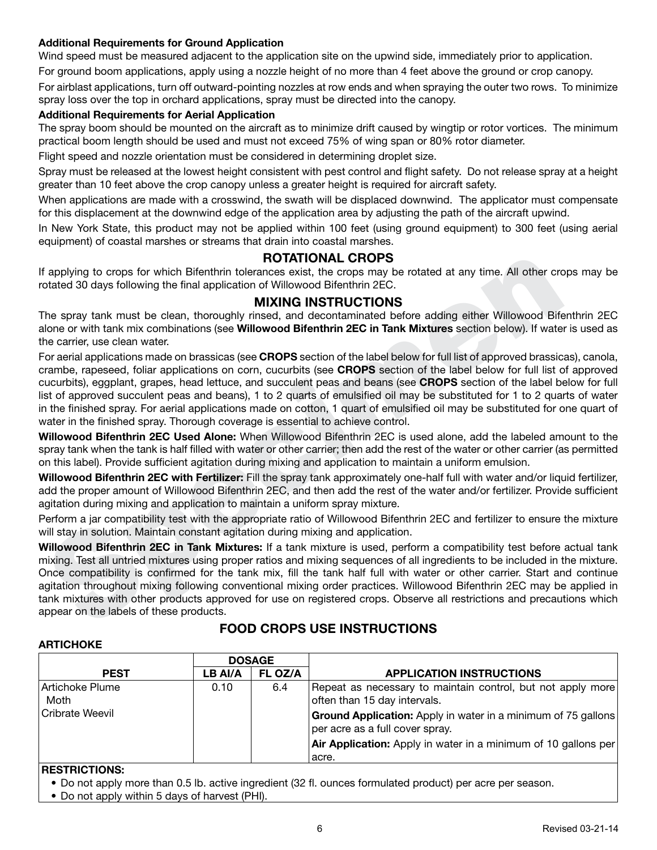# **Additional Requirements for Ground Application**

Wind speed must be measured adjacent to the application site on the upwind side, immediately prior to application.

For ground boom applications, apply using a nozzle height of no more than 4 feet above the ground or crop canopy.

For airblast applications, turn off outward-pointing nozzles at row ends and when spraying the outer two rows. To minimize spray loss over the top in orchard applications, spray must be directed into the canopy.

#### **Additional Requirements for Aerial Application**

The spray boom should be mounted on the aircraft as to minimize drift caused by wingtip or rotor vortices. The minimum practical boom length should be used and must not exceed 75% of wing span or 80% rotor diameter.

Flight speed and nozzle orientation must be considered in determining droplet size.

Spray must be released at the lowest height consistent with pest control and flight safety. Do not release spray at a height greater than 10 feet above the crop canopy unless a greater height is required for aircraft safety.

When applications are made with a crosswind, the swath will be displaced downwind. The applicator must compensate for this displacement at the downwind edge of the application area by adjusting the path of the aircraft upwind.

In New York State, this product may not be applied within 100 feet (using ground equipment) to 300 feet (using aerial equipment) of coastal marshes or streams that drain into coastal marshes.

# **ROTATIONAL CROPS**

If applying to crops for which Bifenthrin tolerances exist, the crops may be rotated at any time. All other crops may be rotated 30 days following the final application of Willowood Bifenthrin 2EC.

# **MIXING INSTRUCTIONS**

The spray tank must be clean, thoroughly rinsed, and decontaminated before adding either Willowood Bifenthrin 2EC alone or with tank mix combinations (see **Willowood Bifenthrin 2EC in Tank Mixtures** section below). If water is used as the carrier, use clean water.

If applying to crops for which Bifenthrin tolerances exist, the crops may be rotated at any time. All other crotated 30 days following the final application of Willowood Bifenthrin 2EC.<br>The spray tank must be clean, thorou For aerial applications made on brassicas (see **CROPS** section of the label below for full list of approved brassicas), canola, crambe, rapeseed, foliar applications on corn, cucurbits (see **CROPS** section of the label below for full list of approved cucurbits), eggplant, grapes, head lettuce, and succulent peas and beans (see **CROPS** section of the label below for full list of approved succulent peas and beans), 1 to 2 quarts of emulsified oil may be substituted for 1 to 2 quarts of water in the finished spray. For aerial applications made on cotton, 1 quart of emulsified oil may be substituted for one quart of water in the finished spray. Thorough coverage is essential to achieve control.

**Willowood Bifenthrin 2EC Used Alone:** When Willowood Bifenthrin 2EC is used alone, add the labeled amount to the spray tank when the tank is half filled with water or other carrier; then add the rest of the water or other carrier (as permitted on this label). Provide sufficient agitation during mixing and application to maintain a uniform emulsion.

**Willowood Bifenthrin 2EC with Fertilizer:** Fill the spray tank approximately one-half full with water and/or liquid fertilizer, add the proper amount of Willowood Bifenthrin 2EC, and then add the rest of the water and/or fertilizer. Provide sufficient agitation during mixing and application to maintain a uniform spray mixture.

Perform a jar compatibility test with the appropriate ratio of Willowood Bifenthrin 2EC and fertilizer to ensure the mixture will stay in solution. Maintain constant agitation during mixing and application.

**Willowood Bifenthrin 2EC in Tank Mixtures:** If a tank mixture is used, perform a compatibility test before actual tank mixing. Test all untried mixtures using proper ratios and mixing sequences of all ingredients to be included in the mixture. Once compatibility is confirmed for the tank mix, fill the tank half full with water or other carrier. Start and continue agitation throughout mixing following conventional mixing order practices. Willowood Bifenthrin 2EC may be applied in tank mixtures with other products approved for use on registered crops. Observe all restrictions and precautions which appear on the labels of these products.

#### **ARTICHOKE**

# **FOOD CROPS USE INSTRUCTIONS**

|                                                   | <b>DOSAGE</b> |     |                                                                                                                                                                                                        |  |  |
|---------------------------------------------------|---------------|-----|--------------------------------------------------------------------------------------------------------------------------------------------------------------------------------------------------------|--|--|
| FL OZ/A<br>LB AI/A<br><b>PEST</b>                 |               |     | <b>APPLICATION INSTRUCTIONS</b>                                                                                                                                                                        |  |  |
| <b>Artichoke Plume</b><br>Moth<br>Cribrate Weevil | 0.10          | 6.4 | Repeat as necessary to maintain control, but not apply more<br>often than 15 day intervals.<br><b>Ground Application:</b> Apply in water in a minimum of 75 gallons<br>per acre as a full cover spray. |  |  |
|                                                   |               |     | Air Application: Apply in water in a minimum of 10 gallons per<br>acre.                                                                                                                                |  |  |

#### **RESTRICTIONS:**

• Do not apply more than 0.5 lb. active ingredient (32 fl. ounces formulated product) per acre per season.

• Do not apply within 5 days of harvest (PHI).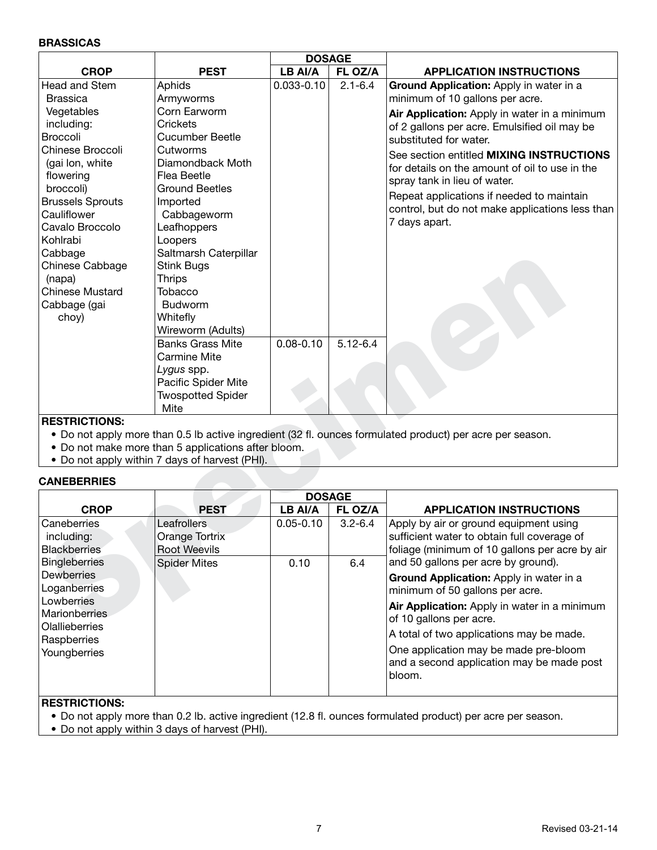#### **BRASSICAS**

|                         |                                                     | <b>DOSAGE</b>  |              |                                                                                                           |
|-------------------------|-----------------------------------------------------|----------------|--------------|-----------------------------------------------------------------------------------------------------------|
| <b>CROP</b>             | <b>PEST</b>                                         | LB AI/A        | FL OZ/A      | <b>APPLICATION INSTRUCTIONS</b>                                                                           |
| <b>Head and Stem</b>    | Aphids                                              | $0.033 - 0.10$ | $2.1 - 6.4$  | Ground Application: Apply in water in a                                                                   |
| <b>Brassica</b>         | Armyworms                                           |                |              | minimum of 10 gallons per acre.                                                                           |
| Vegetables              | Corn Earworm                                        |                |              | Air Application: Apply in water in a minimum                                                              |
| including:              | Crickets                                            |                |              | of 2 gallons per acre. Emulsified oil may be                                                              |
| Broccoli                | <b>Cucumber Beetle</b>                              |                |              | substituted for water.                                                                                    |
| Chinese Broccoli        | Cutworms                                            |                |              | See section entitled MIXING INSTRUCTIONS                                                                  |
| (gai lon, white         | Diamondback Moth                                    |                |              | for details on the amount of oil to use in the                                                            |
| flowering               | Flea Beetle                                         |                |              | spray tank in lieu of water.                                                                              |
| broccoli)               | <b>Ground Beetles</b>                               |                |              |                                                                                                           |
| <b>Brussels Sprouts</b> | Imported                                            |                |              | Repeat applications if needed to maintain                                                                 |
| Cauliflower             | Cabbageworm                                         |                |              | control, but do not make applications less than                                                           |
| Cavalo Broccolo         | Leafhoppers                                         |                |              | 7 days apart.                                                                                             |
| Kohlrabi                | Loopers                                             |                |              |                                                                                                           |
| Cabbage                 | Saltmarsh Caterpillar                               |                |              |                                                                                                           |
| Chinese Cabbage         | Stink Bugs                                          |                |              |                                                                                                           |
| (napa)                  | <b>Thrips</b>                                       |                |              |                                                                                                           |
| <b>Chinese Mustard</b>  | Tobacco                                             |                |              |                                                                                                           |
| Cabbage (gai            | <b>Budworm</b>                                      |                |              |                                                                                                           |
| choy)                   | Whitefly                                            |                |              |                                                                                                           |
|                         | Wireworm (Adults)                                   |                |              |                                                                                                           |
|                         | <b>Banks Grass Mite</b>                             | $0.08 - 0.10$  | $5.12 - 6.4$ |                                                                                                           |
|                         | <b>Carmine Mite</b>                                 |                |              |                                                                                                           |
|                         | Lygus spp.                                          |                |              |                                                                                                           |
|                         | Pacific Spider Mite                                 |                |              |                                                                                                           |
|                         | <b>Twospotted Spider</b>                            |                |              |                                                                                                           |
|                         | Mite                                                |                |              |                                                                                                           |
| <b>RESTRICTIONS:</b>    |                                                     |                |              |                                                                                                           |
|                         |                                                     |                |              | • Do not apply more than 0.5 lb active ingredient (32 fl. ounces formulated product) per acre per season. |
|                         | • Do not make more than 5 applications after bloom. |                |              |                                                                                                           |
|                         | • Do not apply within 7 days of harvest (PHI).      |                |              |                                                                                                           |
| <b>CANEBERRIES</b>      |                                                     |                |              |                                                                                                           |
|                         |                                                     | <b>DOSAGE</b>  |              |                                                                                                           |
| <b>CROP</b>             | <b>PEST</b>                                         | LB AI/A        | FL OZ/A      | <b>APPLICATION INSTRUCTIONS</b>                                                                           |
| Caneberries             | Leafrollers                                         | $0.05 - 0.10$  | $3.2 - 6.4$  | Apply by air or ground equipment using                                                                    |
| including:              | Orange Tortrix                                      |                |              | sufficient water to obtain full coverage of                                                               |
| <b>Blackberries</b>     | <b>Root Weevils</b>                                 |                |              | foliage (minimum of 10 gallons per acre by air                                                            |
| <b>Bingleberries</b>    | <b>Spider Mites</b>                                 | 0.10           | 6.4          | and 50 gallons per acre by ground).                                                                       |
| <b>Dewberries</b>       |                                                     |                |              | Ground Application: Apply in water in a                                                                   |
| Loganberries            |                                                     |                |              | minimum of 50 gallons per acre.                                                                           |
| Lowberries              |                                                     |                |              | Air Application: Apply in water in a minimum                                                              |
| Marionberries           |                                                     |                |              | of 10 gallons per acre.                                                                                   |
| Olallieberries          |                                                     |                |              |                                                                                                           |

#### **RESTRICTIONS:**

- Do not apply more than 0.5 lb active ingredient (32 fl. ounces formulated product) per acre per season.
- Do not make more than 5 applications after bloom.
- Do not apply within 7 days of harvest (PHI).

#### **CANEBERRIES**

|                                                      |                                               |               | <b>DOSAGE</b> |                                                                                                                                         |
|------------------------------------------------------|-----------------------------------------------|---------------|---------------|-----------------------------------------------------------------------------------------------------------------------------------------|
| <b>CROP</b>                                          | <b>PEST</b>                                   | LB AI/A       | FL OZ/A       | <b>APPLICATION INSTRUCTIONS</b>                                                                                                         |
| Caneberries<br>including:<br><b>Blackberries</b>     | Leafrollers<br>Orange Tortrix<br>Root Weevils | $0.05 - 0.10$ | $3.2 - 6.4$   | Apply by air or ground equipment using<br>sufficient water to obtain full coverage of<br>foliage (minimum of 10 gallons per acre by air |
| <b>Bingleberries</b>                                 | Spider Mites                                  | 0.10          | 6.4           | and 50 gallons per acre by ground).                                                                                                     |
| Dewberries<br>Loganberries                           |                                               |               |               | Ground Application: Apply in water in a<br>minimum of 50 gallons per acre.                                                              |
| Lowberries<br><b>Marionberries</b><br>Olallieberries |                                               |               |               | Air Application: Apply in water in a minimum<br>of 10 gallons per acre.                                                                 |
| Raspberries                                          |                                               |               |               | A total of two applications may be made.                                                                                                |
| Youngberries                                         |                                               |               |               | One application may be made pre-bloom<br>and a second application may be made post<br>bloom.                                            |

## **RESTRICTIONS:**

• Do not apply more than 0.2 lb. active ingredient (12.8 fl. ounces formulated product) per acre per season.

• Do not apply within 3 days of harvest (PHI).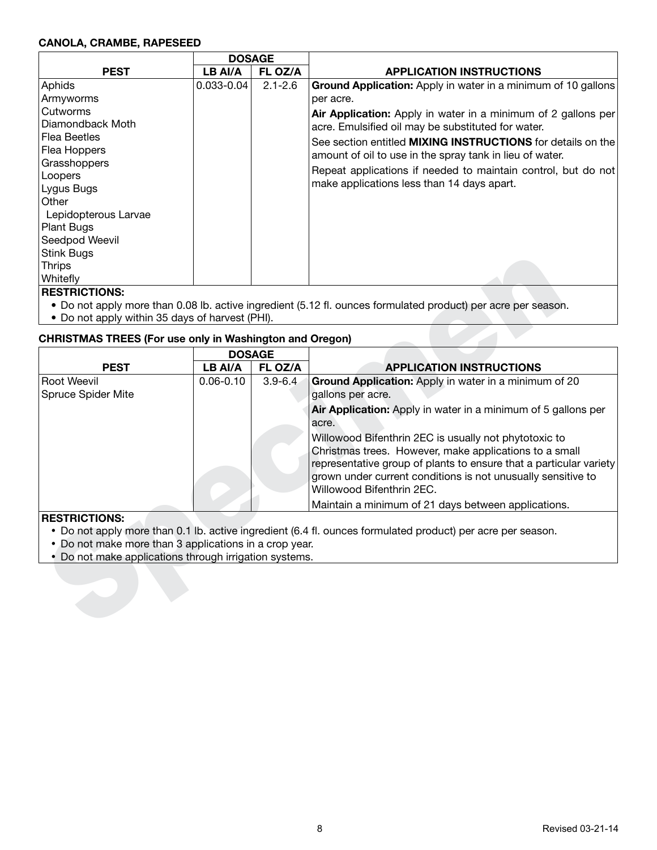#### **CANOLA, CRAMBE, RAPESEED**

|                      | <b>DOSAGE</b>  |             |                                                                    |
|----------------------|----------------|-------------|--------------------------------------------------------------------|
| <b>PEST</b>          | LB AI/A        | FL OZ/A     | <b>APPLICATION INSTRUCTIONS</b>                                    |
| Aphids               | $0.033 - 0.04$ | $2.1 - 2.6$ | Ground Application: Apply in water in a minimum of 10 gallons      |
| Armyworms            |                |             | per acre.                                                          |
| Cutworms             |                |             | Air Application: Apply in water in a minimum of 2 gallons per      |
| Diamondback Moth     |                |             | acre. Emulsified oil may be substituted for water.                 |
| <b>Flea Beetles</b>  |                |             | See section entitled <b>MIXING INSTRUCTIONS</b> for details on the |
| Flea Hoppers         |                |             | amount of oil to use in the spray tank in lieu of water.           |
| Grasshoppers         |                |             | Repeat applications if needed to maintain control, but do not      |
| Loopers              |                |             | make applications less than 14 days apart.                         |
| Lygus Bugs           |                |             |                                                                    |
| Other                |                |             |                                                                    |
| Lepidopterous Larvae |                |             |                                                                    |
| Plant Bugs           |                |             |                                                                    |
| Seedpod Weevil       |                |             |                                                                    |
| <b>Stink Bugs</b>    |                |             |                                                                    |
| <b>Thrips</b>        |                |             |                                                                    |
| Whitefly             |                |             |                                                                    |

#### **RESTRICTIONS:**

- Do not apply more than 0.08 lb. active ingredient (5.12 fl. ounces formulated product) per acre per season.
- Do not apply within 35 days of harvest (PHI).

# **CHRISTMAS TREES (For use only in Washington and Oregon)**

| JULIN DUYS                                                     |               |               |                                                                                                               |
|----------------------------------------------------------------|---------------|---------------|---------------------------------------------------------------------------------------------------------------|
| <b>Thrips</b>                                                  |               |               |                                                                                                               |
| Whitefly                                                       |               |               |                                                                                                               |
| <b>RESTRICTIONS:</b>                                           |               |               |                                                                                                               |
|                                                                |               |               | • Do not apply more than 0.08 lb. active ingredient (5.12 fl. ounces formulated product) per acre per season. |
| • Do not apply within 35 days of harvest (PHI).                |               |               |                                                                                                               |
| <b>CHRISTMAS TREES (For use only in Washington and Oregon)</b> |               |               |                                                                                                               |
|                                                                |               | <b>DOSAGE</b> |                                                                                                               |
| <b>PEST</b>                                                    | LB AI/A       | FL OZ/A       | <b>APPLICATION INSTRUCTIONS</b>                                                                               |
| <b>Root Weevil</b>                                             | $0.06 - 0.10$ | $3.9 - 6.4$   | Ground Application: Apply in water in a minimum of 20                                                         |
| <b>Spruce Spider Mite</b>                                      |               |               | gallons per acre.                                                                                             |
|                                                                |               |               | Air Application: Apply in water in a minimum of 5 gallons per                                                 |
|                                                                |               |               | acre.                                                                                                         |
|                                                                |               |               | Willowood Bifenthrin 2EC is usually not phytotoxic to                                                         |
|                                                                |               |               | Christmas trees. However, make applications to a small                                                        |
|                                                                |               |               | representative group of plants to ensure that a particular variety                                            |
|                                                                |               |               | grown under current conditions is not unusually sensitive to                                                  |
|                                                                |               |               | Willowood Bifenthrin 2EC.                                                                                     |
|                                                                |               |               | Maintain a minimum of 21 days between applications.                                                           |
| <b>RESTRICTIONS:</b>                                           |               |               |                                                                                                               |
|                                                                |               |               | • Do not apply more than 0.1 lb. active ingredient (6.4 fl. ounces formulated product) per acre per season.   |
| • Do not make more than 3 applications in a crop year.         |               |               |                                                                                                               |
| Do not make applications through irrigation systems.           |               |               |                                                                                                               |
|                                                                |               |               |                                                                                                               |
|                                                                |               |               |                                                                                                               |
|                                                                |               |               |                                                                                                               |
|                                                                |               |               |                                                                                                               |
|                                                                |               |               |                                                                                                               |

- Do not apply more than 0.1 lb. active ingredient (6.4 fl. ounces formulated product) per acre per season.
- Do not make more than 3 applications in a crop year.
- Do not make applications through irrigation systems.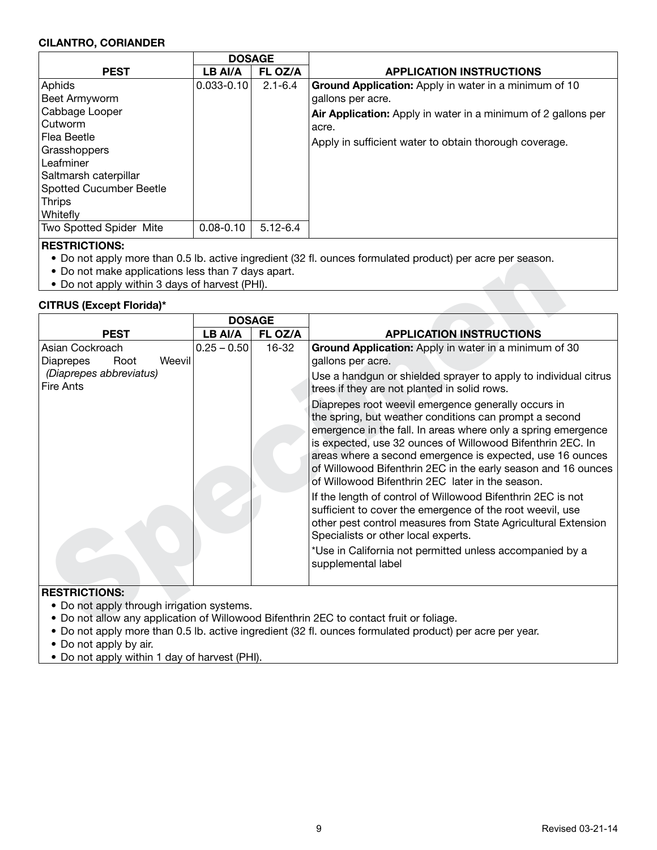#### **CILANTRO, CORIANDER**

|                                | <b>DOSAGE</b>  |              |                                                               |
|--------------------------------|----------------|--------------|---------------------------------------------------------------|
| <b>PEST</b>                    | LB AI/A        | FL OZ/A      | <b>APPLICATION INSTRUCTIONS</b>                               |
| Aphids                         | $0.033 - 0.10$ | $2.1 - 6.4$  | <b>Ground Application:</b> Apply in water in a minimum of 10  |
| Beet Armyworm                  |                |              | gallons per acre.                                             |
| Cabbage Looper                 |                |              | Air Application: Apply in water in a minimum of 2 gallons per |
| l Cutworm                      |                |              | acre.                                                         |
| Flea Beetle                    |                |              | Apply in sufficient water to obtain thorough coverage.        |
| Grasshoppers                   |                |              |                                                               |
| Leafminer                      |                |              |                                                               |
| Saltmarsh caterpillar          |                |              |                                                               |
| <b>Spotted Cucumber Beetle</b> |                |              |                                                               |
| <b>Thrips</b>                  |                |              |                                                               |
| Whitefly                       |                |              |                                                               |
| Two Spotted Spider Mite        | $0.08 - 0.10$  | $5.12 - 6.4$ |                                                               |
| <b>DEATBIATIANA</b>            |                |              |                                                               |

# **RESTRICTIONS:**

- Do not apply more than 0.5 lb. active ingredient (32 fl. ounces formulated product) per acre per season.
- Do not make applications less than 7 days apart.
- Do not apply within 3 days of harvest (PHI).

# **CITRUS (Except Florida)\***

| <b>CITRUS (Except Florida)*</b>                |               |           |                                                                                                                                                                                                                                                                                                                                                                                                                                |
|------------------------------------------------|---------------|-----------|--------------------------------------------------------------------------------------------------------------------------------------------------------------------------------------------------------------------------------------------------------------------------------------------------------------------------------------------------------------------------------------------------------------------------------|
|                                                | <b>DOSAGE</b> |           |                                                                                                                                                                                                                                                                                                                                                                                                                                |
| <b>PEST</b>                                    | LB AI/A       | FL OZ/A   | <b>APPLICATION INSTRUCTIONS</b>                                                                                                                                                                                                                                                                                                                                                                                                |
| Asian Cockroach<br>Weevil<br>Diaprepes<br>Root | $0.25 - 0.50$ | $16 - 32$ | Ground Application: Apply in water in a minimum of 30<br>gallons per acre.                                                                                                                                                                                                                                                                                                                                                     |
| (Diaprepes abbreviatus)<br>Fire Ants           |               |           | Use a handgun or shielded sprayer to apply to individual citrus<br>trees if they are not planted in solid rows.                                                                                                                                                                                                                                                                                                                |
|                                                |               |           | Diaprepes root weevil emergence generally occurs in<br>the spring, but weather conditions can prompt a second<br>emergence in the fall. In areas where only a spring emergence<br>is expected, use 32 ounces of Willowood Bifenthrin 2EC. In<br>areas where a second emergence is expected, use 16 ounces<br>of Willowood Bifenthrin 2EC in the early season and 16 ounces<br>of Willowood Bifenthrin 2EC later in the season. |
|                                                |               |           | If the length of control of Willowood Bifenthrin 2EC is not<br>sufficient to cover the emergence of the root weevil, use<br>other pest control measures from State Agricultural Extension<br>Specialists or other local experts.                                                                                                                                                                                               |
|                                                |               |           | *Use in California not permitted unless accompanied by a<br>supplemental label                                                                                                                                                                                                                                                                                                                                                 |

- Do not apply through irrigation systems.
- Do not allow any application of Willowood Bifenthrin 2EC to contact fruit or foliage.
- Do not apply more than 0.5 lb. active ingredient (32 fl. ounces formulated product) per acre per year.
- Do not apply by air.
- Do not apply within 1 day of harvest (PHI).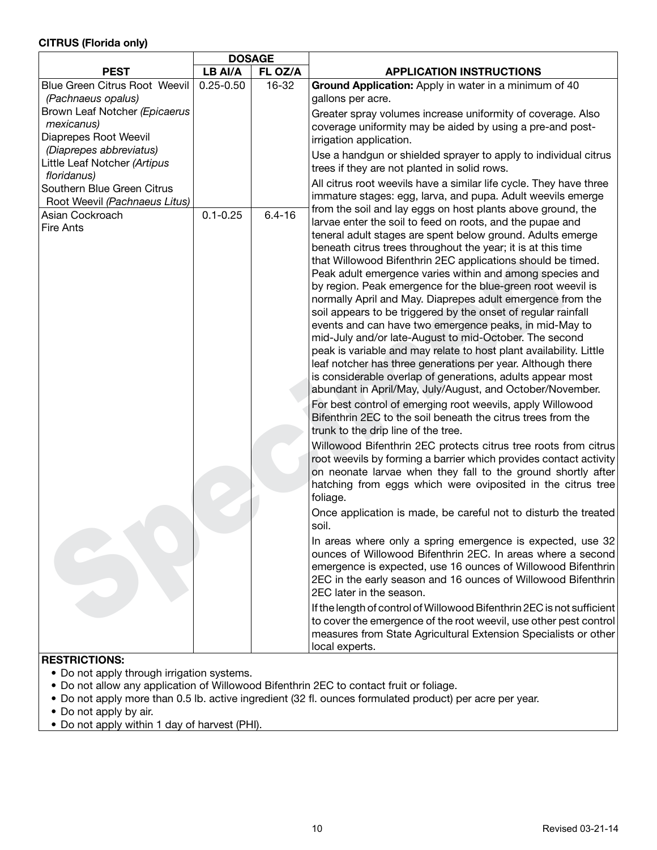# **CITRUS (Florida only)**

|                                                                        | <b>DOSAGE</b> |            |                                                                                                                                                                                                                                                                                                                                                                                                                                                                                                                                                                                                                                                                                                                                                                                                                                                                                                                                                                                                                                                                                                                                                                                                                                                                                                                                                                                                                                                                                                                                                                                                                                                                                                                                                                                                                                                                             |  |  |  |
|------------------------------------------------------------------------|---------------|------------|-----------------------------------------------------------------------------------------------------------------------------------------------------------------------------------------------------------------------------------------------------------------------------------------------------------------------------------------------------------------------------------------------------------------------------------------------------------------------------------------------------------------------------------------------------------------------------------------------------------------------------------------------------------------------------------------------------------------------------------------------------------------------------------------------------------------------------------------------------------------------------------------------------------------------------------------------------------------------------------------------------------------------------------------------------------------------------------------------------------------------------------------------------------------------------------------------------------------------------------------------------------------------------------------------------------------------------------------------------------------------------------------------------------------------------------------------------------------------------------------------------------------------------------------------------------------------------------------------------------------------------------------------------------------------------------------------------------------------------------------------------------------------------------------------------------------------------------------------------------------------------|--|--|--|
| <b>PEST</b>                                                            | LB AI/A       | FL OZ/A    | <b>APPLICATION INSTRUCTIONS</b>                                                                                                                                                                                                                                                                                                                                                                                                                                                                                                                                                                                                                                                                                                                                                                                                                                                                                                                                                                                                                                                                                                                                                                                                                                                                                                                                                                                                                                                                                                                                                                                                                                                                                                                                                                                                                                             |  |  |  |
| <b>Blue Green Citrus Root Weevil</b><br>(Pachnaeus opalus)             | $0.25 - 0.50$ | 16-32      | Ground Application: Apply in water in a minimum of 40<br>gallons per acre.                                                                                                                                                                                                                                                                                                                                                                                                                                                                                                                                                                                                                                                                                                                                                                                                                                                                                                                                                                                                                                                                                                                                                                                                                                                                                                                                                                                                                                                                                                                                                                                                                                                                                                                                                                                                  |  |  |  |
| Brown Leaf Notcher (Epicaerus<br>mexicanus)<br>Diaprepes Root Weevil   |               |            | Greater spray volumes increase uniformity of coverage. Also<br>coverage uniformity may be aided by using a pre-and post-<br>irrigation application.                                                                                                                                                                                                                                                                                                                                                                                                                                                                                                                                                                                                                                                                                                                                                                                                                                                                                                                                                                                                                                                                                                                                                                                                                                                                                                                                                                                                                                                                                                                                                                                                                                                                                                                         |  |  |  |
| (Diaprepes abbreviatus)<br>Little Leaf Notcher (Artipus<br>floridanus) |               |            | Use a handgun or shielded sprayer to apply to individual citrus<br>trees if they are not planted in solid rows.                                                                                                                                                                                                                                                                                                                                                                                                                                                                                                                                                                                                                                                                                                                                                                                                                                                                                                                                                                                                                                                                                                                                                                                                                                                                                                                                                                                                                                                                                                                                                                                                                                                                                                                                                             |  |  |  |
| Southern Blue Green Citrus<br>Root Weevil (Pachnaeus Litus)            |               |            | All citrus root weevils have a similar life cycle. They have three<br>immature stages: egg, larva, and pupa. Adult weevils emerge                                                                                                                                                                                                                                                                                                                                                                                                                                                                                                                                                                                                                                                                                                                                                                                                                                                                                                                                                                                                                                                                                                                                                                                                                                                                                                                                                                                                                                                                                                                                                                                                                                                                                                                                           |  |  |  |
| Asian Cockroach<br><b>Fire Ants</b>                                    | $0.1 - 0.25$  | $6.4 - 16$ | from the soil and lay eggs on host plants above ground, the<br>larvae enter the soil to feed on roots, and the pupae and<br>teneral adult stages are spent below ground. Adults emerge<br>beneath citrus trees throughout the year; it is at this time<br>that Willowood Bifenthrin 2EC applications should be timed.<br>Peak adult emergence varies within and among species and<br>by region. Peak emergence for the blue-green root weevil is<br>normally April and May. Diaprepes adult emergence from the<br>soil appears to be triggered by the onset of regular rainfall<br>events and can have two emergence peaks, in mid-May to<br>mid-July and/or late-August to mid-October. The second<br>peak is variable and may relate to host plant availability. Little<br>leaf notcher has three generations per year. Although there<br>is considerable overlap of generations, adults appear most<br>abundant in April/May, July/August, and October/November.<br>For best control of emerging root weevils, apply Willowood<br>Bifenthrin 2EC to the soil beneath the citrus trees from the<br>trunk to the drip line of the tree.<br>Willowood Bifenthrin 2EC protects citrus tree roots from citrus<br>root weevils by forming a barrier which provides contact activity<br>on neonate larvae when they fall to the ground shortly after<br>hatching from eggs which were oviposited in the citrus tree<br>foliage.<br>Once application is made, be careful not to disturb the treated<br>soil.<br>In areas where only a spring emergence is expected, use 32<br>ounces of Willowood Bifenthrin 2EC. In areas where a second<br>emergence is expected, use 16 ounces of Willowood Bifenthrin<br>2EC in the early season and 16 ounces of Willowood Bifenthrin<br>2EC later in the season.<br>If the length of control of Willowood Bifenthrin 2EC is not sufficient |  |  |  |
|                                                                        |               |            | to cover the emergence of the root weevil, use other pest control<br>measures from State Agricultural Extension Specialists or other<br>local experts.                                                                                                                                                                                                                                                                                                                                                                                                                                                                                                                                                                                                                                                                                                                                                                                                                                                                                                                                                                                                                                                                                                                                                                                                                                                                                                                                                                                                                                                                                                                                                                                                                                                                                                                      |  |  |  |

- Do not apply through irrigation systems.
- Do not allow any application of Willowood Bifenthrin 2EC to contact fruit or foliage.
- Do not apply more than 0.5 lb. active ingredient (32 fl. ounces formulated product) per acre per year.
- Do not apply by air.
- Do not apply within 1 day of harvest (PHI).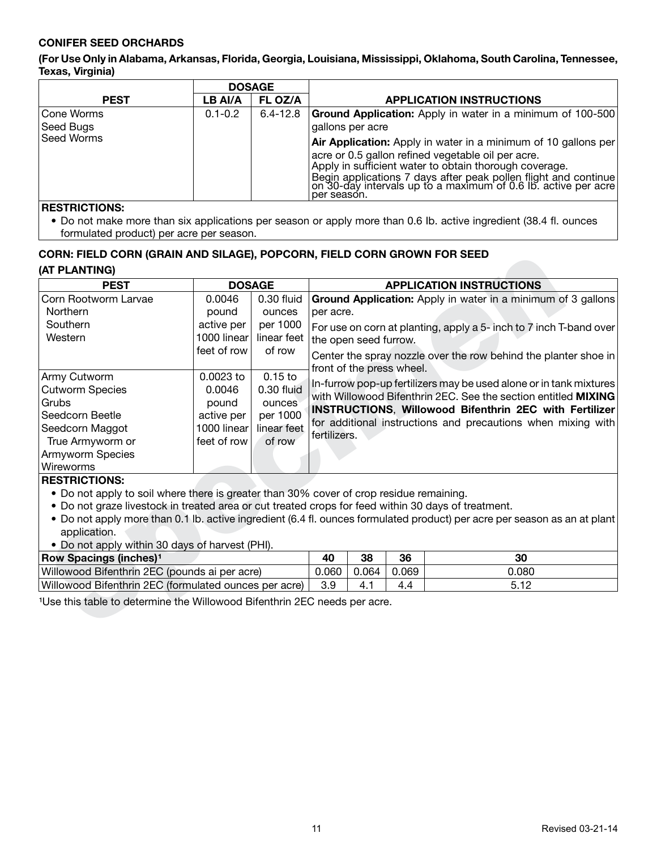# **CONIFER SEED ORCHARDS**

**(For Use Only in Alabama, Arkansas, Florida, Georgia, Louisiana, Mississippi, Oklahoma, South Carolina, Tennessee, Texas, Virginia)**

|                   | <b>DOSAGE</b> |              |                                                                                                                                                                                                                                                                                                                                    |  |  |  |
|-------------------|---------------|--------------|------------------------------------------------------------------------------------------------------------------------------------------------------------------------------------------------------------------------------------------------------------------------------------------------------------------------------------|--|--|--|
| <b>PEST</b>       | LB AI/A       | FL OZ/A      | <b>APPLICATION INSTRUCTIONS</b>                                                                                                                                                                                                                                                                                                    |  |  |  |
| Cone Worms        | $0.1 - 0.2$   | $6.4 - 12.8$ | <b>Ground Application:</b> Apply in water in a minimum of 100-500                                                                                                                                                                                                                                                                  |  |  |  |
| Seed Bugs         |               |              | gallons per acre                                                                                                                                                                                                                                                                                                                   |  |  |  |
| <b>Seed Worms</b> |               |              | Air Application: Apply in water in a minimum of 10 gallons per<br>acre or 0.5 gallon refined vegetable oil per acre.<br>Apply in sufficient water to obtain thorough coverage.<br>Begin applications 7 days after peak pollen flight and continue<br>on 30-day intervals up to a maximum of 0.6 lb. active per acre<br>per season. |  |  |  |

## **RESTRICTIONS:**

• Do not make more than six applications per season or apply more than 0.6 Ib. active ingredient (38.4 fl. ounces formulated product) per acre per season.

## **CORN: FIELD CORN (GRAIN AND SILAGE), POPCORN, FIELD CORN GROWN FOR SEED (AT PLANTING)**

| <b>PEST</b>                                                                                                                                                                        | <b>DOSAGE</b>                                                            |                                                                                                                                                                                                                                                                                                                                       | <b>APPLICATION INSTRUCTIONS</b>                                                                                                                                                                                                                                                                                                                                                                                                                                                                                                                                                                                      |       |       |       |  |
|------------------------------------------------------------------------------------------------------------------------------------------------------------------------------------|--------------------------------------------------------------------------|---------------------------------------------------------------------------------------------------------------------------------------------------------------------------------------------------------------------------------------------------------------------------------------------------------------------------------------|----------------------------------------------------------------------------------------------------------------------------------------------------------------------------------------------------------------------------------------------------------------------------------------------------------------------------------------------------------------------------------------------------------------------------------------------------------------------------------------------------------------------------------------------------------------------------------------------------------------------|-------|-------|-------|--|
| Corn Rootworm Larvae<br>Northern<br>Southern<br>Western                                                                                                                            | 0.0046<br>pound<br>active per<br>1000 linear<br>feet of row              | 0.30 fluid<br>Ground Application: Apply in water in a minimum of 3 gallons<br>ounces<br>per acre.<br>per 1000<br>For use on corn at planting, apply a 5- inch to 7 inch T-band over<br>linear feet<br>the open seed furrow.<br>of row<br>Center the spray nozzle over the row behind the planter shoe in<br>front of the press wheel. |                                                                                                                                                                                                                                                                                                                                                                                                                                                                                                                                                                                                                      |       |       |       |  |
| Army Cutworm<br><b>Cutworm Species</b><br>Grubs<br>Seedcorn Beetle<br>Seedcorn Maggot<br>True Armyworm or<br>Armyworm Species<br>Wireworms<br><b>RESTRICTIONS:</b><br>application. | 0.0023 to<br>0.0046<br>pound<br>active per<br>1000 linear<br>feet of row | $0.15$ to<br>0.30 fluid<br>ounces<br>per 1000<br>linear feet<br>of row                                                                                                                                                                                                                                                                | In-furrow pop-up fertilizers may be used alone or in tank mixtures<br>with Willowood Bifenthrin 2EC. See the section entitled MIXING<br><b>INSTRUCTIONS, Willowood Bifenthrin 2EC with Fertilizer</b><br>for additional instructions and precautions when mixing with<br>fertilizers.<br>• Do not apply to soil where there is greater than 30% cover of crop residue remaining.<br>. Do not graze livestock in treated area or cut treated crops for feed within 30 days of treatment.<br>. Do not apply more than 0.1 lb. active ingredient (6.4 fl. ounces formulated product) per acre per season as an at plant |       |       |       |  |
| . Do not apply within 30 days of harvest (PHI).                                                                                                                                    |                                                                          |                                                                                                                                                                                                                                                                                                                                       |                                                                                                                                                                                                                                                                                                                                                                                                                                                                                                                                                                                                                      |       |       |       |  |
| <b>Row Spacings (inches)<sup>1</sup></b>                                                                                                                                           |                                                                          |                                                                                                                                                                                                                                                                                                                                       | 40                                                                                                                                                                                                                                                                                                                                                                                                                                                                                                                                                                                                                   | 38    | 36    | 30    |  |
| Willowood Bifenthrin 2EC (pounds ai per acre)                                                                                                                                      |                                                                          |                                                                                                                                                                                                                                                                                                                                       | 0.060                                                                                                                                                                                                                                                                                                                                                                                                                                                                                                                                                                                                                | 0.064 | 0.069 | 0.080 |  |
| Willowood Bifenthrin 2EC (formulated ounces per acre)                                                                                                                              |                                                                          |                                                                                                                                                                                                                                                                                                                                       | 3.9                                                                                                                                                                                                                                                                                                                                                                                                                                                                                                                                                                                                                  | 4.1   | 4.4   | 5.12  |  |

- Do not apply to soil where there is greater than 30% cover of crop residue remaining.
- Do not graze livestock in treated area or cut treated crops for feed within 30 days of treatment.
- Do not apply more than 0.1 lb. active ingredient (6.4 fl. ounces formulated product) per acre per season as an at plant application.
- Do not apply within 30 days of harvest (PHI).

| <b>Row Spacings (inches)<sup>1</sup></b>              | 40    | 38    | 36    | 30    |
|-------------------------------------------------------|-------|-------|-------|-------|
| Willowood Bifenthrin 2EC (pounds ai per acre)         | 0.060 | 0.064 | 0.069 | 080.١ |
| Willowood Bifenthrin 2EC (formulated ounces per acre) |       |       |       | E 10  |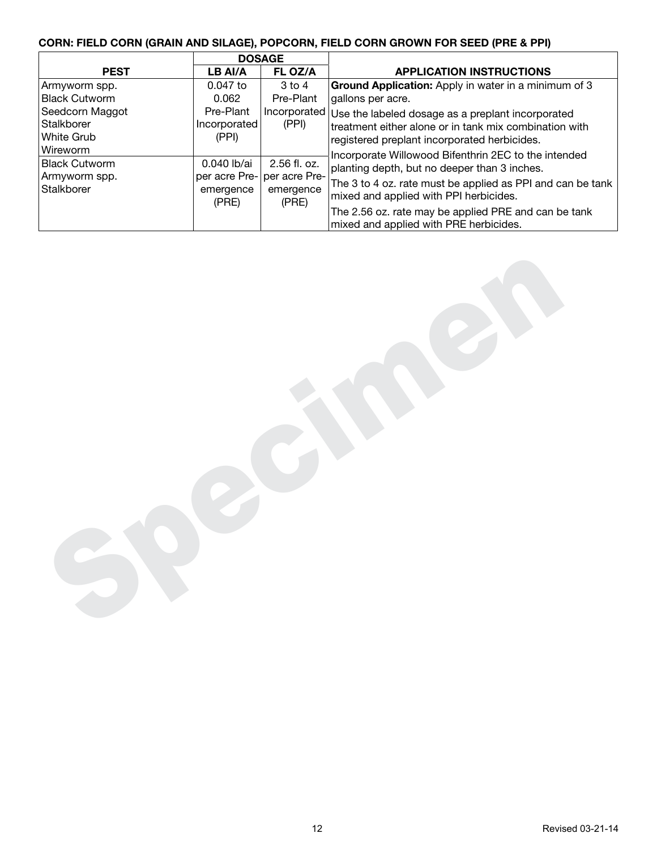# **CORN: FIELD CORN (GRAIN AND SILAGE), POPCORN, FIELD CORN GROWN FOR SEED (PRE & PPI)**

|                                                                 |                                    | <b>DOSAGE</b>                                                       |                                                                                                                                                                                                                                                                                                                |
|-----------------------------------------------------------------|------------------------------------|---------------------------------------------------------------------|----------------------------------------------------------------------------------------------------------------------------------------------------------------------------------------------------------------------------------------------------------------------------------------------------------------|
| <b>PEST</b>                                                     | LB AI/A                            | FL OZ/A                                                             | <b>APPLICATION INSTRUCTIONS</b>                                                                                                                                                                                                                                                                                |
| Armyworm spp.                                                   | $0.047$ to                         | $3$ to $4$                                                          | Ground Application: Apply in water in a minimum of 3                                                                                                                                                                                                                                                           |
| <b>Black Cutworm</b>                                            | 0.062                              | Pre-Plant                                                           | gallons per acre.                                                                                                                                                                                                                                                                                              |
| Seedcorn Maggot<br>Stalkborer<br>White Grub                     | Pre-Plant<br>Incorporated<br>(PPI) | (PPI)                                                               | Incorporated Use the labeled dosage as a preplant incorporated<br>treatment either alone or in tank mix combination with<br>registered preplant incorporated herbicides.                                                                                                                                       |
| Wireworm<br><b>Black Cutworm</b><br>Armyworm spp.<br>Stalkborer | 0.040 lb/ai<br>emergence<br>(PRE)  | $2.56$ fl. oz.<br>per acre Pre- per acre Pre-<br>emergence<br>(PRE) | Incorporate Willowood Bifenthrin 2EC to the intended<br>planting depth, but no deeper than 3 inches.<br>The 3 to 4 oz. rate must be applied as PPI and can be tank<br>mixed and applied with PPI herbicides.<br>The 2.56 oz. rate may be applied PRE and can be tank<br>mixed and applied with PRE herbicides. |

Specimen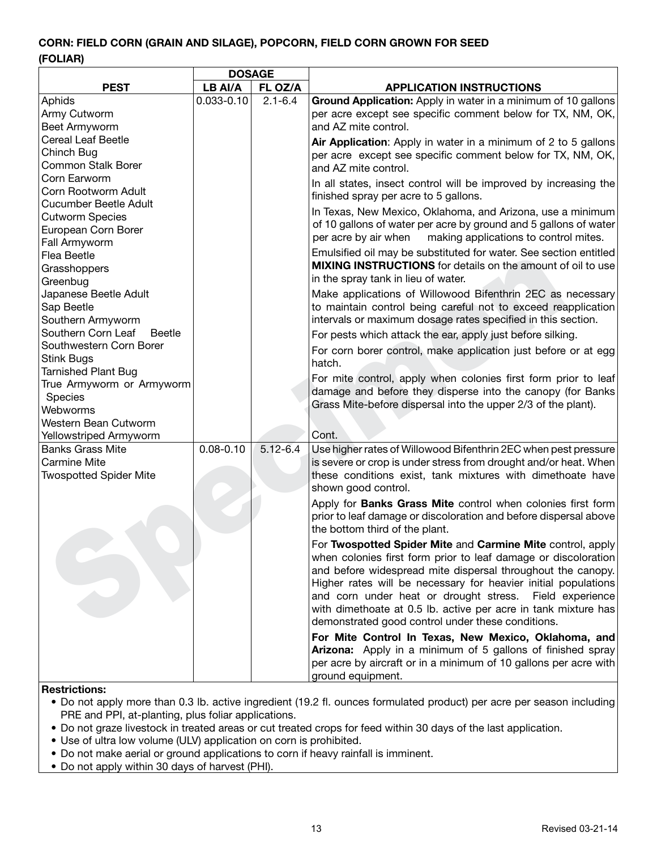# **CORN: FIELD CORN (GRAIN AND SILAGE), POPCORN, FIELD CORN GROWN FOR SEED (FOLIAR)**

|                                          | <b>DOSAGE</b>  |              |                                                                   |
|------------------------------------------|----------------|--------------|-------------------------------------------------------------------|
| <b>PEST</b>                              | LB AI/A        | FL OZ/A      | <b>APPLICATION INSTRUCTIONS</b>                                   |
| Aphids                                   | $0.033 - 0.10$ | $2.1 - 6.4$  | Ground Application: Apply in water in a minimum of 10 gallons     |
| Army Cutworm                             |                |              | per acre except see specific comment below for TX, NM, OK,        |
| Beet Armyworm                            |                |              | and AZ mite control.                                              |
| <b>Cereal Leaf Beetle</b>                |                |              | Air Application: Apply in water in a minimum of 2 to 5 gallons    |
| Chinch Bug                               |                |              | per acre except see specific comment below for TX, NM, OK,        |
| <b>Common Stalk Borer</b>                |                |              | and AZ mite control.                                              |
| Corn Earworm                             |                |              | In all states, insect control will be improved by increasing the  |
| Corn Rootworm Adult                      |                |              | finished spray per acre to 5 gallons.                             |
| <b>Cucumber Beetle Adult</b>             |                |              | In Texas, New Mexico, Oklahoma, and Arizona, use a minimum        |
| <b>Cutworm Species</b>                   |                |              | of 10 gallons of water per acre by ground and 5 gallons of water  |
| European Corn Borer                      |                |              | per acre by air when<br>making applications to control mites.     |
| Fall Armyworm                            |                |              | Emulsified oil may be substituted for water. See section entitled |
| Flea Beetle                              |                |              | MIXING INSTRUCTIONS for details on the amount of oil to use       |
| Grasshoppers                             |                |              | in the spray tank in lieu of water.                               |
| Greenbug                                 |                |              |                                                                   |
| Japanese Beetle Adult                    |                |              | Make applications of Willowood Bifenthrin 2EC as necessary        |
| Sap Beetle                               |                |              | to maintain control being careful not to exceed reapplication     |
| Southern Armyworm<br>Southern Corn Leaf  |                |              | intervals or maximum dosage rates specified in this section.      |
| <b>Beetle</b><br>Southwestern Corn Borer |                |              | For pests which attack the ear, apply just before silking.        |
| <b>Stink Bugs</b>                        |                |              | For corn borer control, make application just before or at egg    |
| <b>Tarnished Plant Bug</b>               |                |              | hatch.                                                            |
| True Armyworm or Armyworm                |                |              | For mite control, apply when colonies first form prior to leaf    |
| Species                                  |                |              | damage and before they disperse into the canopy (for Banks        |
| Webworms                                 |                |              | Grass Mite-before dispersal into the upper 2/3 of the plant).     |
| Western Bean Cutworm                     |                |              |                                                                   |
| Yellowstriped Armyworm                   |                |              | Cont.                                                             |
| <b>Banks Grass Mite</b>                  | $0.08 - 0.10$  | $5.12 - 6.4$ | Use higher rates of Willowood Bifenthrin 2EC when pest pressure   |
| <b>Carmine Mite</b>                      |                |              | is severe or crop is under stress from drought and/or heat. When  |
| <b>Twospotted Spider Mite</b>            |                |              | these conditions exist, tank mixtures with dimethoate have        |
|                                          |                |              | shown good control.                                               |
|                                          |                |              | Apply for Banks Grass Mite control when colonies first form       |
|                                          |                |              | prior to leaf damage or discoloration and before dispersal above  |
|                                          |                |              | the bottom third of the plant.                                    |
|                                          |                |              | For Twospotted Spider Mite and Carmine Mite control, apply        |
|                                          |                |              | when colonies first form prior to leaf damage or discoloration    |
|                                          |                |              | and before widespread mite dispersal throughout the canopy.       |
|                                          |                |              | Higher rates will be necessary for heavier initial populations    |
|                                          |                |              | and corn under heat or drought stress.<br>Field experience        |
|                                          |                |              | with dimethoate at 0.5 lb. active per acre in tank mixture has    |
|                                          |                |              | demonstrated good control under these conditions.                 |
|                                          |                |              | For Mite Control In Texas, New Mexico, Oklahoma, and              |
|                                          |                |              | Arizona: Apply in a minimum of 5 gallons of finished spray        |
|                                          |                |              | per acre by aircraft or in a minimum of 10 gallons per acre with  |
|                                          |                |              | ground equipment.                                                 |
|                                          |                |              |                                                                   |

#### **Restrictions:**

- Do not apply more than 0.3 lb. active ingredient (19.2 fl. ounces formulated product) per acre per season including PRE and PPI, at-planting, plus foliar applications.
- Do not graze livestock in treated areas or cut treated crops for feed within 30 days of the last application.
- Use of ultra low volume (ULV) application on corn is prohibited.
- Do not make aerial or ground applications to corn if heavy rainfall is imminent.
- Do not apply within 30 days of harvest (PHI).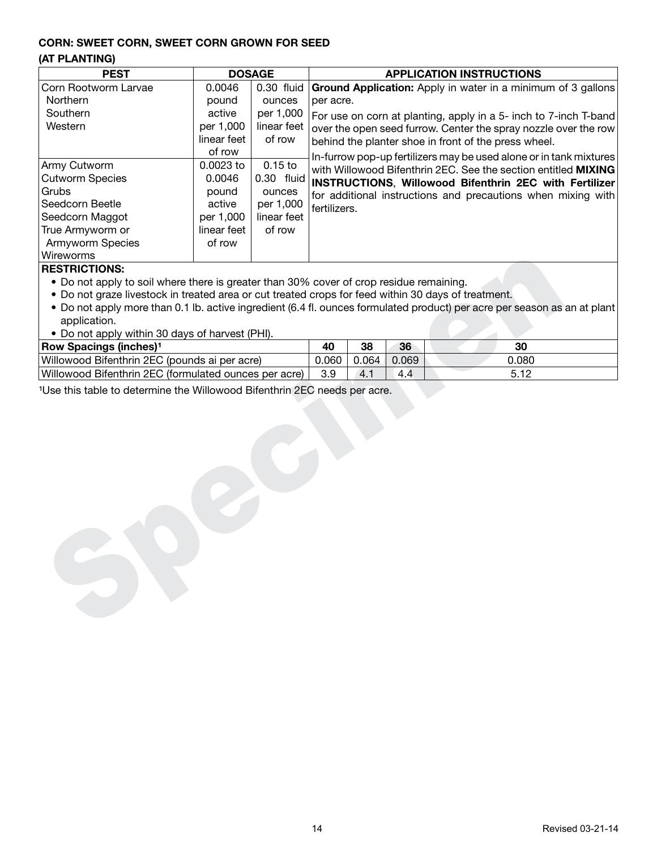## **CORN: SWEET CORN, SWEET CORN GROWN FOR SEED**

# **(AT PLANTING)**

|             |              | <b>APPLICATION INSTRUCTIONS</b>                                                                 |
|-------------|--------------|-------------------------------------------------------------------------------------------------|
| 0.0046      | $0.30$ fluid | <b>Ground Application:</b> Apply in water in a minimum of 3 gallons                             |
| pound       | ounces       | per acre.                                                                                       |
| active      | per 1,000    | For use on corn at planting, apply in a 5- inch to 7-inch T-band                                |
| per 1,000   | linear feet  | over the open seed furrow. Center the spray nozzle over the row                                 |
| linear feet | of row       | behind the planter shoe in front of the press wheel.                                            |
| of row      |              | In-furrow pop-up fertilizers may be used alone or in tank mixtures                              |
| $0.0023$ to | $0.15$ to    | with Willowood Bifenthrin 2EC. See the section entitled MIXING                                  |
| 0.0046      |              | $\mid$ $0.30$ $\mid$ fluid $\mid$ INSTRUCTIONS, Willowood Bifenthrin 2EC with Fertilizer $\mid$ |
| pound       | ounces       | for additional instructions and precautions when mixing with                                    |
| active      | per 1,000    | fertilizers.                                                                                    |
| per 1,000   | linear feet  |                                                                                                 |
| linear feet | of row       |                                                                                                 |
| of row      |              |                                                                                                 |
|             |              |                                                                                                 |
|             |              | <b>DOSAGE</b>                                                                                   |

#### **RESTRICTIONS:**

- Do not apply to soil where there is greater than 30% cover of crop residue remaining.
- Do not graze livestock in treated area or cut treated crops for feed within 30 days of treatment.
- Do not apply more than 0.1 lb. active ingredient (6.4 fl. ounces formulated product) per acre per season as an at plant application.
- Do not apply within 30 days of harvest (PHI).

| Wireworms                                                                                                                                 |       |       |       |       |
|-------------------------------------------------------------------------------------------------------------------------------------------|-------|-------|-------|-------|
| <b>RESTRICTIONS:</b>                                                                                                                      |       |       |       |       |
| • Do not apply to soil where there is greater than 30% cover of crop residue remaining.                                                   |       |       |       |       |
| . Do not graze livestock in treated area or cut treated crops for feed within 30 days of treatment.                                       |       |       |       |       |
| . Do not apply more than 0.1 lb. active ingredient (6.4 fl. ounces formulated product) per acre per season as an at plant<br>application. |       |       |       |       |
| • Do not apply within 30 days of harvest (PHI).                                                                                           |       |       |       |       |
| Row Spacings (inches) <sup>1</sup>                                                                                                        | 40    | 38    | 36    | 30    |
| Willowood Bifenthrin 2EC (pounds ai per acre)                                                                                             | 0.060 | 0.064 | 0.069 | 0.080 |
| Willowood Bifenthrin 2EC (formulated ounces per acre)                                                                                     | 3.9   | 4.1   | 4.4   | 5.12  |
| <sup>1</sup> Use this table to determine the Willowood Bifenthrin 2EC needs per acre.                                                     |       |       |       |       |
|                                                                                                                                           |       |       |       |       |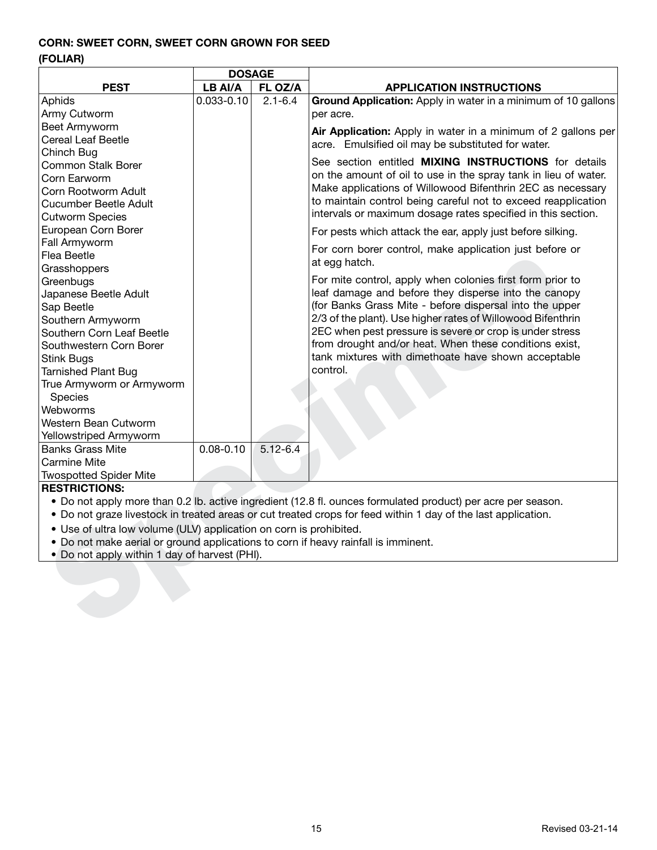# **CORN: SWEET CORN, SWEET CORN GROWN FOR SEED**

# **(FOLIAR)**

|                                                                                    | <b>DOSAGE</b>  |              |                                                                                                               |  |  |  |  |
|------------------------------------------------------------------------------------|----------------|--------------|---------------------------------------------------------------------------------------------------------------|--|--|--|--|
| <b>PEST</b>                                                                        | LB AI/A        | FL OZ/A      | <b>APPLICATION INSTRUCTIONS</b>                                                                               |  |  |  |  |
| Aphids                                                                             | $0.033 - 0.10$ | $2.1 - 6.4$  | Ground Application: Apply in water in a minimum of 10 gallons                                                 |  |  |  |  |
| Army Cutworm                                                                       |                |              | per acre.                                                                                                     |  |  |  |  |
| <b>Beet Armyworm</b>                                                               |                |              | Air Application: Apply in water in a minimum of 2 gallons per                                                 |  |  |  |  |
| <b>Cereal Leaf Beetle</b>                                                          |                |              | acre. Emulsified oil may be substituted for water.                                                            |  |  |  |  |
| Chinch Bug                                                                         |                |              |                                                                                                               |  |  |  |  |
| Common Stalk Borer                                                                 |                |              | See section entitled MIXING INSTRUCTIONS for details                                                          |  |  |  |  |
| Corn Earworm                                                                       |                |              | on the amount of oil to use in the spray tank in lieu of water.                                               |  |  |  |  |
| Corn Rootworm Adult                                                                |                |              | Make applications of Willowood Bifenthrin 2EC as necessary                                                    |  |  |  |  |
| <b>Cucumber Beetle Adult</b>                                                       |                |              | to maintain control being careful not to exceed reapplication                                                 |  |  |  |  |
| <b>Cutworm Species</b>                                                             |                |              | intervals or maximum dosage rates specified in this section.                                                  |  |  |  |  |
| European Corn Borer                                                                |                |              | For pests which attack the ear, apply just before silking.                                                    |  |  |  |  |
| Fall Armyworm                                                                      |                |              | For corn borer control, make application just before or                                                       |  |  |  |  |
| Flea Beetle                                                                        |                |              | at egg hatch.                                                                                                 |  |  |  |  |
| Grasshoppers                                                                       |                |              |                                                                                                               |  |  |  |  |
| Greenbugs                                                                          |                |              | For mite control, apply when colonies first form prior to                                                     |  |  |  |  |
| Japanese Beetle Adult                                                              |                |              | leaf damage and before they disperse into the canopy                                                          |  |  |  |  |
| Sap Beetle                                                                         |                |              | (for Banks Grass Mite - before dispersal into the upper                                                       |  |  |  |  |
| Southern Armyworm                                                                  |                |              | 2/3 of the plant). Use higher rates of Willowood Bifenthrin                                                   |  |  |  |  |
| Southern Corn Leaf Beetle                                                          |                |              | 2EC when pest pressure is severe or crop is under stress                                                      |  |  |  |  |
| Southwestern Corn Borer                                                            |                |              | from drought and/or heat. When these conditions exist,                                                        |  |  |  |  |
| Stink Bugs                                                                         |                |              | tank mixtures with dimethoate have shown acceptable                                                           |  |  |  |  |
| <b>Tarnished Plant Bug</b>                                                         |                |              | control.                                                                                                      |  |  |  |  |
| True Armyworm or Armyworm                                                          |                |              |                                                                                                               |  |  |  |  |
| Species                                                                            |                |              |                                                                                                               |  |  |  |  |
| Webworms                                                                           |                |              |                                                                                                               |  |  |  |  |
| Western Bean Cutworm                                                               |                |              |                                                                                                               |  |  |  |  |
| Yellowstriped Armyworm                                                             |                |              |                                                                                                               |  |  |  |  |
| <b>Banks Grass Mite</b>                                                            | $0.08 - 0.10$  | $5.12 - 6.4$ |                                                                                                               |  |  |  |  |
| Carmine Mite                                                                       |                |              |                                                                                                               |  |  |  |  |
| <b>Twospotted Spider Mite</b>                                                      |                |              |                                                                                                               |  |  |  |  |
| <b>RESTRICTIONS:</b>                                                               |                |              |                                                                                                               |  |  |  |  |
|                                                                                    |                |              | • Do not apply more than 0.2 lb. active ingredient (12.8 fl. ounces formulated product) per acre per season.  |  |  |  |  |
|                                                                                    |                |              | . Do not graze livestock in treated areas or cut treated crops for feed within 1 day of the last application. |  |  |  |  |
| • Use of ultra low volume (ULV) application on corn is prohibited.                 |                |              |                                                                                                               |  |  |  |  |
| . Do not make aerial or ground applications to corn if heavy rainfall is imminent. |                |              |                                                                                                               |  |  |  |  |
| . Do not apply within 1 day of harvest (PHI).                                      |                |              |                                                                                                               |  |  |  |  |
|                                                                                    |                |              |                                                                                                               |  |  |  |  |
|                                                                                    |                |              |                                                                                                               |  |  |  |  |
|                                                                                    |                |              |                                                                                                               |  |  |  |  |
|                                                                                    |                |              |                                                                                                               |  |  |  |  |
|                                                                                    |                |              |                                                                                                               |  |  |  |  |

- Do not graze livestock in treated areas or cut treated crops for feed within 1 day of the last application.
- Use of ultra low volume (ULV) application on corn is prohibited.
- Do not make aerial or ground applications to corn if heavy rainfall is imminent.
- Do not apply within 1 day of harvest (PHI).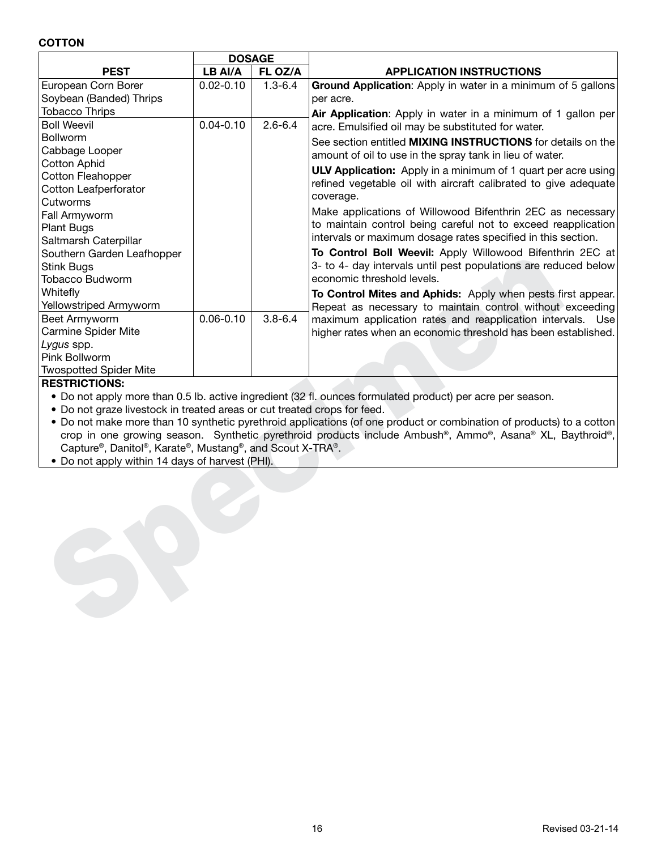#### **COTTON**

|                                                                          | <b>DOSAGE</b> |             |                                                                                                                      |  |  |  |
|--------------------------------------------------------------------------|---------------|-------------|----------------------------------------------------------------------------------------------------------------------|--|--|--|
| <b>PEST</b>                                                              | LB AI/A       | FL OZ/A     | <b>APPLICATION INSTRUCTIONS</b>                                                                                      |  |  |  |
| European Corn Borer                                                      | $0.02 - 0.10$ | $1.3 - 6.4$ | Ground Application: Apply in water in a minimum of 5 gallons                                                         |  |  |  |
| Soybean (Banded) Thrips                                                  |               |             | per acre.                                                                                                            |  |  |  |
| <b>Tobacco Thrips</b>                                                    |               |             | Air Application: Apply in water in a minimum of 1 gallon per                                                         |  |  |  |
| <b>Boll Weevil</b>                                                       | $0.04 - 0.10$ | $2.6 - 6.4$ | acre. Emulsified oil may be substituted for water.                                                                   |  |  |  |
| <b>Bollworm</b>                                                          |               |             | See section entitled <b>MIXING INSTRUCTIONS</b> for details on the                                                   |  |  |  |
| Cabbage Looper                                                           |               |             | amount of oil to use in the spray tank in lieu of water.                                                             |  |  |  |
| <b>Cotton Aphid</b>                                                      |               |             | <b>ULV Application:</b> Apply in a minimum of 1 quart per acre using                                                 |  |  |  |
| <b>Cotton Fleahopper</b>                                                 |               |             | refined vegetable oil with aircraft calibrated to give adequate                                                      |  |  |  |
| <b>Cotton Leafperforator</b>                                             |               |             | coverage.                                                                                                            |  |  |  |
| Cutworms                                                                 |               |             |                                                                                                                      |  |  |  |
| <b>Fall Armyworm</b>                                                     |               |             | Make applications of Willowood Bifenthrin 2EC as necessary                                                           |  |  |  |
| Plant Bugs                                                               |               |             | to maintain control being careful not to exceed reapplication                                                        |  |  |  |
| Saltmarsh Caterpillar                                                    |               |             | intervals or maximum dosage rates specified in this section.                                                         |  |  |  |
| Southern Garden Leafhopper                                               |               |             | To Control Boll Weevil: Apply Willowood Bifenthrin 2EC at                                                            |  |  |  |
| <b>Stink Bugs</b>                                                        |               |             | 3- to 4- day intervals until pest populations are reduced below                                                      |  |  |  |
| Tobacco Budworm                                                          |               |             | economic threshold levels.                                                                                           |  |  |  |
| Whitefly                                                                 |               |             | To Control Mites and Aphids: Apply when pests first appear.                                                          |  |  |  |
| Yellowstriped Armyworm                                                   |               |             | Repeat as necessary to maintain control without exceeding                                                            |  |  |  |
| Beet Armyworm                                                            | $0.06 - 0.10$ | $3.8 - 6.4$ | maximum application rates and reapplication intervals. Use                                                           |  |  |  |
| <b>Carmine Spider Mite</b>                                               |               |             | higher rates when an economic threshold has been established.                                                        |  |  |  |
| Lygus spp.                                                               |               |             |                                                                                                                      |  |  |  |
| Pink Bollworm                                                            |               |             |                                                                                                                      |  |  |  |
| <b>Twospotted Spider Mite</b>                                            |               |             |                                                                                                                      |  |  |  |
| <b>RESTRICTIONS:</b>                                                     |               |             |                                                                                                                      |  |  |  |
|                                                                          |               |             | • Do not apply more than 0.5 lb. active ingredient (32 fl. ounces formulated product) per acre per season.           |  |  |  |
| . Do not graze livestock in treated areas or cut treated crops for feed. |               |             |                                                                                                                      |  |  |  |
|                                                                          |               |             | • Do not make more than 10 synthetic pyrethroid applications (of one product or combination of products) to a cotton |  |  |  |
|                                                                          |               |             | crop in one growing season. Synthetic pyrethroid products include Ambush®, Ammo®, Asana® XL, Baythroid®,             |  |  |  |
| Capture®, Danitol®, Karate®, Mustang®, and Scout X-TRA®.                 |               |             |                                                                                                                      |  |  |  |
| • Do not apply within 14 days of harvest (PHI).                          |               |             |                                                                                                                      |  |  |  |
|                                                                          |               |             |                                                                                                                      |  |  |  |
|                                                                          |               |             |                                                                                                                      |  |  |  |
|                                                                          |               |             |                                                                                                                      |  |  |  |
|                                                                          |               |             |                                                                                                                      |  |  |  |
|                                                                          |               |             |                                                                                                                      |  |  |  |
|                                                                          |               |             |                                                                                                                      |  |  |  |
|                                                                          |               |             |                                                                                                                      |  |  |  |
|                                                                          |               |             |                                                                                                                      |  |  |  |
|                                                                          |               |             |                                                                                                                      |  |  |  |
|                                                                          |               |             |                                                                                                                      |  |  |  |
|                                                                          |               |             |                                                                                                                      |  |  |  |
|                                                                          |               |             |                                                                                                                      |  |  |  |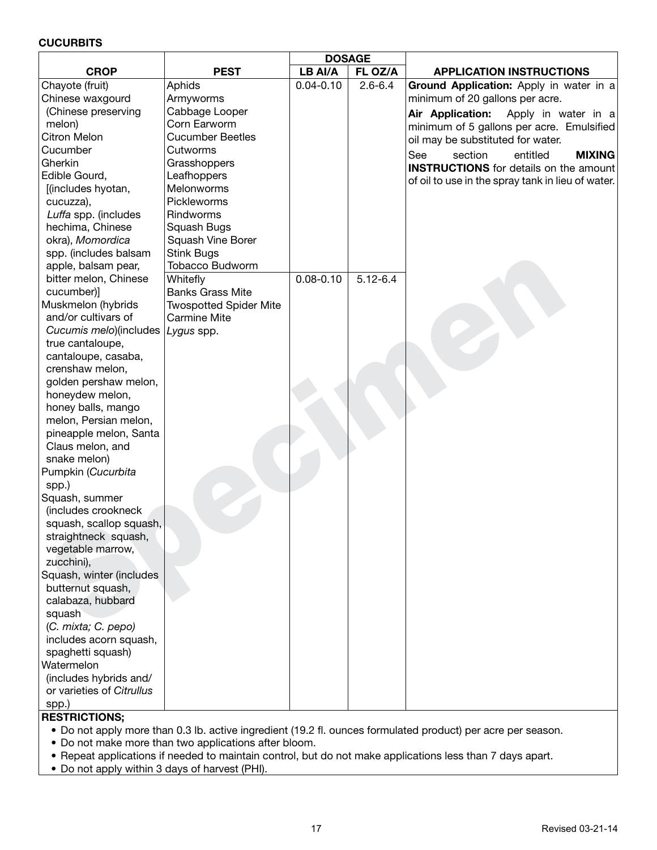#### **CUCURBITS**

|                           |                               | <b>DOSAGE</b> |              |                                                                                              |
|---------------------------|-------------------------------|---------------|--------------|----------------------------------------------------------------------------------------------|
| <b>CROP</b>               | <b>PEST</b>                   | LB AI/A       | FL OZ/A      | <b>APPLICATION INSTRUCTIONS</b>                                                              |
| Chayote (fruit)           | Aphids                        | $0.04 - 0.10$ | $2.6 - 6.4$  | Ground Application: Apply in water in a                                                      |
| Chinese waxgourd          | Armyworms                     |               |              | minimum of 20 gallons per acre.                                                              |
| (Chinese preserving       | Cabbage Looper                |               |              | Air Application:<br>Apply in water in a                                                      |
| melon)                    | Corn Earworm                  |               |              | minimum of 5 gallons per acre. Emulsified                                                    |
| <b>Citron Melon</b>       | <b>Cucumber Beetles</b>       |               |              | oil may be substituted for water.                                                            |
| Cucumber                  | Cutworms                      |               |              |                                                                                              |
| Gherkin                   | Grasshoppers                  |               |              | See<br>section<br>entitled<br><b>MIXING</b><br><b>INSTRUCTIONS</b> for details on the amount |
| Edible Gourd,             | Leafhoppers                   |               |              |                                                                                              |
| [(includes hyotan,        | Melonworms                    |               |              | of oil to use in the spray tank in lieu of water.                                            |
| cucuzza),                 | Pickleworms                   |               |              |                                                                                              |
| Luffa spp. (includes      | Rindworms                     |               |              |                                                                                              |
| hechima, Chinese          | Squash Bugs                   |               |              |                                                                                              |
| okra), Momordica          | Squash Vine Borer             |               |              |                                                                                              |
| spp. (includes balsam     | <b>Stink Bugs</b>             |               |              |                                                                                              |
| apple, balsam pear,       | <b>Tobacco Budworm</b>        |               |              |                                                                                              |
| bitter melon, Chinese     | Whitefly                      | $0.08 - 0.10$ | $5.12 - 6.4$ |                                                                                              |
| cucumber)]                | <b>Banks Grass Mite</b>       |               |              |                                                                                              |
| Muskmelon (hybrids        | <b>Twospotted Spider Mite</b> |               |              |                                                                                              |
| and/or cultivars of       | Carmine Mite                  |               |              |                                                                                              |
| Cucumis melo)(includes    | Lygus spp.                    |               |              |                                                                                              |
| true cantaloupe,          |                               |               |              |                                                                                              |
| cantaloupe, casaba,       |                               |               |              |                                                                                              |
| crenshaw melon,           |                               |               |              |                                                                                              |
| golden pershaw melon,     |                               |               |              |                                                                                              |
| honeydew melon,           |                               |               |              |                                                                                              |
| honey balls, mango        |                               |               |              |                                                                                              |
| melon, Persian melon,     |                               |               |              |                                                                                              |
| pineapple melon, Santa    |                               |               |              |                                                                                              |
| Claus melon, and          |                               |               |              |                                                                                              |
| snake melon)              |                               |               |              |                                                                                              |
| Pumpkin (Cucurbita        |                               |               |              |                                                                                              |
| spp.)                     |                               |               |              |                                                                                              |
| Squash, summer            |                               |               |              |                                                                                              |
| (includes crookneck       |                               |               |              |                                                                                              |
| squash, scallop squash,   |                               |               |              |                                                                                              |
| straightneck squash,      |                               |               |              |                                                                                              |
| vegetable marrow,         |                               |               |              |                                                                                              |
| zucchini),                |                               |               |              |                                                                                              |
| Squash, winter (includes  |                               |               |              |                                                                                              |
| butternut squash,         |                               |               |              |                                                                                              |
| calabaza, hubbard         |                               |               |              |                                                                                              |
| squash                    |                               |               |              |                                                                                              |
| (C. mixta; C. pepo)       |                               |               |              |                                                                                              |
| includes acorn squash,    |                               |               |              |                                                                                              |
| spaghetti squash)         |                               |               |              |                                                                                              |
| Watermelon                |                               |               |              |                                                                                              |
| (includes hybrids and/    |                               |               |              |                                                                                              |
| or varieties of Citrullus |                               |               |              |                                                                                              |
|                           |                               |               |              |                                                                                              |
| spp.)                     |                               |               |              |                                                                                              |

- Do not apply more than 0.3 lb. active ingredient (19.2 fl. ounces formulated product) per acre per season.
- Do not make more than two applications after bloom.
- Repeat applications if needed to maintain control, but do not make applications less than 7 days apart.
- Do not apply within 3 days of harvest (PHI).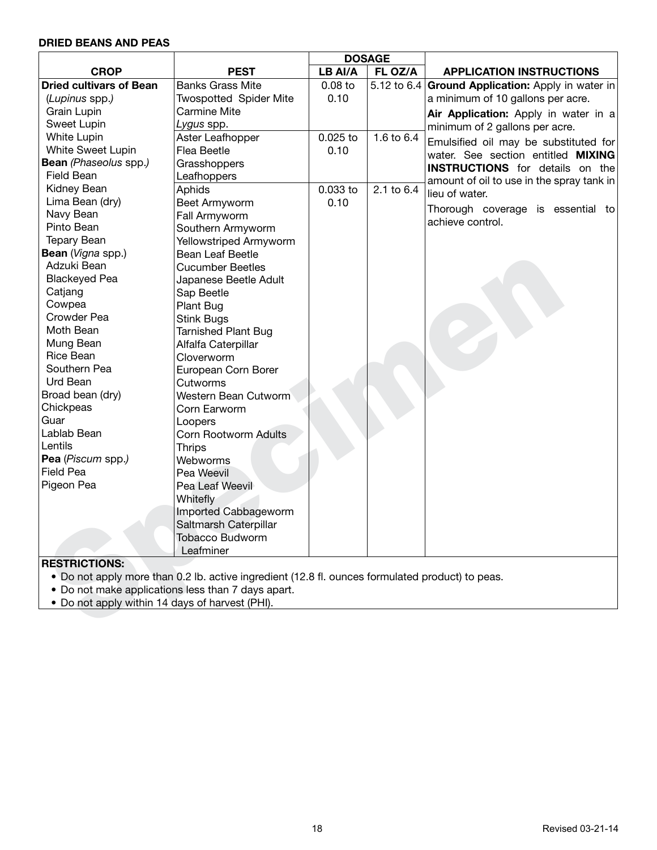# **DRIED BEANS AND PEAS**

|                                                 |                                                                                                  | <b>DOSAGE</b> |            |                                                   |
|-------------------------------------------------|--------------------------------------------------------------------------------------------------|---------------|------------|---------------------------------------------------|
| <b>CROP</b>                                     | <b>PEST</b>                                                                                      | LB AI/A       | FL OZ/A    | <b>APPLICATION INSTRUCTIONS</b>                   |
| <b>Dried cultivars of Bean</b>                  | <b>Banks Grass Mite</b>                                                                          | $0.08$ to     |            | 5.12 to 6.4 Ground Application: Apply in water in |
| (Lupinus spp.)                                  | <b>Twospotted Spider Mite</b>                                                                    | 0.10          |            | a minimum of 10 gallons per acre.                 |
| <b>Grain Lupin</b>                              | <b>Carmine Mite</b>                                                                              |               |            | Air Application: Apply in water in a              |
| Sweet Lupin                                     | Lygus spp.                                                                                       |               |            | minimum of 2 gallons per acre.                    |
| White Lupin                                     | Aster Leafhopper                                                                                 | $0.025$ to    | 1.6 to 6.4 | Emulsified oil may be substituted for             |
| White Sweet Lupin                               | Flea Beetle                                                                                      | 0.10          |            | water. See section entitled MIXING                |
| Bean (Phaseolus spp.)                           | Grasshoppers                                                                                     |               |            | <b>INSTRUCTIONS</b> for details on the            |
| Field Bean                                      | Leafhoppers                                                                                      |               |            | amount of oil to use in the spray tank in         |
| Kidney Bean                                     | Aphids                                                                                           | 0.033 to      | 2.1 to 6.4 | lieu of water.                                    |
| Lima Bean (dry)                                 | Beet Armyworm                                                                                    | 0.10          |            |                                                   |
| Navy Bean                                       | Fall Armyworm                                                                                    |               |            | Thorough coverage is essential to                 |
| Pinto Bean                                      | Southern Armyworm                                                                                |               |            | achieve control.                                  |
| <b>Tepary Bean</b>                              | Yellowstriped Armyworm                                                                           |               |            |                                                   |
| Bean (Vigna spp.)                               | Bean Leaf Beetle                                                                                 |               |            |                                                   |
| Adzuki Bean                                     | <b>Cucumber Beetles</b>                                                                          |               |            |                                                   |
| <b>Blackeyed Pea</b>                            | Japanese Beetle Adult                                                                            |               |            |                                                   |
| Catjang                                         | Sap Beetle                                                                                       |               |            |                                                   |
| Cowpea                                          | Plant Bug                                                                                        |               |            |                                                   |
| Crowder Pea                                     | <b>Stink Bugs</b>                                                                                |               |            |                                                   |
| Moth Bean                                       | <b>Tarnished Plant Bug</b>                                                                       |               |            |                                                   |
| Mung Bean                                       | Alfalfa Caterpillar                                                                              |               |            |                                                   |
| Rice Bean                                       | Cloverworm                                                                                       |               |            |                                                   |
| Southern Pea                                    | European Corn Borer                                                                              |               |            |                                                   |
| Urd Bean                                        | Cutworms                                                                                         |               |            |                                                   |
| Broad bean (dry)                                | Western Bean Cutworm                                                                             |               |            |                                                   |
| Chickpeas                                       | Corn Earworm                                                                                     |               |            |                                                   |
| Guar                                            | Loopers                                                                                          |               |            |                                                   |
| Lablab Bean                                     | <b>Corn Rootworm Adults</b>                                                                      |               |            |                                                   |
| Lentils                                         | <b>Thrips</b>                                                                                    |               |            |                                                   |
| Pea (Piscum spp.)                               | Webworms                                                                                         |               |            |                                                   |
| <b>Field Pea</b>                                | Pea Weevil                                                                                       |               |            |                                                   |
| Pigeon Pea                                      | Pea Leaf Weevil                                                                                  |               |            |                                                   |
|                                                 | Whitefly                                                                                         |               |            |                                                   |
|                                                 | Imported Cabbageworm                                                                             |               |            |                                                   |
|                                                 | Saltmarsh Caterpillar                                                                            |               |            |                                                   |
|                                                 | <b>Tobacco Budworm</b>                                                                           |               |            |                                                   |
|                                                 | Leafminer                                                                                        |               |            |                                                   |
| <b>RESTRICTIONS:</b>                            |                                                                                                  |               |            |                                                   |
|                                                 | • Do not apply more than 0.2 lb. active ingredient (12.8 fl. ounces formulated product) to peas. |               |            |                                                   |
|                                                 | • Do not make applications less than 7 days apart.                                               |               |            |                                                   |
| • Do not apply within 14 days of harvest (PHI). |                                                                                                  |               |            |                                                   |
|                                                 |                                                                                                  |               |            |                                                   |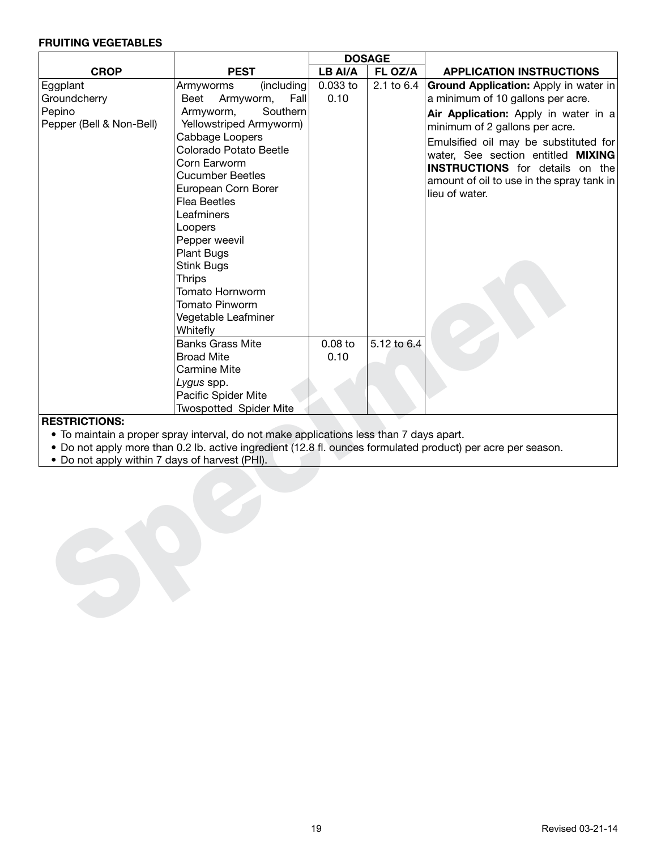#### **FRUITING VEGETABLES**

|                                                |                                                                                         | <b>DOSAGE</b> |             |                                                                                                              |  |  |  |
|------------------------------------------------|-----------------------------------------------------------------------------------------|---------------|-------------|--------------------------------------------------------------------------------------------------------------|--|--|--|
| <b>CROP</b>                                    | <b>PEST</b>                                                                             | LB AI/A       | FL OZ/A     | <b>APPLICATION INSTRUCTIONS</b>                                                                              |  |  |  |
| Eggplant                                       | (including<br>Armyworms                                                                 | 0.033 to      | 2.1 to 6.4  | Ground Application: Apply in water in                                                                        |  |  |  |
| Groundcherry                                   | Armyworm,<br>Fall<br>Beet                                                               | 0.10          |             | a minimum of 10 gallons per acre.                                                                            |  |  |  |
| Pepino                                         | Southern<br>Armyworm,                                                                   |               |             | Air Application: Apply in water in a                                                                         |  |  |  |
| Pepper (Bell & Non-Bell)                       | Yellowstriped Armyworm)                                                                 |               |             | minimum of 2 gallons per acre.                                                                               |  |  |  |
|                                                | Cabbage Loopers                                                                         |               |             | Emulsified oil may be substituted for                                                                        |  |  |  |
|                                                | Colorado Potato Beetle                                                                  |               |             | water, See section entitled MIXING                                                                           |  |  |  |
|                                                | Corn Earworm                                                                            |               |             | <b>INSTRUCTIONS</b> for details on the                                                                       |  |  |  |
|                                                | <b>Cucumber Beetles</b>                                                                 |               |             | amount of oil to use in the spray tank in                                                                    |  |  |  |
|                                                | European Corn Borer                                                                     |               |             | lieu of water.                                                                                               |  |  |  |
|                                                | <b>Flea Beetles</b>                                                                     |               |             |                                                                                                              |  |  |  |
|                                                | Leafminers                                                                              |               |             |                                                                                                              |  |  |  |
|                                                | Loopers                                                                                 |               |             |                                                                                                              |  |  |  |
|                                                | Pepper weevil                                                                           |               |             |                                                                                                              |  |  |  |
|                                                | Plant Bugs                                                                              |               |             |                                                                                                              |  |  |  |
|                                                | <b>Stink Bugs</b>                                                                       |               |             |                                                                                                              |  |  |  |
|                                                | <b>Thrips</b>                                                                           |               |             |                                                                                                              |  |  |  |
|                                                | Tomato Hornworm                                                                         |               |             |                                                                                                              |  |  |  |
|                                                | <b>Tomato Pinworm</b>                                                                   |               |             |                                                                                                              |  |  |  |
|                                                | Vegetable Leafminer                                                                     |               |             |                                                                                                              |  |  |  |
|                                                | Whitefly                                                                                |               |             |                                                                                                              |  |  |  |
|                                                | <b>Banks Grass Mite</b>                                                                 | $0.08$ to     | 5.12 to 6.4 |                                                                                                              |  |  |  |
|                                                | <b>Broad Mite</b>                                                                       | 0.10          |             |                                                                                                              |  |  |  |
|                                                | <b>Carmine Mite</b>                                                                     |               |             |                                                                                                              |  |  |  |
|                                                | Lygus spp.                                                                              |               |             |                                                                                                              |  |  |  |
|                                                | Pacific Spider Mite                                                                     |               |             |                                                                                                              |  |  |  |
|                                                | <b>Twospotted Spider Mite</b>                                                           |               |             |                                                                                                              |  |  |  |
| <b>RESTRICTIONS:</b>                           |                                                                                         |               |             |                                                                                                              |  |  |  |
|                                                | • To maintain a proper spray interval, do not make applications less than 7 days apart. |               |             |                                                                                                              |  |  |  |
|                                                |                                                                                         |               |             | • Do not apply more than 0.2 lb. active ingredient (12.8 fl. ounces formulated product) per acre per season. |  |  |  |
| • Do not apply within 7 days of harvest (PHI). |                                                                                         |               |             |                                                                                                              |  |  |  |
|                                                |                                                                                         |               |             |                                                                                                              |  |  |  |
|                                                |                                                                                         |               |             |                                                                                                              |  |  |  |
|                                                |                                                                                         |               |             |                                                                                                              |  |  |  |
|                                                |                                                                                         |               |             |                                                                                                              |  |  |  |
|                                                |                                                                                         |               |             |                                                                                                              |  |  |  |
|                                                |                                                                                         |               |             |                                                                                                              |  |  |  |
|                                                |                                                                                         |               |             |                                                                                                              |  |  |  |
|                                                |                                                                                         |               |             |                                                                                                              |  |  |  |
|                                                |                                                                                         |               |             |                                                                                                              |  |  |  |
|                                                |                                                                                         |               |             |                                                                                                              |  |  |  |
|                                                |                                                                                         |               |             |                                                                                                              |  |  |  |
|                                                |                                                                                         |               |             |                                                                                                              |  |  |  |

- To maintain a proper spray interval, do not make applications less than 7 days apart.
- Do not apply more than 0.2 lb. active ingredient (12.8 fl. ounces formulated product) per acre per season.
- Do not apply within 7 days of harvest (PHI).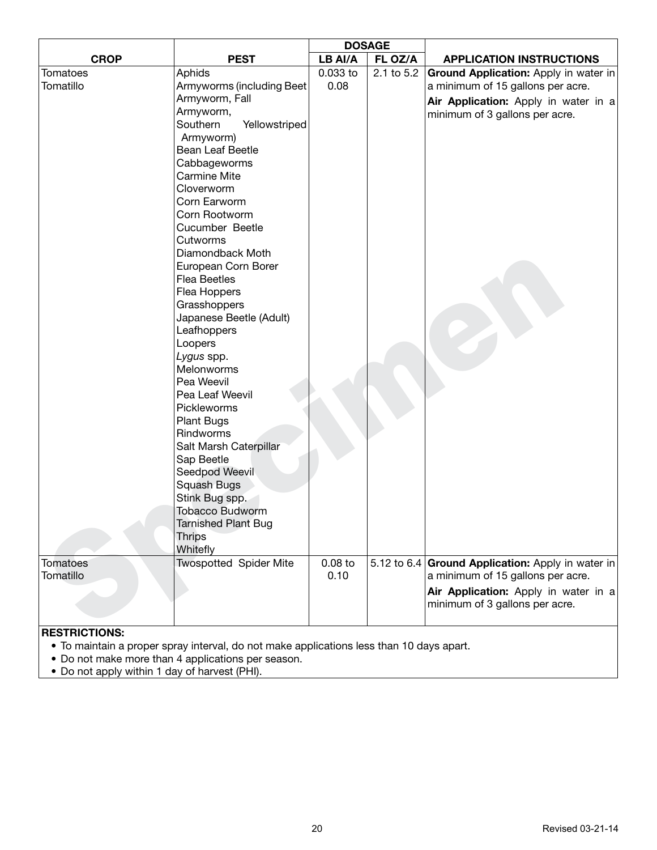|                      |                               | <b>DOSAGE</b> |            |                                                   |
|----------------------|-------------------------------|---------------|------------|---------------------------------------------------|
| <b>CROP</b>          | <b>PEST</b>                   | LB AI/A       | FL OZ/A    | <b>APPLICATION INSTRUCTIONS</b>                   |
| Tomatoes             | Aphids                        | 0.033 to      | 2.1 to 5.2 | Ground Application: Apply in water in             |
| Tomatillo            | Armyworms (including Beet     | 0.08          |            | a minimum of 15 gallons per acre.                 |
|                      | Armyworm, Fall                |               |            | Air Application: Apply in water in a              |
|                      | Armyworm,                     |               |            | minimum of 3 gallons per acre.                    |
|                      | Southern<br>Yellowstriped     |               |            |                                                   |
|                      | Armyworm)                     |               |            |                                                   |
|                      | Bean Leaf Beetle              |               |            |                                                   |
|                      | Cabbageworms                  |               |            |                                                   |
|                      | <b>Carmine Mite</b>           |               |            |                                                   |
|                      | Cloverworm                    |               |            |                                                   |
|                      | Corn Earworm                  |               |            |                                                   |
|                      | Corn Rootworm                 |               |            |                                                   |
|                      | Cucumber Beetle               |               |            |                                                   |
|                      | Cutworms                      |               |            |                                                   |
|                      | Diamondback Moth              |               |            |                                                   |
|                      | European Corn Borer           |               |            |                                                   |
|                      | <b>Flea Beetles</b>           |               |            |                                                   |
|                      | Flea Hoppers                  |               |            |                                                   |
|                      | Grasshoppers                  |               |            |                                                   |
|                      | Japanese Beetle (Adult)       |               |            |                                                   |
|                      | Leafhoppers<br>Loopers        |               |            |                                                   |
|                      | Lygus spp.                    |               |            |                                                   |
|                      | Melonworms                    |               |            |                                                   |
|                      | Pea Weevil                    |               |            |                                                   |
|                      | Pea Leaf Weevil               |               |            |                                                   |
|                      | Pickleworms                   |               |            |                                                   |
|                      | <b>Plant Bugs</b>             |               |            |                                                   |
|                      | Rindworms                     |               |            |                                                   |
|                      | Salt Marsh Caterpillar        |               |            |                                                   |
|                      | Sap Beetle                    |               |            |                                                   |
|                      | Seedpod Weevil                |               |            |                                                   |
|                      | Squash Bugs                   |               |            |                                                   |
|                      | Stink Bug spp.                |               |            |                                                   |
|                      | <b>Tobacco Budworm</b>        |               |            |                                                   |
|                      | <b>Tarnished Plant Bug</b>    |               |            |                                                   |
|                      | <b>Thrips</b>                 |               |            |                                                   |
|                      | Whitefly                      |               |            |                                                   |
| <b>Tomatoes</b>      | <b>Twospotted Spider Mite</b> | $0.08$ to     |            | 5.12 to 6.4 Ground Application: Apply in water in |
| Tomatillo            |                               | 0.10          |            | a minimum of 15 gallons per acre.                 |
|                      |                               |               |            | Air Application: Apply in water in a              |
|                      |                               |               |            | minimum of 3 gallons per acre.                    |
|                      |                               |               |            |                                                   |
| <b>RESTRICTIONS:</b> |                               |               |            |                                                   |

- To maintain a proper spray interval, do not make applications less than 10 days apart.
- Do not make more than 4 applications per season.
- Do not apply within 1 day of harvest (PHI).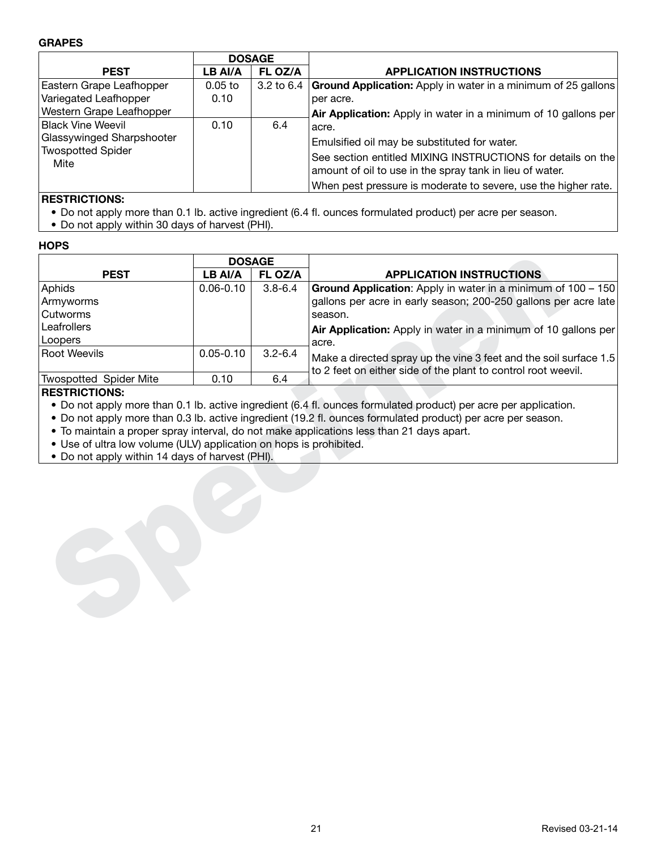#### **GRAPES**

|                                  | <b>DOSAGE</b>                                                                                                           |                |                                                                      |
|----------------------------------|-------------------------------------------------------------------------------------------------------------------------|----------------|----------------------------------------------------------------------|
| <b>PEST</b>                      | LB AI/A                                                                                                                 | FL OZ/A        | <b>APPLICATION INSTRUCTIONS</b>                                      |
| Eastern Grape Leafhopper         | $0.05$ to                                                                                                               | $3.2$ to $6.4$ | <b>Ground Application:</b> Apply in water in a minimum of 25 gallons |
| Variegated Leafhopper            | 0.10                                                                                                                    |                | per acre.                                                            |
| Western Grape Leafhopper         |                                                                                                                         |                | Air Application: Apply in water in a minimum of 10 gallons per       |
| Black Vine Weevil                | 0.10                                                                                                                    | 6.4            | aacre.                                                               |
| Glassywinged Sharpshooter        |                                                                                                                         |                | Emulsified oil may be substituted for water.                         |
| <b>Twospotted Spider</b><br>Mite | See section entitled MIXING INSTRUCTIONS for details on the<br>amount of oil to use in the spray tank in lieu of water. |                |                                                                      |
|                                  |                                                                                                                         |                | When pest pressure is moderate to severe, use the higher rate.       |

# **RESTRICTIONS:**

- Do not apply more than 0.1 lb. active ingredient (6.4 fl. ounces formulated product) per acre per season.
- Do not apply within 30 days of harvest (PHI).

#### **HOPS**

|                                                                    | <b>DOSAGE</b> |             |                                                                                                                                    |  |  |
|--------------------------------------------------------------------|---------------|-------------|------------------------------------------------------------------------------------------------------------------------------------|--|--|
| <b>PEST</b>                                                        | LB AI/A       | FL OZ/A     | <b>APPLICATION INSTRUCTIONS</b>                                                                                                    |  |  |
| Aphids                                                             | $0.06 - 0.10$ | $3.8 - 6.4$ | <b>Ground Application:</b> Apply in water in a minimum of 100 - 150                                                                |  |  |
| Armyworms                                                          |               |             | gallons per acre in early season; 200-250 gallons per acre late                                                                    |  |  |
| Cutworms                                                           |               |             | season.                                                                                                                            |  |  |
| Leafrollers                                                        |               |             | Air Application: Apply in water in a minimum of 10 gallons per                                                                     |  |  |
| Loopers                                                            |               |             | acre.                                                                                                                              |  |  |
| <b>Root Weevils</b>                                                | $0.05 - 0.10$ | $3.2 - 6.4$ | Make a directed spray up the vine 3 feet and the soil surface 1.5<br>to 2 feet on either side of the plant to control root weevil. |  |  |
| <b>Twospotted Spider Mite</b>                                      | 0.10          | 6.4         |                                                                                                                                    |  |  |
| <b>RESTRICTIONS:</b>                                               |               |             |                                                                                                                                    |  |  |
|                                                                    |               |             | • Do not apply more than 0.1 lb. active ingredient (6.4 fl. ounces formulated product) per acre per application.                   |  |  |
|                                                                    |               |             | • Do not apply more than 0.3 lb. active ingredient (19.2 fl. ounces formulated product) per acre per season.                       |  |  |
|                                                                    |               |             | • To maintain a proper spray interval, do not make applications less than 21 days apart.                                           |  |  |
| • Use of ultra low volume (ULV) application on hops is prohibited. |               |             |                                                                                                                                    |  |  |
| • Do not apply within 14 days of harvest (PHI).                    |               |             |                                                                                                                                    |  |  |
|                                                                    |               |             |                                                                                                                                    |  |  |

#### **RESTRICTIONS:**

- Use of ultra low volume (ULV) application on hops is prohibited.
- Do not apply within 14 days of harvest (PHI).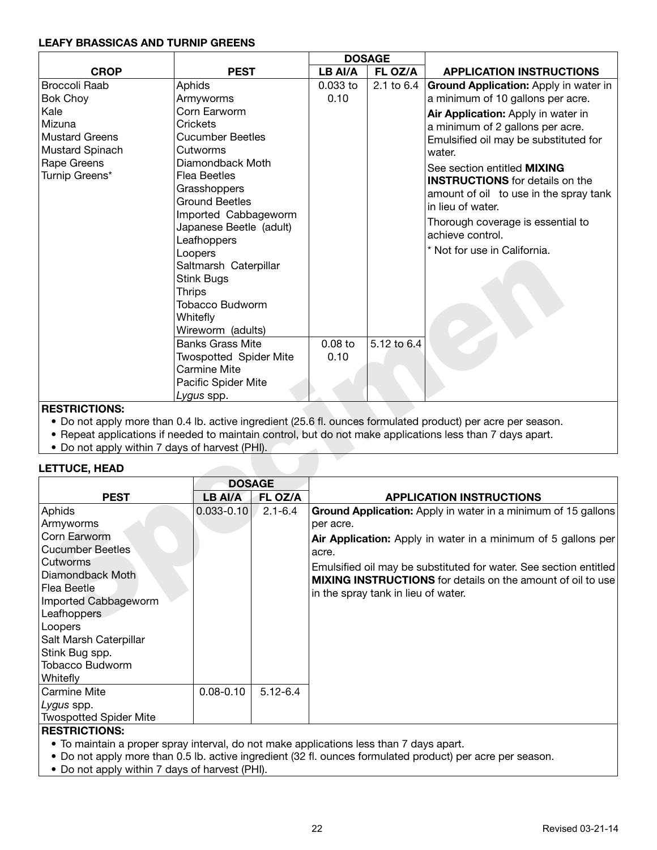#### **LEAFY BRASSICAS AND TURNIP GREENS**

|                               |                                                                                                                                                                                                                                                                                         |            | <b>DOSAGE</b> |                                                                                                                                                                                                                                      |
|-------------------------------|-----------------------------------------------------------------------------------------------------------------------------------------------------------------------------------------------------------------------------------------------------------------------------------------|------------|---------------|--------------------------------------------------------------------------------------------------------------------------------------------------------------------------------------------------------------------------------------|
| <b>CROP</b>                   | <b>PEST</b>                                                                                                                                                                                                                                                                             | LB AI/A    | FL OZ/A       | <b>APPLICATION INSTRUCTIONS</b>                                                                                                                                                                                                      |
| <b>Broccoli Raab</b>          | Aphids                                                                                                                                                                                                                                                                                  | $0.033$ to | 2.1 to 6.4    | Ground Application: Apply in water in                                                                                                                                                                                                |
| <b>Bok Choy</b>               | Armyworms                                                                                                                                                                                                                                                                               | 0.10       |               | a minimum of 10 gallons per acre.                                                                                                                                                                                                    |
| Kale<br>Mizuna                | Corn Earworm<br>Crickets                                                                                                                                                                                                                                                                |            |               | Air Application: Apply in water in                                                                                                                                                                                                   |
| <b>Mustard Greens</b>         | <b>Cucumber Beetles</b>                                                                                                                                                                                                                                                                 |            |               | a minimum of 2 gallons per acre.                                                                                                                                                                                                     |
| Mustard Spinach               | Cutworms                                                                                                                                                                                                                                                                                |            |               | Emulsified oil may be substituted for<br>water.                                                                                                                                                                                      |
| Rape Greens<br>Turnip Greens* | Diamondback Moth<br><b>Flea Beetles</b><br>Grasshoppers<br><b>Ground Beetles</b><br>Imported Cabbageworm<br>Japanese Beetle (adult)<br>Leafhoppers<br>Loopers<br>Saltmarsh Caterpillar<br><b>Stink Bugs</b><br><b>Thrips</b><br><b>Tobacco Budworm</b><br>Whitefly<br>Wireworm (adults) |            |               | See section entitled <b>MIXING</b><br><b>INSTRUCTIONS</b> for details on the<br>amount of oil to use in the spray tank<br>in lieu of water.<br>Thorough coverage is essential to<br>achieve control.<br>* Not for use in California. |
|                               | <b>Banks Grass Mite</b>                                                                                                                                                                                                                                                                 | $0.08$ to  | 5.12 to 6.4   |                                                                                                                                                                                                                                      |
|                               | <b>Twospotted Spider Mite</b>                                                                                                                                                                                                                                                           | 0.10       |               |                                                                                                                                                                                                                                      |
|                               | Carmine Mite                                                                                                                                                                                                                                                                            |            |               |                                                                                                                                                                                                                                      |
|                               | Pacific Spider Mite                                                                                                                                                                                                                                                                     |            |               |                                                                                                                                                                                                                                      |
| DECTDICTIONS.                 | Lygus spp.                                                                                                                                                                                                                                                                              |            |               |                                                                                                                                                                                                                                      |

#### **RESTRICTIONS:**

- Do not apply more than 0.4 lb. active ingredient (25.6 fl. ounces formulated product) per acre per season.
- Repeat applications if needed to maintain control, but do not make applications less than 7 days apart.
- Do not apply within 7 days of harvest (PHI).

# **LETTUCE, HEAD**

|                                                                                                                                                                                                                                            | LUUPEIS<br><b>Stink Bugs</b><br><b>Thrips</b><br>Whitefly<br><b>Banks Grass Mite</b> | Saltmarsh Caterpillar<br><b>Tobacco Budworm</b><br>Wireworm (adults) |                                 | 5.12 to 6.4                         |                                                                                                                                                                                                                                                                           |  |  |
|--------------------------------------------------------------------------------------------------------------------------------------------------------------------------------------------------------------------------------------------|--------------------------------------------------------------------------------------|----------------------------------------------------------------------|---------------------------------|-------------------------------------|---------------------------------------------------------------------------------------------------------------------------------------------------------------------------------------------------------------------------------------------------------------------------|--|--|
|                                                                                                                                                                                                                                            | Carmine Mite<br><i>Lygus</i> spp.                                                    | <b>Twospotted Spider Mite</b><br>Pacific Spider Mite                 |                                 |                                     |                                                                                                                                                                                                                                                                           |  |  |
| <b>RESTRICTIONS:</b><br>• Do not apply within 7 days of harvest (PHI).<br><b>LETTUCE, HEAD</b>                                                                                                                                             |                                                                                      |                                                                      |                                 |                                     | • Do not apply more than 0.4 lb. active ingredient (25.6 fl. ounces formulated product) per acre per season.<br>• Repeat applications if needed to maintain control, but do not make applications less than 7 days apart.                                                 |  |  |
| <b>PEST</b>                                                                                                                                                                                                                                | <b>DOSAGE</b><br><b>LB AI/A</b>                                                      | FL OZ/A                                                              | <b>APPLICATION INSTRUCTIONS</b> |                                     |                                                                                                                                                                                                                                                                           |  |  |
| Aphids<br>Armyworms<br>Corn Earworm<br><b>Cucumber Beetles</b><br>Cutworms<br>Diamondback Moth<br>Flea Beetle<br>Imported Cabbageworm<br>Leafhoppers<br>Loopers<br>Salt Marsh Caterpillar<br>Stink Bug spp.<br>Tobacco Budworm<br>Whitefly | $0.033 - 0.10$                                                                       | $2.1 - 6.4$                                                          | per acre.<br>acre.              | in the spray tank in lieu of water. | Ground Application: Apply in water in a minimum of 15 gallons<br>Air Application: Apply in water in a minimum of 5 gallons per<br>Emulsified oil may be substituted for water. See section entitled<br><b>MIXING INSTRUCTIONS</b> for details on the amount of oil to use |  |  |
| <b>Carmine Mite</b><br>Lygus spp.<br><b>Twospotted Spider Mite</b>                                                                                                                                                                         | $0.08 - 0.10$                                                                        | $5.12 - 6.4$                                                         |                                 |                                     |                                                                                                                                                                                                                                                                           |  |  |

- To maintain a proper spray interval, do not make applications less than 7 days apart.
- Do not apply more than 0.5 lb. active ingredient (32 fl. ounces formulated product) per acre per season.
- Do not apply within 7 days of harvest (PHI).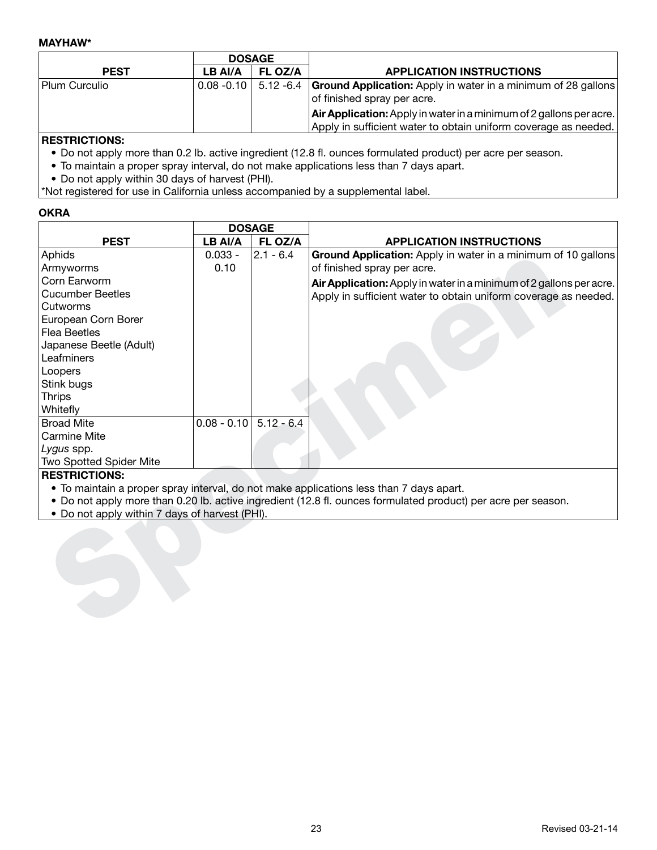#### **MAYHAW\***

|               |         | <b>DOSAGE</b> |                                                                                                                               |  |  |
|---------------|---------|---------------|-------------------------------------------------------------------------------------------------------------------------------|--|--|
| <b>PEST</b>   | LB AI/A | FL OZ/A       | <b>APPLICATION INSTRUCTIONS</b>                                                                                               |  |  |
| Plum Curculio |         |               | $0.08 - 0.10$   5.12 -6.4 <b>Ground Application:</b> Apply in water in a minimum of 28 gallons<br>of finished spray per acre. |  |  |
|               |         |               | <b>Air Application:</b> Apply in water in a minimum of 2 gallons per acre.                                                    |  |  |
|               |         |               | Apply in sufficient water to obtain uniform coverage as needed.                                                               |  |  |
|               |         |               |                                                                                                                               |  |  |

## **RESTRICTIONS:**

- Do not apply more than 0.2 lb. active ingredient (12.8 fl. ounces formulated product) per acre per season.
- To maintain a proper spray interval, do not make applications less than 7 days apart.
- Do not apply within 30 days of harvest (PHI).

\*Not registered for use in California unless accompanied by a supplemental label.

# **OKRA**

|                                                | <b>DOSAGE</b>            |             |                                                                                                               |
|------------------------------------------------|--------------------------|-------------|---------------------------------------------------------------------------------------------------------------|
| <b>PEST</b>                                    | LB AI/A                  | FL OZ/A     | <b>APPLICATION INSTRUCTIONS</b>                                                                               |
| Aphids                                         | $0.033 -$                | $2.1 - 6.4$ | Ground Application: Apply in water in a minimum of 10 gallons                                                 |
| Armyworms                                      | 0.10                     |             | of finished spray per acre.                                                                                   |
| Corn Earworm                                   |                          |             | Air Application: Apply in water in a minimum of 2 gallons per acre.                                           |
| Cucumber Beetles                               |                          |             | Apply in sufficient water to obtain uniform coverage as needed.                                               |
| Cutworms                                       |                          |             |                                                                                                               |
| European Corn Borer                            |                          |             |                                                                                                               |
| Flea Beetles                                   |                          |             |                                                                                                               |
| Japanese Beetle (Adult)                        |                          |             |                                                                                                               |
| Leafminers                                     |                          |             |                                                                                                               |
| Loopers                                        |                          |             |                                                                                                               |
| Stink bugs                                     |                          |             |                                                                                                               |
| <b>Thrips</b>                                  |                          |             |                                                                                                               |
| Whitefly                                       |                          |             |                                                                                                               |
| <b>Broad Mite</b>                              | $0.08 - 0.10$ 5.12 - 6.4 |             |                                                                                                               |
| Carmine Mite                                   |                          |             |                                                                                                               |
| Lygus spp.                                     |                          |             |                                                                                                               |
| <b>Two Spotted Spider Mite</b>                 |                          |             |                                                                                                               |
| <b>RESTRICTIONS:</b>                           |                          |             |                                                                                                               |
|                                                |                          |             | • To maintain a proper spray interval, do not make applications less than 7 days apart.                       |
|                                                |                          |             | . Do not apply more than 0.20 lb. active ingredient (12.8 fl. ounces formulated product) per acre per season. |
| • Do not apply within 7 days of harvest (PHI). |                          |             |                                                                                                               |
|                                                |                          |             |                                                                                                               |
|                                                |                          |             |                                                                                                               |
|                                                |                          |             |                                                                                                               |
|                                                |                          |             |                                                                                                               |
|                                                |                          |             |                                                                                                               |
|                                                |                          |             |                                                                                                               |
|                                                |                          |             |                                                                                                               |
|                                                |                          |             |                                                                                                               |

- To maintain a proper spray interval, do not make applications less than 7 days apart.
- Do not apply more than 0.20 lb. active ingredient (12.8 fl. ounces formulated product) per acre per season.
- Do not apply within 7 days of harvest (PHI).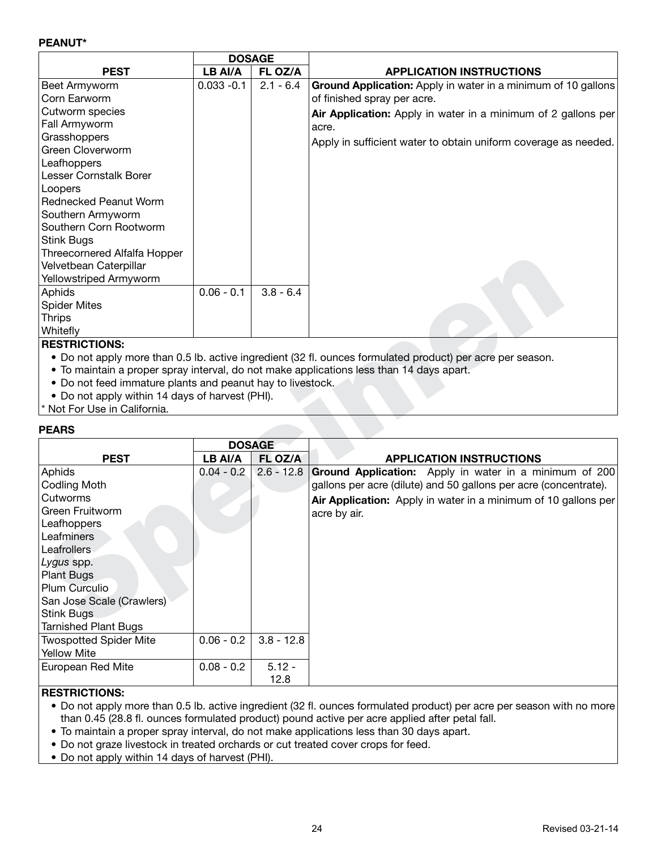#### **PEANUT\***

|                                     | <b>DOSAGE</b> |             |                                                                 |
|-------------------------------------|---------------|-------------|-----------------------------------------------------------------|
| <b>PEST</b>                         | LB AI/A       | FL OZ/A     | <b>APPLICATION INSTRUCTIONS</b>                                 |
| Beet Armyworm                       | $0.033 - 0.1$ | $2.1 - 6.4$ | Ground Application: Apply in water in a minimum of 10 gallons   |
| Corn Earworm                        |               |             | of finished spray per acre.                                     |
| Cutworm species                     |               |             | Air Application: Apply in water in a minimum of 2 gallons per   |
| Fall Armyworm                       |               |             | acre.                                                           |
| Grasshoppers                        |               |             | Apply in sufficient water to obtain uniform coverage as needed. |
| Green Cloverworm                    |               |             |                                                                 |
| Leafhoppers                         |               |             |                                                                 |
| Lesser Cornstalk Borer              |               |             |                                                                 |
| Loopers                             |               |             |                                                                 |
| <b>Rednecked Peanut Worm</b>        |               |             |                                                                 |
| Southern Armyworm                   |               |             |                                                                 |
| Southern Corn Rootworm              |               |             |                                                                 |
| Stink Bugs                          |               |             |                                                                 |
| <b>Threecornered Alfalfa Hopper</b> |               |             |                                                                 |
| Velvetbean Caterpillar              |               |             |                                                                 |
| Yellowstriped Armyworm              |               |             |                                                                 |
| Aphids                              | $0.06 - 0.1$  | $3.8 - 6.4$ |                                                                 |
| <b>Spider Mites</b>                 |               |             |                                                                 |
| <b>Thrips</b>                       |               |             |                                                                 |
| Whitefly                            |               |             |                                                                 |

# **RESTRICTIONS:**

- Do not apply more than 0.5 lb. active ingredient (32 fl. ounces formulated product) per acre per season.
- To maintain a proper spray interval, do not make applications less than 14 days apart.
- Do not feed immature plants and peanut hay to livestock.
- Do not apply within 14 days of harvest (PHI).

#### **PEARS**

| THRECOILIEIEU Alialia HUDDEI                               |              |               |                                                                                                            |
|------------------------------------------------------------|--------------|---------------|------------------------------------------------------------------------------------------------------------|
| Velvetbean Caterpillar                                     |              |               |                                                                                                            |
| Yellowstriped Armyworm                                     |              |               |                                                                                                            |
| Aphids                                                     | $0.06 - 0.1$ | $3.8 - 6.4$   |                                                                                                            |
| <b>Spider Mites</b>                                        |              |               |                                                                                                            |
| <b>Thrips</b>                                              |              |               |                                                                                                            |
| Whitefly                                                   |              |               |                                                                                                            |
| <b>RESTRICTIONS:</b>                                       |              |               |                                                                                                            |
|                                                            |              |               | • Do not apply more than 0.5 lb. active ingredient (32 fl. ounces formulated product) per acre per season. |
|                                                            |              |               | • To maintain a proper spray interval, do not make applications less than 14 days apart.                   |
| • Do not feed immature plants and peanut hay to livestock. |              |               |                                                                                                            |
| • Do not apply within 14 days of harvest (PHI).            |              |               |                                                                                                            |
| * Not For Use in California.                               |              |               |                                                                                                            |
| <b>PEARS</b>                                               |              |               |                                                                                                            |
|                                                            |              | <b>DOSAGE</b> |                                                                                                            |
| <b>PEST</b>                                                | LB AI/A      | FL OZ/A       | <b>APPLICATION INSTRUCTIONS</b>                                                                            |
| Aphids                                                     | $0.04 - 0.2$ | $2.6 - 12.8$  | Ground Application: Apply in water in a minimum of 200                                                     |
| <b>Codling Moth</b>                                        |              |               | gallons per acre (dilute) and 50 gallons per acre (concentrate).                                           |
| Cutworms                                                   |              |               | Air Application: Apply in water in a minimum of 10 gallons per                                             |
| Green Fruitworm                                            |              |               | acre by air.                                                                                               |
| Leafhoppers                                                |              |               |                                                                                                            |
| Leafminers                                                 |              |               |                                                                                                            |
| Leafrollers                                                |              |               |                                                                                                            |
| Lygus spp.                                                 |              |               |                                                                                                            |
| <b>Plant Bugs</b>                                          |              |               |                                                                                                            |
| <b>Plum Curculio</b>                                       |              |               |                                                                                                            |
| San Jose Scale (Crawlers)                                  |              |               |                                                                                                            |
| <b>Stink Bugs</b>                                          |              |               |                                                                                                            |
| <b>Tarnished Plant Bugs</b>                                |              |               |                                                                                                            |
| <b>Twospotted Spider Mite</b>                              | $0.06 - 0.2$ | $3.8 - 12.8$  |                                                                                                            |
| <b>Yellow Mite</b>                                         |              |               |                                                                                                            |
|                                                            |              |               |                                                                                                            |
| European Red Mite                                          | $0.08 - 0.2$ | $5.12 -$      |                                                                                                            |
|                                                            |              | 12.8          |                                                                                                            |

#### **RESTRICTIONS:**

• Do not apply more than 0.5 lb. active ingredient (32 fl. ounces formulated product) per acre per season with no more than 0.45 (28.8 fl. ounces formulated product) pound active per acre applied after petal fall.

- To maintain a proper spray interval, do not make applications less than 30 days apart.
- Do not graze livestock in treated orchards or cut treated cover crops for feed.
- Do not apply within 14 days of harvest (PHI).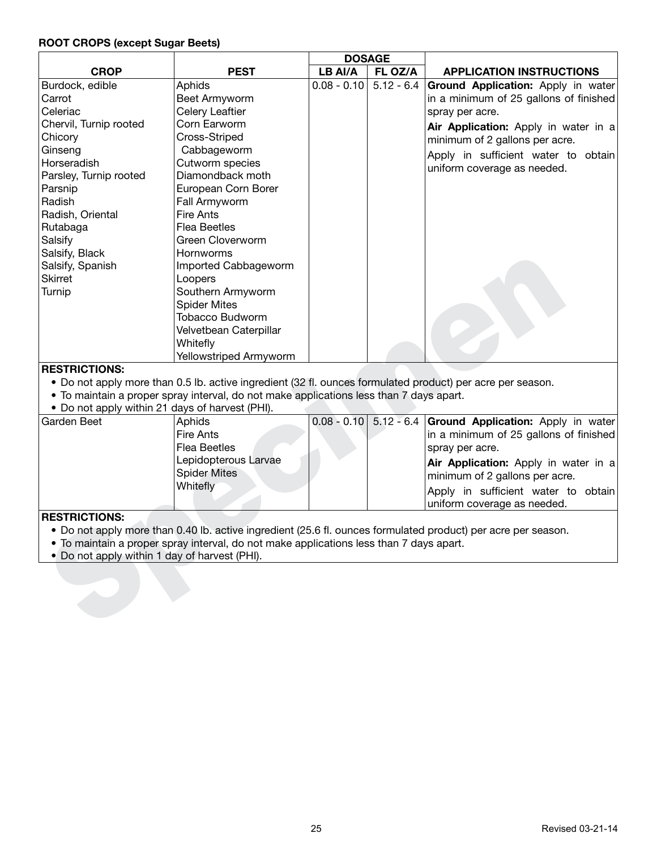#### **ROOT CROPS (except Sugar Beets)**

|                                                 |                                                                                                            | <b>DOSAGE</b>            |              |                                                                                                               |
|-------------------------------------------------|------------------------------------------------------------------------------------------------------------|--------------------------|--------------|---------------------------------------------------------------------------------------------------------------|
| <b>CROP</b>                                     | <b>PEST</b>                                                                                                | LB AI/A                  | FL OZ/A      | <b>APPLICATION INSTRUCTIONS</b>                                                                               |
| Burdock, edible                                 | Aphids                                                                                                     | $0.08 - 0.10$ 5.12 - 6.4 |              | Ground Application: Apply in water                                                                            |
| Carrot                                          | Beet Armyworm                                                                                              |                          |              | in a minimum of 25 gallons of finished                                                                        |
| Celeriac                                        | Celery Leaftier                                                                                            |                          |              | spray per acre.                                                                                               |
| Chervil, Turnip rooted                          | Corn Earworm                                                                                               |                          |              | Air Application: Apply in water in a                                                                          |
| Chicory                                         | Cross-Striped                                                                                              |                          |              | minimum of 2 gallons per acre.                                                                                |
| Ginseng                                         | Cabbageworm                                                                                                |                          |              | Apply in sufficient water to obtain                                                                           |
| Horseradish                                     | Cutworm species                                                                                            |                          |              | uniform coverage as needed.                                                                                   |
| Parsley, Turnip rooted                          | Diamondback moth                                                                                           |                          |              |                                                                                                               |
| Parsnip                                         | European Corn Borer                                                                                        |                          |              |                                                                                                               |
| Radish                                          | Fall Armyworm                                                                                              |                          |              |                                                                                                               |
| Radish, Oriental                                | <b>Fire Ants</b>                                                                                           |                          |              |                                                                                                               |
| Rutabaga                                        | <b>Flea Beetles</b>                                                                                        |                          |              |                                                                                                               |
| Salsify                                         | Green Cloverworm                                                                                           |                          |              |                                                                                                               |
| Salsify, Black                                  | Hornworms                                                                                                  |                          |              |                                                                                                               |
| Salsify, Spanish                                | Imported Cabbageworm                                                                                       |                          |              |                                                                                                               |
| <b>Skirret</b>                                  | Loopers                                                                                                    |                          |              |                                                                                                               |
| Turnip                                          | Southern Armyworm                                                                                          |                          |              |                                                                                                               |
|                                                 | <b>Spider Mites</b>                                                                                        |                          |              |                                                                                                               |
|                                                 | <b>Tobacco Budworm</b>                                                                                     |                          |              |                                                                                                               |
|                                                 | Velvetbean Caterpillar                                                                                     |                          |              |                                                                                                               |
|                                                 | Whitefly                                                                                                   |                          |              |                                                                                                               |
|                                                 | Yellowstriped Armyworm                                                                                     |                          |              |                                                                                                               |
| <b>RESTRICTIONS:</b>                            |                                                                                                            |                          |              |                                                                                                               |
|                                                 | • Do not apply more than 0.5 lb. active ingredient (32 fl. ounces formulated product) per acre per season. |                          |              |                                                                                                               |
|                                                 | . To maintain a proper spray interval, do not make applications less than 7 days apart.                    |                          |              |                                                                                                               |
| • Do not apply within 21 days of harvest (PHI). |                                                                                                            |                          |              |                                                                                                               |
| Garden Beet                                     | Aphids                                                                                                     | $0.08 - 0.10$            | $5.12 - 6.4$ | Ground Application: Apply in water                                                                            |
|                                                 | <b>Fire Ants</b>                                                                                           |                          |              | in a minimum of 25 gallons of finished                                                                        |
|                                                 | <b>Flea Beetles</b>                                                                                        |                          |              | spray per acre.                                                                                               |
|                                                 | Lepidopterous Larvae                                                                                       |                          |              | Air Application: Apply in water in a                                                                          |
|                                                 | <b>Spider Mites</b>                                                                                        |                          |              | minimum of 2 gallons per acre.                                                                                |
|                                                 | Whitefly                                                                                                   |                          |              | Apply in sufficient water to obtain                                                                           |
|                                                 |                                                                                                            |                          |              | uniform coverage as needed.                                                                                   |
| <b>RESTRICTIONS:</b>                            |                                                                                                            |                          |              |                                                                                                               |
|                                                 |                                                                                                            |                          |              | • Do not apply more than 0.40 lb. active ingredient (25.6 fl. ounces formulated product) per acre per season. |
|                                                 | To maintain a proper spray interval, do not make applications less than 7 days apart.                      |                          |              |                                                                                                               |
| . Do not apply within 1 day of harvest (PHI).   |                                                                                                            |                          |              |                                                                                                               |
|                                                 |                                                                                                            |                          |              |                                                                                                               |
|                                                 |                                                                                                            |                          |              |                                                                                                               |
|                                                 |                                                                                                            |                          |              |                                                                                                               |
|                                                 |                                                                                                            |                          |              |                                                                                                               |
|                                                 |                                                                                                            |                          |              |                                                                                                               |

- Do not apply more than 0.40 lb. active ingredient (25.6 fl. ounces formulated product) per acre per season.
- To maintain a proper spray interval, do not make applications less than 7 days apart.
- Do not apply within 1 day of harvest (PHI).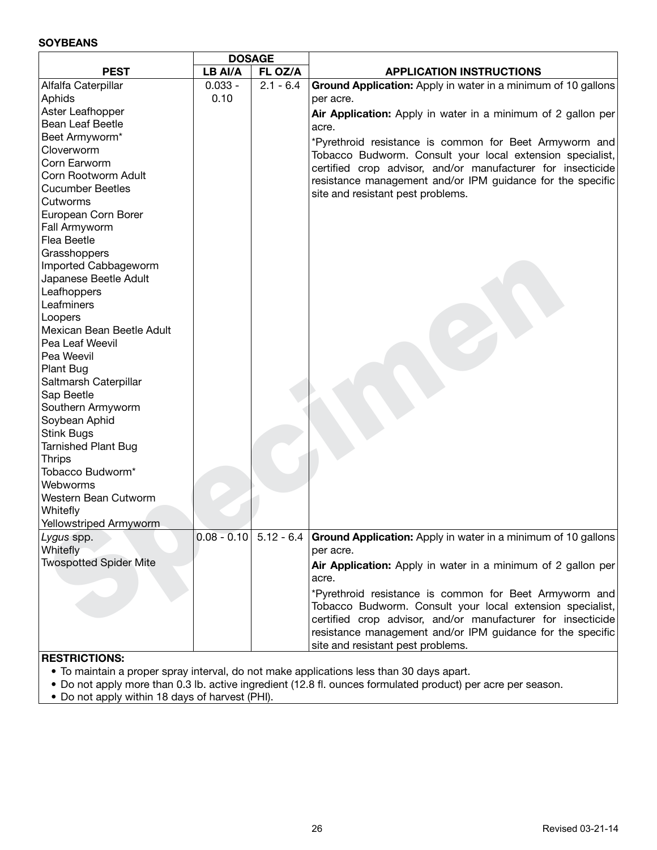#### **SOYBEANS**

|                                      | <b>DOSAGE</b> |             |                                                                                        |
|--------------------------------------|---------------|-------------|----------------------------------------------------------------------------------------|
| <b>PEST</b>                          | LB AI/A       | FL OZ/A     | <b>APPLICATION INSTRUCTIONS</b>                                                        |
| Alfalfa Caterpillar                  | $0.033 -$     | $2.1 - 6.4$ | Ground Application: Apply in water in a minimum of 10 gallons                          |
| Aphids                               | 0.10          |             | per acre.                                                                              |
| Aster Leafhopper                     |               |             | Air Application: Apply in water in a minimum of 2 gallon per                           |
| <b>Bean Leaf Beetle</b>              |               |             | acre.                                                                                  |
| Beet Armyworm*                       |               |             | *Pyrethroid resistance is common for Beet Armyworm and                                 |
| Cloverworm                           |               |             | Tobacco Budworm. Consult your local extension specialist,                              |
| Corn Earworm                         |               |             | certified crop advisor, and/or manufacturer for insecticide                            |
| Corn Rootworm Adult                  |               |             | resistance management and/or IPM guidance for the specific                             |
| <b>Cucumber Beetles</b>              |               |             | site and resistant pest problems.                                                      |
| Cutworms                             |               |             |                                                                                        |
| European Corn Borer                  |               |             |                                                                                        |
| Fall Armyworm                        |               |             |                                                                                        |
| Flea Beetle                          |               |             |                                                                                        |
| Grasshoppers                         |               |             |                                                                                        |
| Imported Cabbageworm                 |               |             |                                                                                        |
| Japanese Beetle Adult                |               |             |                                                                                        |
| Leafhoppers<br>Leafminers            |               |             |                                                                                        |
|                                      |               |             |                                                                                        |
| Loopers<br>Mexican Bean Beetle Adult |               |             |                                                                                        |
| Pea Leaf Weevil                      |               |             |                                                                                        |
| Pea Weevil                           |               |             |                                                                                        |
| Plant Bug                            |               |             |                                                                                        |
| Saltmarsh Caterpillar                |               |             |                                                                                        |
| Sap Beetle                           |               |             |                                                                                        |
| Southern Armyworm                    |               |             |                                                                                        |
| Soybean Aphid                        |               |             |                                                                                        |
| <b>Stink Bugs</b>                    |               |             |                                                                                        |
| <b>Tarnished Plant Bug</b>           |               |             |                                                                                        |
| <b>Thrips</b>                        |               |             |                                                                                        |
| Tobacco Budworm*                     |               |             |                                                                                        |
| Webworms                             |               |             |                                                                                        |
| Western Bean Cutworm                 |               |             |                                                                                        |
| Whitefly                             |               |             |                                                                                        |
| Yellowstriped Armyworm               |               |             |                                                                                        |
| Lygus spp.                           |               |             | $0.08 - 0.10$ 5.12 - 6.4 Ground Application: Apply in water in a minimum of 10 gallons |
| Whitefly                             |               |             | per acre.                                                                              |
| <b>Twospotted Spider Mite</b>        |               |             | Air Application: Apply in water in a minimum of 2 gallon per<br>acre.                  |
|                                      |               |             | *Pyrethroid resistance is common for Beet Armyworm and                                 |
|                                      |               |             | Tobacco Budworm. Consult your local extension specialist,                              |
|                                      |               |             | certified crop advisor, and/or manufacturer for insecticide                            |
|                                      |               |             | resistance management and/or IPM guidance for the specific                             |
|                                      |               |             | site and resistant pest problems.                                                      |
|                                      |               |             |                                                                                        |

- To maintain a proper spray interval, do not make applications less than 30 days apart.
- Do not apply more than 0.3 lb. active ingredient (12.8 fl. ounces formulated product) per acre per season.
- Do not apply within 18 days of harvest (PHI).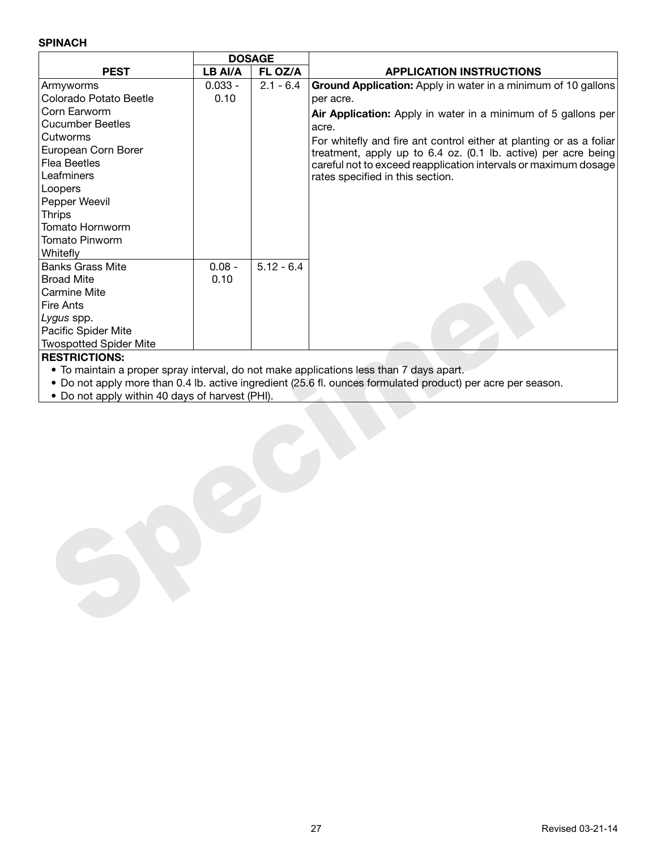## **SPINACH**

|                                                 | <b>DOSAGE</b> |              |                                                                                                              |
|-------------------------------------------------|---------------|--------------|--------------------------------------------------------------------------------------------------------------|
| <b>PEST</b>                                     | LB AI/A       | FL OZ/A      | <b>APPLICATION INSTRUCTIONS</b>                                                                              |
| Armyworms                                       | $0.033 -$     | $2.1 - 6.4$  | Ground Application: Apply in water in a minimum of 10 gallons                                                |
| Colorado Potato Beetle                          | 0.10          |              | per acre.                                                                                                    |
| Corn Earworm                                    |               |              | Air Application: Apply in water in a minimum of 5 gallons per                                                |
| <b>Cucumber Beetles</b>                         |               |              | acre.                                                                                                        |
| Cutworms                                        |               |              | For whitefly and fire ant control either at planting or as a foliar                                          |
| European Corn Borer                             |               |              | treatment, apply up to 6.4 oz. (0.1 lb. active) per acre being                                               |
| <b>Flea Beetles</b>                             |               |              | careful not to exceed reapplication intervals or maximum dosage                                              |
| Leafminers                                      |               |              | rates specified in this section.                                                                             |
| Loopers                                         |               |              |                                                                                                              |
| Pepper Weevil                                   |               |              |                                                                                                              |
| <b>Thrips</b>                                   |               |              |                                                                                                              |
| Tomato Hornworm                                 |               |              |                                                                                                              |
| <b>Tomato Pinworm</b>                           |               |              |                                                                                                              |
| Whitefly                                        |               |              |                                                                                                              |
| <b>Banks Grass Mite</b>                         | $0.08 -$      | $5.12 - 6.4$ |                                                                                                              |
| <b>Broad Mite</b>                               | 0.10          |              |                                                                                                              |
| Carmine Mite                                    |               |              |                                                                                                              |
| Fire Ants                                       |               |              |                                                                                                              |
| Lygus spp.                                      |               |              |                                                                                                              |
| Pacific Spider Mite                             |               |              |                                                                                                              |
| <b>Twospotted Spider Mite</b>                   |               |              |                                                                                                              |
| <b>RESTRICTIONS:</b>                            |               |              |                                                                                                              |
|                                                 |               |              | • To maintain a proper spray interval, do not make applications less than 7 days apart.                      |
|                                                 |               |              | • Do not apply more than 0.4 lb. active ingredient (25.6 fl. ounces formulated product) per acre per season. |
| • Do not apply within 40 days of harvest (PHI). |               |              |                                                                                                              |
|                                                 |               |              |                                                                                                              |
|                                                 |               |              |                                                                                                              |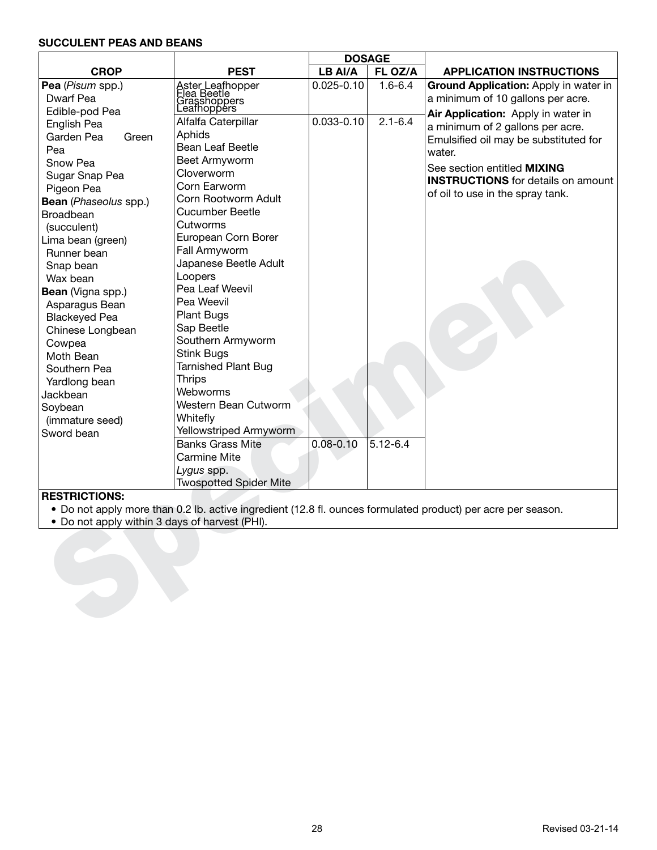## **SUCCULENT PEAS AND BEANS**

|                                                |                                                                |                | <b>DOSAGE</b> |                                                                                                              |  |  |
|------------------------------------------------|----------------------------------------------------------------|----------------|---------------|--------------------------------------------------------------------------------------------------------------|--|--|
| <b>CROP</b>                                    | <b>PEST</b>                                                    | LB AI/A        | FL OZ/A       | <b>APPLICATION INSTRUCTIONS</b>                                                                              |  |  |
| Pea (Pisum spp.)                               | Aster Leafhopper<br>Flea Beetle<br>Grasshoppers<br>Leafhoppers | $0.025 - 0.10$ | $1.6 - 6.4$   | Ground Application: Apply in water in                                                                        |  |  |
| Dwarf Pea                                      |                                                                |                |               | a minimum of 10 gallons per acre.                                                                            |  |  |
| Edible-pod Pea                                 |                                                                |                |               | Air Application: Apply in water in                                                                           |  |  |
| English Pea                                    | Alfalfa Caterpillar                                            | $0.033 - 0.10$ | $2.1 - 6.4$   | a minimum of 2 gallons per acre.                                                                             |  |  |
| Garden Pea<br>Green                            | Aphids                                                         |                |               | Emulsified oil may be substituted for                                                                        |  |  |
| Pea                                            | Bean Leaf Beetle                                               |                |               | water.                                                                                                       |  |  |
| Snow Pea                                       | Beet Armyworm                                                  |                |               | See section entitled <b>MIXING</b>                                                                           |  |  |
| Sugar Snap Pea                                 | Cloverworm                                                     |                |               | <b>INSTRUCTIONS</b> for details on amount                                                                    |  |  |
| Pigeon Pea                                     | Corn Earworm                                                   |                |               | of oil to use in the spray tank.                                                                             |  |  |
| <b>Bean</b> (Phaseolus spp.)                   | Corn Rootworm Adult                                            |                |               |                                                                                                              |  |  |
| Broadbean                                      | <b>Cucumber Beetle</b>                                         |                |               |                                                                                                              |  |  |
| (succulent)                                    | Cutworms                                                       |                |               |                                                                                                              |  |  |
| Lima bean (green)                              | European Corn Borer                                            |                |               |                                                                                                              |  |  |
| Runner bean                                    | Fall Armyworm                                                  |                |               |                                                                                                              |  |  |
| Snap bean                                      | Japanese Beetle Adult                                          |                |               |                                                                                                              |  |  |
| Wax bean                                       | Loopers                                                        |                |               |                                                                                                              |  |  |
| Bean (Vigna spp.)                              | Pea Leaf Weevil                                                |                |               |                                                                                                              |  |  |
| Asparagus Bean                                 | Pea Weevil                                                     |                |               |                                                                                                              |  |  |
| <b>Blackeyed Pea</b>                           | <b>Plant Bugs</b>                                              |                |               |                                                                                                              |  |  |
| Chinese Longbean                               | Sap Beetle                                                     |                |               |                                                                                                              |  |  |
| Cowpea                                         | Southern Armyworm                                              |                |               |                                                                                                              |  |  |
| Moth Bean                                      | <b>Stink Bugs</b>                                              |                |               |                                                                                                              |  |  |
| Southern Pea                                   | <b>Tarnished Plant Bug</b>                                     |                |               |                                                                                                              |  |  |
| Yardlong bean                                  | <b>Thrips</b>                                                  |                |               |                                                                                                              |  |  |
| Jackbean                                       | Webworms                                                       |                |               |                                                                                                              |  |  |
| Soybean                                        | Western Bean Cutworm                                           |                |               |                                                                                                              |  |  |
| (immature seed)                                | Whitefly                                                       |                |               |                                                                                                              |  |  |
| Sword bean                                     | Yellowstriped Armyworm                                         |                |               |                                                                                                              |  |  |
|                                                | <b>Banks Grass Mite</b>                                        | $0.08 - 0.10$  | $5.12 - 6.4$  |                                                                                                              |  |  |
|                                                | Carmine Mite                                                   |                |               |                                                                                                              |  |  |
|                                                | Lygus spp.                                                     |                |               |                                                                                                              |  |  |
|                                                | <b>Twospotted Spider Mite</b>                                  |                |               |                                                                                                              |  |  |
| <b>RESTRICTIONS:</b>                           |                                                                |                |               |                                                                                                              |  |  |
|                                                |                                                                |                |               | • Do not apply more than 0.2 lb. active ingredient (12.8 fl. ounces formulated product) per acre per season. |  |  |
| • Do not apply within 3 days of harvest (PHI). |                                                                |                |               |                                                                                                              |  |  |
|                                                |                                                                |                |               |                                                                                                              |  |  |
|                                                |                                                                |                |               |                                                                                                              |  |  |
|                                                |                                                                |                |               |                                                                                                              |  |  |
|                                                |                                                                |                |               |                                                                                                              |  |  |
|                                                |                                                                |                |               |                                                                                                              |  |  |
|                                                |                                                                |                |               |                                                                                                              |  |  |
|                                                |                                                                |                |               |                                                                                                              |  |  |
|                                                |                                                                |                |               |                                                                                                              |  |  |

- Do not apply more than 0.2 lb. active ingredient (12.8 fl. ounces formulated product) per acre per season.
- Do not apply within 3 days of harvest (PHI).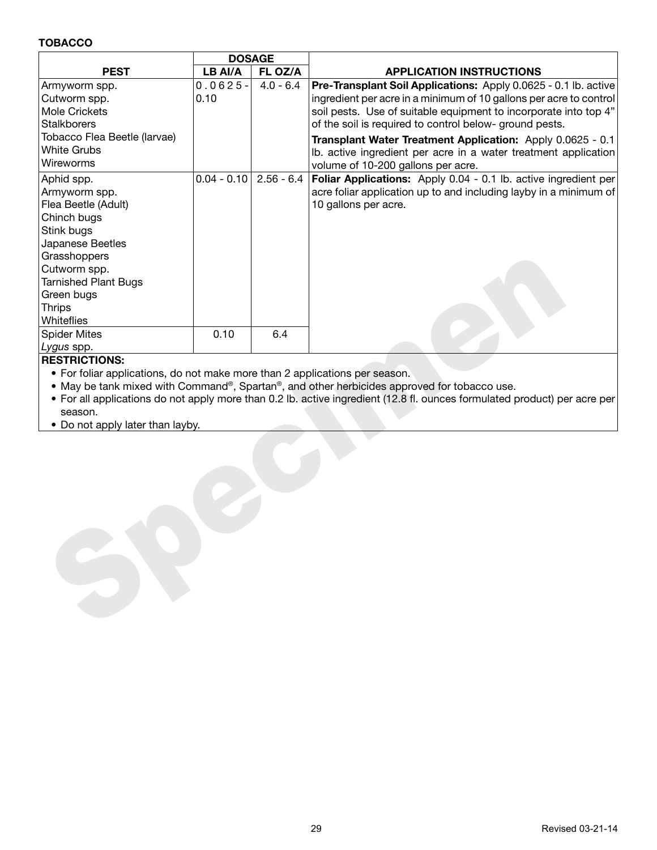#### **TOBACCO**

|                                                                             | <b>DOSAGE</b> |              |                                                                                                                           |
|-----------------------------------------------------------------------------|---------------|--------------|---------------------------------------------------------------------------------------------------------------------------|
| <b>PEST</b>                                                                 | LB AI/A       | FL OZ/A      | <b>APPLICATION INSTRUCTIONS</b>                                                                                           |
| Armyworm spp.                                                               | $0.0625 -$    | $4.0 - 6.4$  | Pre-Transplant Soil Applications: Apply 0.0625 - 0.1 lb. active                                                           |
| Cutworm spp.                                                                | 0.10          |              | ingredient per acre in a minimum of 10 gallons per acre to control                                                        |
| <b>Mole Crickets</b>                                                        |               |              | soil pests. Use of suitable equipment to incorporate into top 4"                                                          |
| <b>Stalkborers</b>                                                          |               |              | of the soil is required to control below- ground pests.                                                                   |
| Tobacco Flea Beetle (larvae)                                                |               |              | Transplant Water Treatment Application: Apply 0.0625 - 0.1                                                                |
| <b>White Grubs</b>                                                          |               |              | Ib. active ingredient per acre in a water treatment application                                                           |
| Wireworms                                                                   |               |              | volume of 10-200 gallons per acre.                                                                                        |
| Aphid spp.                                                                  | $0.04 - 0.10$ | $2.56 - 6.4$ | Foliar Applications: Apply 0.04 - 0.1 lb. active ingredient per                                                           |
| Armyworm spp.                                                               |               |              | acre foliar application up to and including layby in a minimum of                                                         |
| Flea Beetle (Adult)                                                         |               |              | 10 gallons per acre.                                                                                                      |
| Chinch bugs                                                                 |               |              |                                                                                                                           |
| Stink bugs                                                                  |               |              |                                                                                                                           |
| Japanese Beetles                                                            |               |              |                                                                                                                           |
| Grasshoppers                                                                |               |              |                                                                                                                           |
| Cutworm spp.                                                                |               |              |                                                                                                                           |
| <b>Tarnished Plant Bugs</b>                                                 |               |              |                                                                                                                           |
| Green bugs                                                                  |               |              |                                                                                                                           |
| <b>Thrips</b>                                                               |               |              |                                                                                                                           |
| Whiteflies                                                                  |               |              |                                                                                                                           |
| <b>Spider Mites</b>                                                         | 0.10          | 6.4          |                                                                                                                           |
| <i>Lygus</i> spp.                                                           |               |              |                                                                                                                           |
| <b>RESTRICTIONS:</b>                                                        |               |              |                                                                                                                           |
| • For foliar applications, do not make more than 2 applications per season. |               |              |                                                                                                                           |
|                                                                             |               |              | • May be tank mixed with Command®, Spartan®, and other herbicides approved for tobacco use.                               |
|                                                                             |               |              | • For all applications do not apply more than 0.2 lb. active ingredient (12.8 fl. ounces formulated product) per acre per |
| season.                                                                     |               |              |                                                                                                                           |
| • Do not apply later than layby.                                            |               |              |                                                                                                                           |
|                                                                             |               |              |                                                                                                                           |
|                                                                             |               |              |                                                                                                                           |
|                                                                             |               |              |                                                                                                                           |
|                                                                             |               |              |                                                                                                                           |
|                                                                             |               |              |                                                                                                                           |
|                                                                             |               |              |                                                                                                                           |
|                                                                             |               |              |                                                                                                                           |
|                                                                             |               |              |                                                                                                                           |
|                                                                             |               |              |                                                                                                                           |
|                                                                             |               |              |                                                                                                                           |
|                                                                             |               |              |                                                                                                                           |
|                                                                             |               |              |                                                                                                                           |
|                                                                             |               |              |                                                                                                                           |
|                                                                             |               |              |                                                                                                                           |
|                                                                             |               |              |                                                                                                                           |

#### **RESTRICTIONS:**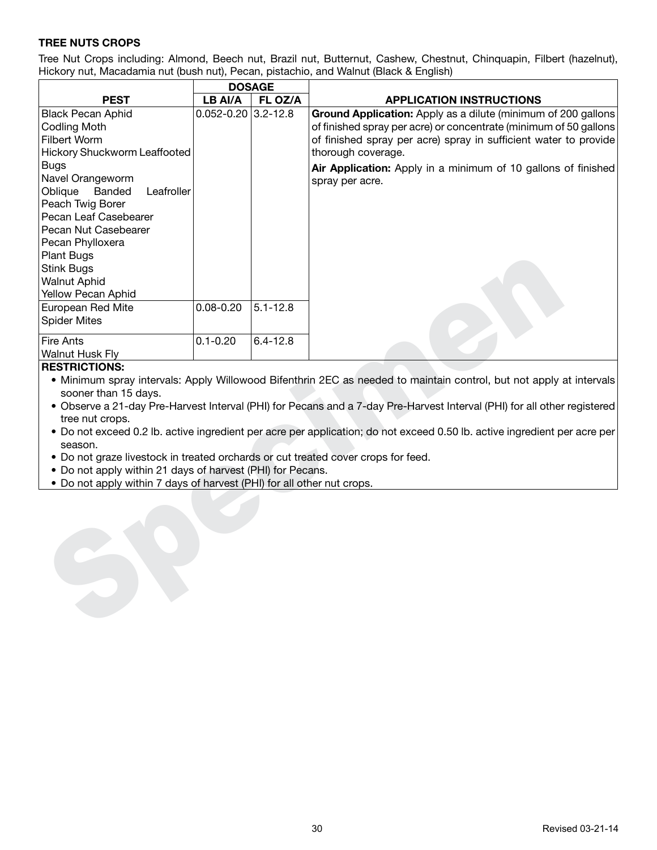# **TREE NUTS CROPS**

Tree Nut Crops including: Almond, Beech nut, Brazil nut, Butternut, Cashew, Chestnut, Chinquapin, Filbert (hazelnut), Hickory nut, Macadamia nut (bush nut), Pecan, pistachio, and Walnut (Black & English)

|                                                                                                                                                                                                                                                                                                                                                                                                                                                                                                                                                                                                                                                                                         | <b>DOSAGE</b>           |              |                                                                                                                                                                                                                                                                                                                  |  |  |  |  |
|-----------------------------------------------------------------------------------------------------------------------------------------------------------------------------------------------------------------------------------------------------------------------------------------------------------------------------------------------------------------------------------------------------------------------------------------------------------------------------------------------------------------------------------------------------------------------------------------------------------------------------------------------------------------------------------------|-------------------------|--------------|------------------------------------------------------------------------------------------------------------------------------------------------------------------------------------------------------------------------------------------------------------------------------------------------------------------|--|--|--|--|
| <b>PEST</b>                                                                                                                                                                                                                                                                                                                                                                                                                                                                                                                                                                                                                                                                             | LB AI/A                 | FL OZ/A      | <b>APPLICATION INSTRUCTIONS</b>                                                                                                                                                                                                                                                                                  |  |  |  |  |
| <b>Black Pecan Aphid</b><br><b>Codling Moth</b><br>Filbert Worm<br>Hickory Shuckworm Leaffooted<br><b>Bugs</b><br>Navel Orangeworm<br>Oblique<br>Banded<br>Leafroller<br>Peach Twig Borer<br>Pecan Leaf Casebearer<br>Pecan Nut Casebearer<br>Pecan Phylloxera<br>Plant Bugs<br><b>Stink Bugs</b>                                                                                                                                                                                                                                                                                                                                                                                       | $0.052 - 0.20$ 3.2-12.8 |              | Ground Application: Apply as a dilute (minimum of 200 gallons<br>of finished spray per acre) or concentrate (minimum of 50 gallons<br>of finished spray per acre) spray in sufficient water to provide<br>thorough coverage.<br>Air Application: Apply in a minimum of 10 gallons of finished<br>spray per acre. |  |  |  |  |
| <b>Walnut Aphid</b>                                                                                                                                                                                                                                                                                                                                                                                                                                                                                                                                                                                                                                                                     |                         |              |                                                                                                                                                                                                                                                                                                                  |  |  |  |  |
| Yellow Pecan Aphid                                                                                                                                                                                                                                                                                                                                                                                                                                                                                                                                                                                                                                                                      |                         |              |                                                                                                                                                                                                                                                                                                                  |  |  |  |  |
| European Red Mite<br><b>Spider Mites</b>                                                                                                                                                                                                                                                                                                                                                                                                                                                                                                                                                                                                                                                | $0.08 - 0.20$           | $5.1 - 12.8$ |                                                                                                                                                                                                                                                                                                                  |  |  |  |  |
| <b>Fire Ants</b><br>Walnut Husk Fly                                                                                                                                                                                                                                                                                                                                                                                                                                                                                                                                                                                                                                                     | $0.1 - 0.20$            | $6.4 - 12.8$ |                                                                                                                                                                                                                                                                                                                  |  |  |  |  |
| <b>RESTRICTIONS:</b><br>• Minimum spray intervals: Apply Willowood Bifenthrin 2EC as needed to maintain control, but not apply at intervals<br>sooner than 15 days.<br>• Observe a 21-day Pre-Harvest Interval (PHI) for Pecans and a 7-day Pre-Harvest Interval (PHI) for all other registered<br>tree nut crops.<br>• Do not exceed 0.2 lb. active ingredient per acre per application; do not exceed 0.50 lb. active ingredient per acre per<br>season.<br>. Do not graze livestock in treated orchards or cut treated cover crops for feed.<br>• Do not apply within 21 days of harvest (PHI) for Pecans.<br>. Do not apply within 7 days of harvest (PHI) for all other nut crops. |                         |              |                                                                                                                                                                                                                                                                                                                  |  |  |  |  |
|                                                                                                                                                                                                                                                                                                                                                                                                                                                                                                                                                                                                                                                                                         |                         |              |                                                                                                                                                                                                                                                                                                                  |  |  |  |  |

#### **RESTRICTIONS:**

- Do not apply within 21 days of harvest (PHI) for Pecans.
- Do not apply within 7 days of harvest (PHI) for all other nut crops.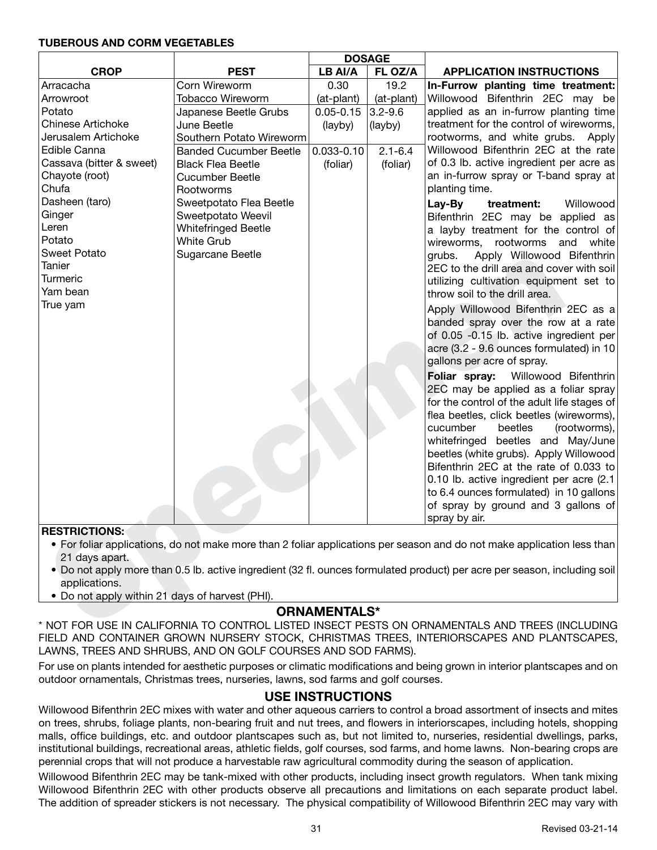#### **TUBEROUS AND CORM VEGETABLES**

|                                                                                                |                               | <b>DOSAGE</b>      |             |                                                                                                                           |  |  |  |
|------------------------------------------------------------------------------------------------|-------------------------------|--------------------|-------------|---------------------------------------------------------------------------------------------------------------------------|--|--|--|
| <b>CROP</b>                                                                                    | <b>PEST</b>                   | LB AI/A<br>FL OZ/A |             | <b>APPLICATION INSTRUCTIONS</b>                                                                                           |  |  |  |
| Arracacha                                                                                      | Corn Wireworm                 | 0.30               | 19.2        | In-Furrow planting time treatment:                                                                                        |  |  |  |
| Arrowroot                                                                                      | <b>Tobacco Wireworm</b>       | (at-plant)         | (at-plant)  | Willowood Bifenthrin 2EC may be                                                                                           |  |  |  |
| Potato                                                                                         | Japanese Beetle Grubs         | $0.05 - 0.15$      | $3.2 - 9.6$ | applied as an in-furrow planting time                                                                                     |  |  |  |
| <b>Chinese Artichoke</b>                                                                       | June Beetle                   | (layby)            | (layby)     | treatment for the control of wireworms,                                                                                   |  |  |  |
| Jerusalem Artichoke                                                                            | Southern Potato Wireworm      |                    |             | rootworms, and white grubs. Apply                                                                                         |  |  |  |
| Edible Canna                                                                                   | <b>Banded Cucumber Beetle</b> | $0.033 - 0.10$     | $2.1 - 6.4$ | Willowood Bifenthrin 2EC at the rate                                                                                      |  |  |  |
| Cassava (bitter & sweet)                                                                       | <b>Black Flea Beetle</b>      | (foliar)           | (foliar)    | of 0.3 lb. active ingredient per acre as                                                                                  |  |  |  |
| Chayote (root)                                                                                 | <b>Cucumber Beetle</b>        |                    |             | an in-furrow spray or T-band spray at                                                                                     |  |  |  |
| Chufa                                                                                          | Rootworms                     |                    |             | planting time.                                                                                                            |  |  |  |
| Dasheen (taro)                                                                                 | Sweetpotato Flea Beetle       |                    |             | Lay-By<br>Willowood<br>treatment:                                                                                         |  |  |  |
| Ginger                                                                                         | Sweetpotato Weevil            |                    |             | Bifenthrin 2EC may be applied as                                                                                          |  |  |  |
| Leren                                                                                          | Whitefringed Beetle           |                    |             | a layby treatment for the control of                                                                                      |  |  |  |
| Potato                                                                                         | <b>White Grub</b>             |                    |             | rootworms<br>and<br>white<br>wireworms,                                                                                   |  |  |  |
| <b>Sweet Potato</b>                                                                            | Sugarcane Beetle              |                    |             | Apply Willowood Bifenthrin<br>grubs.                                                                                      |  |  |  |
| Tanier                                                                                         |                               |                    |             | 2EC to the drill area and cover with soil                                                                                 |  |  |  |
| <b>Turmeric</b>                                                                                |                               |                    |             | utilizing cultivation equipment set to                                                                                    |  |  |  |
| Yam bean                                                                                       |                               |                    |             | throw soil to the drill area.                                                                                             |  |  |  |
| True yam                                                                                       |                               |                    |             | Apply Willowood Bifenthrin 2EC as a                                                                                       |  |  |  |
|                                                                                                |                               |                    |             | banded spray over the row at a rate                                                                                       |  |  |  |
|                                                                                                |                               |                    |             | of 0.05 -0.15 lb. active ingredient per                                                                                   |  |  |  |
|                                                                                                |                               |                    |             | acre (3.2 - 9.6 ounces formulated) in 10                                                                                  |  |  |  |
|                                                                                                |                               |                    |             | gallons per acre of spray.                                                                                                |  |  |  |
|                                                                                                |                               |                    |             | Willowood Bifenthrin<br>Foliar spray:                                                                                     |  |  |  |
|                                                                                                |                               |                    |             | 2EC may be applied as a foliar spray                                                                                      |  |  |  |
|                                                                                                |                               |                    |             | for the control of the adult life stages of                                                                               |  |  |  |
|                                                                                                |                               |                    |             | flea beetles, click beetles (wireworms),                                                                                  |  |  |  |
|                                                                                                |                               |                    |             | cucumber<br>beetles<br>(rootworms),                                                                                       |  |  |  |
|                                                                                                |                               |                    |             | whitefringed beetles and May/June                                                                                         |  |  |  |
|                                                                                                |                               |                    |             | beetles (white grubs). Apply Willowood                                                                                    |  |  |  |
|                                                                                                |                               |                    |             | Bifenthrin 2EC at the rate of 0.033 to                                                                                    |  |  |  |
|                                                                                                |                               |                    |             | 0.10 lb. active ingredient per acre (2.1                                                                                  |  |  |  |
|                                                                                                |                               |                    |             | to 6.4 ounces formulated) in 10 gallons                                                                                   |  |  |  |
|                                                                                                |                               |                    |             | of spray by ground and 3 gallons of                                                                                       |  |  |  |
|                                                                                                |                               |                    |             | spray by air.                                                                                                             |  |  |  |
| <b>RESTRICTIONS:</b>                                                                           |                               |                    |             |                                                                                                                           |  |  |  |
|                                                                                                |                               |                    |             | • For foliar applications, do not make more than 2 foliar applications per season and do not make application less than   |  |  |  |
| 21 days apart.                                                                                 |                               |                    |             |                                                                                                                           |  |  |  |
|                                                                                                |                               |                    |             | • Do not apply more than 0.5 lb. active ingredient (32 fl. ounces formulated product) per acre per season, including soil |  |  |  |
| applications.                                                                                  |                               |                    |             |                                                                                                                           |  |  |  |
| • Do not apply within 21 days of harvest (PHI).                                                |                               |                    |             |                                                                                                                           |  |  |  |
| <b>ORNAMENTALS*</b>                                                                            |                               |                    |             |                                                                                                                           |  |  |  |
| * NOT FOR USE IN CALIFORNIA TO CONTROL LISTED INSECT PESTS ON ORNAMENTALS AND TREES (INCLUDING |                               |                    |             |                                                                                                                           |  |  |  |

#### **RESTRICTIONS:**

- For foliar applications, do not make more than 2 foliar applications per season and do not make application less than 21 days apart.
- Do not apply more than 0.5 lb. active ingredient (32 fl. ounces formulated product) per acre per season, including soil applications.
- Do not apply within 21 days of harvest (PHI).

# **ORNAMENTALS\***

\* NOT FOR USE IN CALIFORNIA TO CONTROL LISTED INSECT PESTS ON ORNAMENTALS AND TREES (INCLUDING FIELD AND CONTAINER GROWN NURSERY STOCK, CHRISTMAS TREES, INTERIORSCAPES AND PLANTSCAPES, LAWNS, TREES AND SHRUBS, AND ON GOLF COURSES AND SOD FARMS).

For use on plants intended for aesthetic purposes or climatic modifications and being grown in interior plantscapes and on outdoor ornamentals, Christmas trees, nurseries, lawns, sod farms and golf courses.

# **USE INSTRUCTIONS**

Willowood Bifenthrin 2EC mixes with water and other aqueous carriers to control a broad assortment of insects and mites on trees, shrubs, foliage plants, non-bearing fruit and nut trees, and flowers in interiorscapes, including hotels, shopping malls, office buildings, etc. and outdoor plantscapes such as, but not limited to, nurseries, residential dwellings, parks, institutional buildings, recreational areas, athletic fields, golf courses, sod farms, and home lawns. Non-bearing crops are perennial crops that will not produce a harvestable raw agricultural commodity during the season of application.

Willowood Bifenthrin 2EC may be tank-mixed with other products, including insect growth regulators. When tank mixing Willowood Bifenthrin 2EC with other products observe all precautions and limitations on each separate product label. The addition of spreader stickers is not necessary. The physical compatibility of Willowood Bifenthrin 2EC may vary with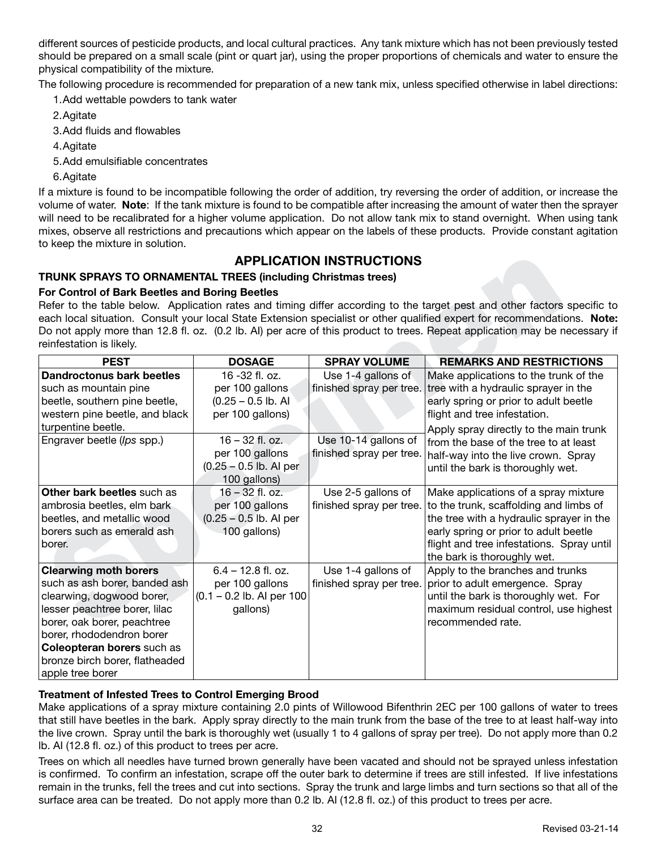different sources of pesticide products, and local cultural practices. Any tank mixture which has not been previously tested should be prepared on a small scale (pint or quart jar), using the proper proportions of chemicals and water to ensure the physical compatibility of the mixture.

The following procedure is recommended for preparation of a new tank mix, unless specified otherwise in label directions:

1.Add wettable powders to tank water

2.Agitate

3.Add fluids and flowables

4.Agitate

- 5.Add emulsifiable concentrates
- 6.Agitate

If a mixture is found to be incompatible following the order of addition, try reversing the order of addition, or increase the volume of water. **Note**: If the tank mixture is found to be compatible after increasing the amount of water then the sprayer will need to be recalibrated for a higher volume application. Do not allow tank mix to stand overnight. When using tank mixes, observe all restrictions and precautions which appear on the labels of these products. Provide constant agitation to keep the mixture in solution.

# **APPLICATION INSTRUCTIONS**

# **TRUNK SPRAYS TO ORNAMENTAL TREES (including Christmas trees)**

# **For Control of Bark Beetles and Boring Beetles**

|                                                                     |                             | <b>APPLICATION INSTRUCTIONS</b> |                                                                                                                            |  |  |  |  |  |
|---------------------------------------------------------------------|-----------------------------|---------------------------------|----------------------------------------------------------------------------------------------------------------------------|--|--|--|--|--|
| <b>TRUNK SPRAYS TO ORNAMENTAL TREES (including Christmas trees)</b> |                             |                                 |                                                                                                                            |  |  |  |  |  |
| <b>For Control of Bark Beetles and Boring Beetles</b>               |                             |                                 |                                                                                                                            |  |  |  |  |  |
|                                                                     |                             |                                 | Refer to the table below. Application rates and timing differ according to the target pest and other factors specific to   |  |  |  |  |  |
|                                                                     |                             |                                 | each local situation. Consult your local State Extension specialist or other qualified expert for recommendations. Note:   |  |  |  |  |  |
|                                                                     |                             |                                 | Do not apply more than 12.8 fl. oz. (0.2 lb. Al) per acre of this product to trees. Repeat application may be necessary if |  |  |  |  |  |
| reinfestation is likely.                                            |                             |                                 |                                                                                                                            |  |  |  |  |  |
| <b>PEST</b>                                                         | <b>DOSAGE</b>               | <b>SPRAY VOLUME</b>             | <b>REMARKS AND RESTRICTIONS</b>                                                                                            |  |  |  |  |  |
| <b>Dandroctonus bark beetles</b>                                    | 16 -32 fl. oz.              | Use 1-4 gallons of              | Make applications to the trunk of the                                                                                      |  |  |  |  |  |
| such as mountain pine                                               | per 100 gallons             | finished spray per tree.        | tree with a hydraulic sprayer in the                                                                                       |  |  |  |  |  |
| beetle, southern pine beetle,                                       | $(0.25 - 0.5$ lb. Al        |                                 | early spring or prior to adult beetle                                                                                      |  |  |  |  |  |
| western pine beetle, and black                                      | per 100 gallons)            |                                 | flight and tree infestation.                                                                                               |  |  |  |  |  |
| turpentine beetle.                                                  |                             |                                 | Apply spray directly to the main trunk                                                                                     |  |  |  |  |  |
| Engraver beetle (Ips spp.)                                          | $16 - 32$ fl. oz.           | Use 10-14 gallons of            | from the base of the tree to at least                                                                                      |  |  |  |  |  |
|                                                                     | per 100 gallons             | finished spray per tree.        | half-way into the live crown. Spray                                                                                        |  |  |  |  |  |
|                                                                     | $(0.25 - 0.5$ lb. Al per    |                                 | until the bark is thoroughly wet.                                                                                          |  |  |  |  |  |
|                                                                     | 100 gallons)                |                                 |                                                                                                                            |  |  |  |  |  |
| Other bark beetles such as                                          | $16 - 32$ fl. oz.           | Use 2-5 gallons of              | Make applications of a spray mixture                                                                                       |  |  |  |  |  |
| ambrosia beetles, elm bark                                          | per 100 gallons             | finished spray per tree.        | to the trunk, scaffolding and limbs of                                                                                     |  |  |  |  |  |
| beetles, and metallic wood                                          | $(0.25 - 0.5)$ lb. Al per   |                                 | the tree with a hydraulic sprayer in the                                                                                   |  |  |  |  |  |
| borers such as emerald ash                                          | 100 gallons)                |                                 | early spring or prior to adult beetle                                                                                      |  |  |  |  |  |
| borer.                                                              |                             |                                 | flight and tree infestations. Spray until                                                                                  |  |  |  |  |  |
|                                                                     |                             |                                 | the bark is thoroughly wet.                                                                                                |  |  |  |  |  |
| <b>Clearwing moth borers</b>                                        | $6.4 - 12.8$ fl. oz.        | Use 1-4 gallons of              | Apply to the branches and trunks                                                                                           |  |  |  |  |  |
| such as ash borer, banded ash                                       | per 100 gallons             | finished spray per tree.        | prior to adult emergence. Spray                                                                                            |  |  |  |  |  |
| clearwing, dogwood borer,                                           | $(0.1 - 0.2$ lb. Al per 100 |                                 | until the bark is thoroughly wet. For                                                                                      |  |  |  |  |  |
| lesser peachtree borer, lilac                                       | gallons)                    |                                 | maximum residual control, use highest                                                                                      |  |  |  |  |  |
| borer, oak borer, peachtree                                         |                             |                                 | recommended rate.                                                                                                          |  |  |  |  |  |
| borer, rhododendron borer                                           |                             |                                 |                                                                                                                            |  |  |  |  |  |
| Coleopteran borers such as                                          |                             |                                 |                                                                                                                            |  |  |  |  |  |
| bronze birch borer, flatheaded                                      |                             |                                 |                                                                                                                            |  |  |  |  |  |
| apple tree borer                                                    |                             |                                 |                                                                                                                            |  |  |  |  |  |

# **Treatment of Infested Trees to Control Emerging Brood**

Make applications of a spray mixture containing 2.0 pints of Willowood Bifenthrin 2EC per 100 gallons of water to trees that still have beetles in the bark. Apply spray directly to the main trunk from the base of the tree to at least half-way into the live crown. Spray until the bark is thoroughly wet (usually 1 to 4 gallons of spray per tree). Do not apply more than 0.2 lb. AI (12.8 fl. oz.) of this product to trees per acre.

Trees on which all needles have turned brown generally have been vacated and should not be sprayed unless infestation is confirmed. To confirm an infestation, scrape off the outer bark to determine if trees are still infested. If live infestations remain in the trunks, fell the trees and cut into sections. Spray the trunk and large limbs and turn sections so that all of the surface area can be treated. Do not apply more than 0.2 lb. AI (12.8 fl. oz.) of this product to trees per acre.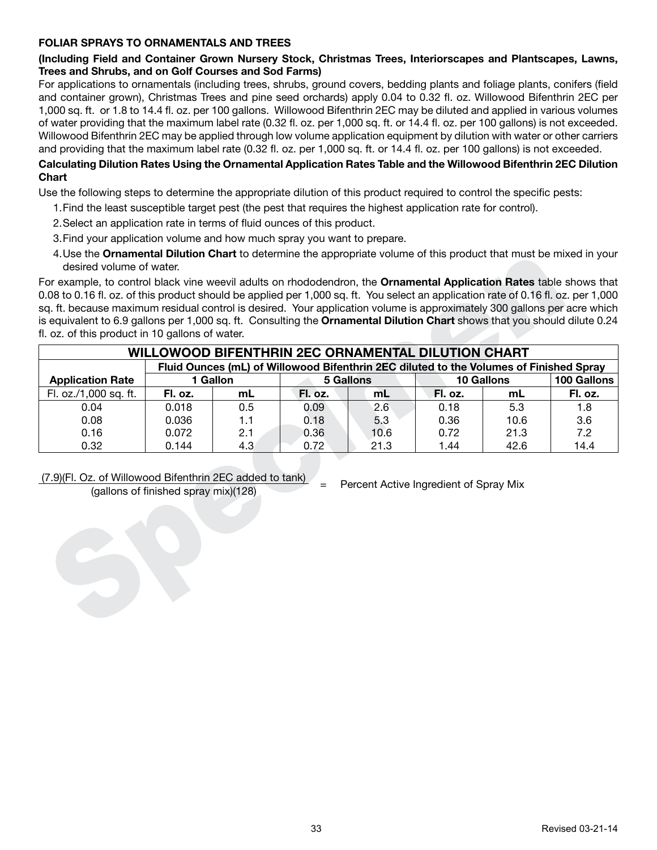## **FOLIAR SPRAYS TO ORNAMENTALS AND TREES**

# **(Including Field and Container Grown Nursery Stock, Christmas Trees, Interiorscapes and Plantscapes, Lawns, Trees and Shrubs, and on Golf Courses and Sod Farms)**

For applications to ornamentals (including trees, shrubs, ground covers, bedding plants and foliage plants, conifers (field and container grown), Christmas Trees and pine seed orchards) apply 0.04 to 0.32 fl. oz. Willowood Bifenthrin 2EC per 1,000 sq. ft. or 1.8 to 14.4 fl. oz. per 100 gallons. Willowood Bifenthrin 2EC may be diluted and applied in various volumes of water providing that the maximum label rate (0.32 fl. oz. per 1,000 sq. ft. or 14.4 fl. oz. per 100 gallons) is not exceeded. Willowood Bifenthrin 2EC may be applied through low volume application equipment by dilution with water or other carriers and providing that the maximum label rate (0.32 fl. oz. per 1,000 sq. ft. or 14.4 fl. oz. per 100 gallons) is not exceeded.

# **Calculating Dilution Rates Using the Ornamental Application Rates Table and the Willowood Bifenthrin 2EC Dilution Chart**

Use the following steps to determine the appropriate dilution of this product required to control the specific pests:

- 1.Find the least susceptible target pest (the pest that requires the highest application rate for control).
- 2.Select an application rate in terms of fluid ounces of this product.
- 3.Find your application volume and how much spray you want to prepare.
- 4.Use the **Ornamental Dilution Chart** to determine the appropriate volume of this product that must be mixed in your desired volume of water.

| 4. Ose the <b>Ornamental Dilution Chart</b> to determine the appropriate volume of this product that must be mixed in your<br>desired volume of water.                                                                                                                                                   |         |                |                                                                                        |                  |                 |                         |                        |
|----------------------------------------------------------------------------------------------------------------------------------------------------------------------------------------------------------------------------------------------------------------------------------------------------------|---------|----------------|----------------------------------------------------------------------------------------|------------------|-----------------|-------------------------|------------------------|
| For example, to control black vine weevil adults on rhododendron, the Ornamental Application Rates table shows that<br>0.08 to 0.16 fl. oz. of this product should be applied per 1,000 sq. ft. You select an application rate of 0.16 fl. oz. per 1,000                                                 |         |                |                                                                                        |                  |                 |                         |                        |
| sq. ft. because maximum residual control is desired. Your application volume is approximately 300 gallons per acre which<br>is equivalent to 6.9 gallons per 1,000 sq. ft. Consulting the Ornamental Dilution Chart shows that you should dilute 0.24<br>fl. oz. of this product in 10 gallons of water. |         |                |                                                                                        |                  |                 |                         |                        |
|                                                                                                                                                                                                                                                                                                          |         |                | <b>WILLOWOOD BIFENTHRIN 2EC ORNAMENTAL DILUTION CHART</b>                              |                  |                 |                         |                        |
|                                                                                                                                                                                                                                                                                                          |         |                | Fluid Ounces (mL) of Willowood Bifenthrin 2EC diluted to the Volumes of Finished Spray |                  |                 |                         |                        |
| <b>Application Rate</b><br>Fl. oz./1,000 sq. ft.                                                                                                                                                                                                                                                         | Fl. oz. | 1 Gallon<br>mL | Fl. oz.                                                                                | <b>5 Gallons</b> |                 | <b>10 Gallons</b><br>mL | 100 Gallons<br>Fl. oz. |
| 0.04                                                                                                                                                                                                                                                                                                     | 0.018   | 0.5            | 0.09                                                                                   | mL<br>2.6        | Fl. oz.<br>0.18 | 5.3                     | 1.8                    |
| 0.08                                                                                                                                                                                                                                                                                                     | 0.036   | 1.1            | 0.18                                                                                   | 5.3              | 0.36            | 10.6                    | 3.6                    |
| 0.16                                                                                                                                                                                                                                                                                                     | 0.072   | 2.1            | 0.36                                                                                   | 10.6             | 0.72            | 21.3                    | 7.2                    |
| 0.32                                                                                                                                                                                                                                                                                                     | 0.144   | 4.3            | 0.72                                                                                   | 21.3             | 1.44            | 42.6                    | 14.4                   |
| (7.9)(Fl. Oz. of Willowood Bifenthrin 2EC added to tank)<br>Percent Active Ingredient of Spray Mix<br>$=$<br>(gallons of finished spray mix)(128)                                                                                                                                                        |         |                |                                                                                        |                  |                 |                         |                        |

# (7.9)(Fl. Oz. of Willowood Bifenthrin 2EC added to tank)  $=$  Percent Active Ingredient of Spray Mix (gallons of finished spray mix)(128)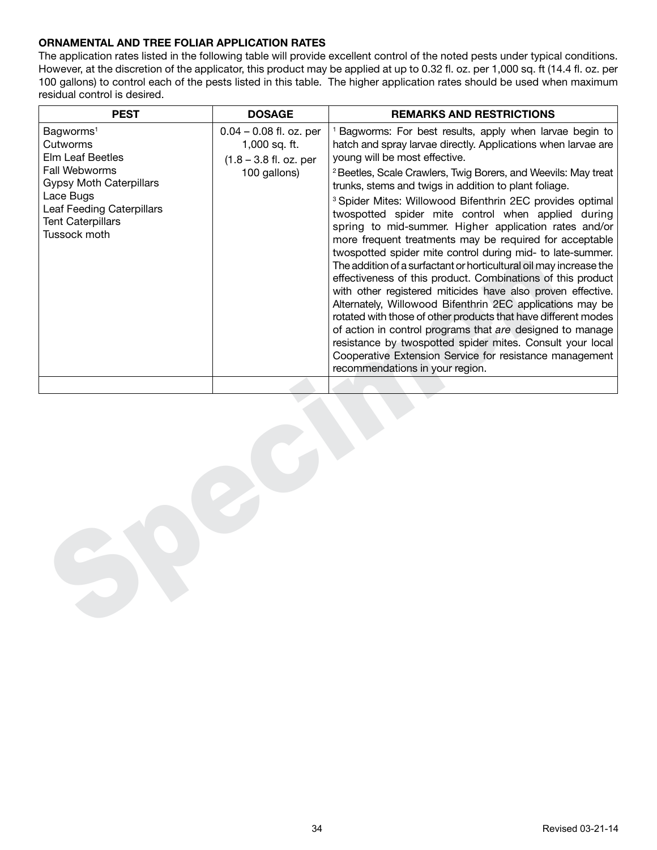# **ORNAMENTAL AND TREE FOLIAR APPLICATION RATES**

The application rates listed in the following table will provide excellent control of the noted pests under typical conditions. However, at the discretion of the applicator, this product may be applied at up to 0.32 fl. oz. per 1,000 sq. ft (14.4 fl. oz. per 100 gallons) to control each of the pests listed in this table. The higher application rates should be used when maximum residual control is desired.

| <b>PEST</b>                                                                                                                                                                                                  | <b>DOSAGE</b>                                                                          | <b>REMARKS AND RESTRICTIONS</b>                                                                                                                                                                                                                                                                                                                                                                                                                                                                                                                                                                                                                                                                                                                                                                                                                                                                                                                                                                                                                                                                                                                                                        |  |  |  |  |
|--------------------------------------------------------------------------------------------------------------------------------------------------------------------------------------------------------------|----------------------------------------------------------------------------------------|----------------------------------------------------------------------------------------------------------------------------------------------------------------------------------------------------------------------------------------------------------------------------------------------------------------------------------------------------------------------------------------------------------------------------------------------------------------------------------------------------------------------------------------------------------------------------------------------------------------------------------------------------------------------------------------------------------------------------------------------------------------------------------------------------------------------------------------------------------------------------------------------------------------------------------------------------------------------------------------------------------------------------------------------------------------------------------------------------------------------------------------------------------------------------------------|--|--|--|--|
| Bagworms <sup>1</sup><br>Cutworms<br><b>Elm Leaf Beetles</b><br>Fall Webworms<br><b>Gypsy Moth Caterpillars</b><br>Lace Bugs<br><b>Leaf Feeding Caterpillars</b><br><b>Tent Caterpillars</b><br>Tussock moth | $0.04 - 0.08$ fl. oz. per<br>1,000 sq. ft.<br>$(1.8 - 3.8$ fl. oz. per<br>100 gallons) | <sup>1</sup> Bagworms: For best results, apply when larvae begin to<br>hatch and spray larvae directly. Applications when larvae are<br>young will be most effective.<br><sup>2</sup> Beetles, Scale Crawlers, Twig Borers, and Weevils: May treat<br>trunks, stems and twigs in addition to plant foliage.<br><sup>3</sup> Spider Mites: Willowood Bifenthrin 2EC provides optimal<br>twospotted spider mite control when applied during<br>spring to mid-summer. Higher application rates and/or<br>more frequent treatments may be required for acceptable<br>twospotted spider mite control during mid- to late-summer.<br>The addition of a surfactant or horticultural oil may increase the<br>effectiveness of this product. Combinations of this product<br>with other registered miticides have also proven effective.<br>Alternately, Willowood Bifenthrin 2EC applications may be<br>rotated with those of other products that have different modes<br>of action in control programs that are designed to manage<br>resistance by twospotted spider mites. Consult your local<br>Cooperative Extension Service for resistance management<br>recommendations in your region. |  |  |  |  |
|                                                                                                                                                                                                              |                                                                                        |                                                                                                                                                                                                                                                                                                                                                                                                                                                                                                                                                                                                                                                                                                                                                                                                                                                                                                                                                                                                                                                                                                                                                                                        |  |  |  |  |
|                                                                                                                                                                                                              |                                                                                        |                                                                                                                                                                                                                                                                                                                                                                                                                                                                                                                                                                                                                                                                                                                                                                                                                                                                                                                                                                                                                                                                                                                                                                                        |  |  |  |  |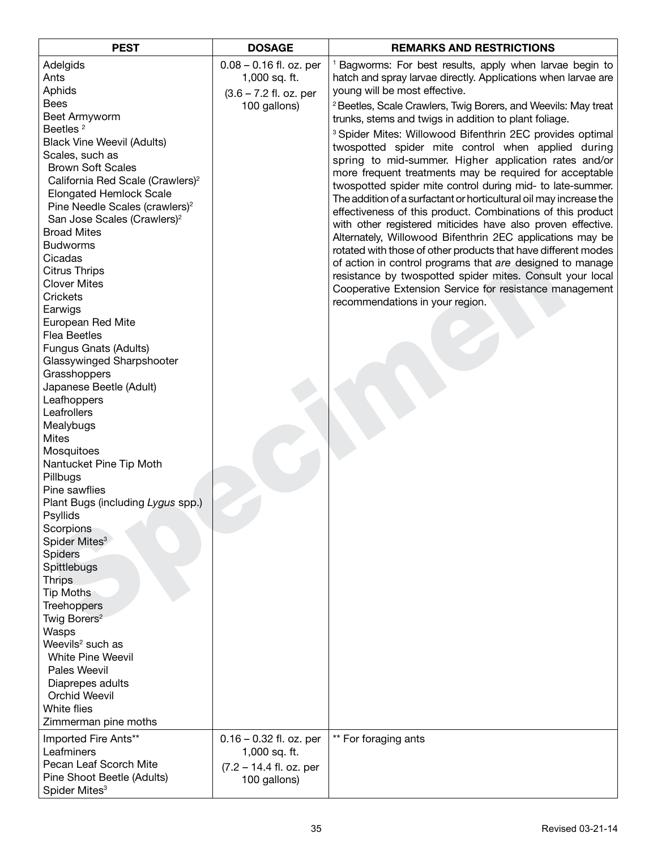| <b>PEST</b>                                               | <b>DOSAGE</b>             | <b>REMARKS AND RESTRICTIONS</b>                                           |
|-----------------------------------------------------------|---------------------------|---------------------------------------------------------------------------|
| Adelgids                                                  | $0.08 - 0.16$ fl. oz. per | <sup>1</sup> Bagworms: For best results, apply when larvae begin to       |
| Ants                                                      | 1,000 sq. ft.             | hatch and spray larvae directly. Applications when larvae are             |
| Aphids                                                    | (3.6 - 7.2 fl. oz. per    | young will be most effective.                                             |
| <b>Bees</b>                                               | 100 gallons)              | <sup>2</sup> Beetles, Scale Crawlers, Twig Borers, and Weevils: May treat |
| Beet Armyworm                                             |                           | trunks, stems and twigs in addition to plant foliage.                     |
| Beetles <sup>2</sup>                                      |                           | <sup>3</sup> Spider Mites: Willowood Bifenthrin 2EC provides optimal      |
| <b>Black Vine Weevil (Adults)</b>                         |                           | twospotted spider mite control when applied during                        |
| Scales, such as                                           |                           | spring to mid-summer. Higher application rates and/or                     |
| <b>Brown Soft Scales</b>                                  |                           | more frequent treatments may be required for acceptable                   |
| California Red Scale (Crawlers) <sup>2</sup>              |                           | twospotted spider mite control during mid- to late-summer.                |
| <b>Elongated Hemlock Scale</b>                            |                           | The addition of a surfactant or horticultural oil may increase the        |
| Pine Needle Scales (crawlers) <sup>2</sup>                |                           | effectiveness of this product. Combinations of this product               |
| San Jose Scales (Crawlers) <sup>2</sup>                   |                           | with other registered miticides have also proven effective.               |
| <b>Broad Mites</b>                                        |                           | Alternately, Willowood Bifenthrin 2EC applications may be                 |
| <b>Budworms</b>                                           |                           | rotated with those of other products that have different modes            |
| Cicadas                                                   |                           | of action in control programs that are designed to manage                 |
| <b>Citrus Thrips</b>                                      |                           | resistance by twospotted spider mites. Consult your local                 |
| <b>Clover Mites</b>                                       |                           | Cooperative Extension Service for resistance management                   |
| Crickets                                                  |                           | recommendations in your region.                                           |
| Earwigs                                                   |                           |                                                                           |
| European Red Mite                                         |                           |                                                                           |
| <b>Flea Beetles</b>                                       |                           |                                                                           |
| <b>Fungus Gnats (Adults)</b><br>Glassywinged Sharpshooter |                           |                                                                           |
| Grasshoppers                                              |                           |                                                                           |
| Japanese Beetle (Adult)                                   |                           |                                                                           |
| Leafhoppers                                               |                           |                                                                           |
| Leafrollers                                               |                           |                                                                           |
| Mealybugs                                                 |                           |                                                                           |
| <b>Mites</b>                                              |                           |                                                                           |
| Mosquitoes                                                |                           |                                                                           |
| Nantucket Pine Tip Moth                                   |                           |                                                                           |
| Pillbugs                                                  |                           |                                                                           |
| Pine sawflies                                             |                           |                                                                           |
| Plant Bugs (including Lygus spp.)                         |                           |                                                                           |
| Psyllids                                                  |                           |                                                                           |
| Scorpions                                                 |                           |                                                                           |
| Spider Mites <sup>3</sup>                                 |                           |                                                                           |
| Spiders                                                   |                           |                                                                           |
| Spittlebugs                                               |                           |                                                                           |
| <b>Thrips</b>                                             |                           |                                                                           |
| <b>Tip Moths</b><br><b>Treehoppers</b>                    |                           |                                                                           |
| Twig Borers <sup>2</sup>                                  |                           |                                                                           |
| Wasps                                                     |                           |                                                                           |
| Weevils <sup>2</sup> such as                              |                           |                                                                           |
| <b>White Pine Weevil</b>                                  |                           |                                                                           |
| <b>Pales Weevil</b>                                       |                           |                                                                           |
| Diaprepes adults                                          |                           |                                                                           |
| <b>Orchid Weevil</b>                                      |                           |                                                                           |
| White flies                                               |                           |                                                                           |
| Zimmerman pine moths                                      |                           |                                                                           |
| Imported Fire Ants**                                      | $0.16 - 0.32$ fl. oz. per | ** For foraging ants                                                      |
| Leafminers                                                | 1,000 sq. ft.             |                                                                           |
| Pecan Leaf Scorch Mite                                    | $(7.2 - 14.4$ fl. oz. per |                                                                           |
| Pine Shoot Beetle (Adults)                                | 100 gallons)              |                                                                           |
| Spider Mites <sup>3</sup>                                 |                           |                                                                           |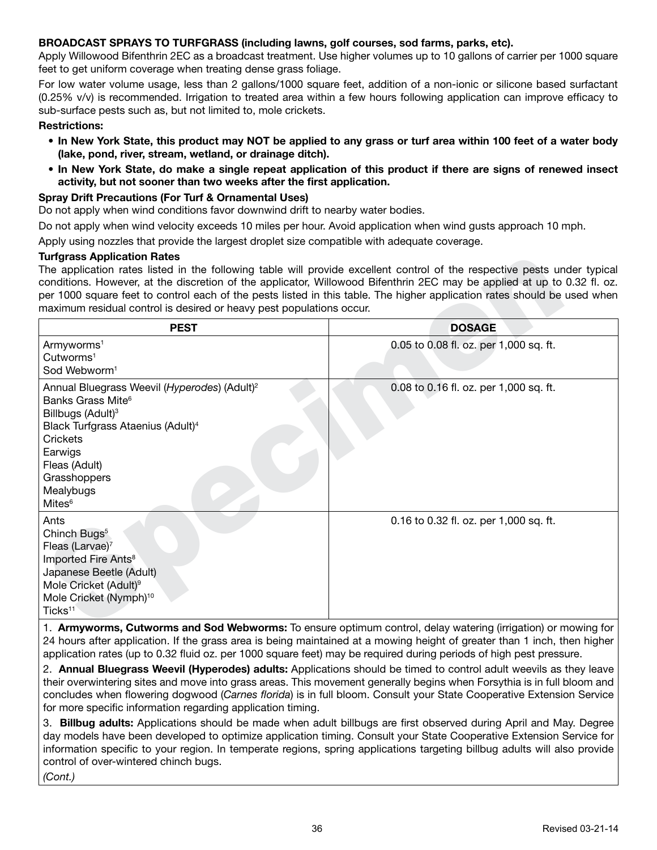## **BROADCAST SPRAYS TO TURFGRASS (including lawns, golf courses, sod farms, parks, etc).**

Apply Willowood Bifenthrin 2EC as a broadcast treatment. Use higher volumes up to 10 gallons of carrier per 1000 square feet to get uniform coverage when treating dense grass foliage.

For low water volume usage, less than 2 gallons/1000 square feet, addition of a non-ionic or silicone based surfactant (0.25% v/v) is recommended. Irrigation to treated area within a few hours following application can improve efficacy to sub-surface pests such as, but not limited to, mole crickets.

#### **Restrictions:**

- **• In New York State, this product may NOT be applied to any grass or turf area within 100 feet of a water body (lake, pond, river, stream, wetland, or drainage ditch).**
- **• In New York State, do make a single repeat application of this product if there are signs of renewed insect activity, but not sooner than two weeks after the first application.**

#### **Spray Drift Precautions (For Turf & Ornamental Uses)**

Do not apply when wind conditions favor downwind drift to nearby water bodies.

Do not apply when wind velocity exceeds 10 miles per hour. Avoid application when wind gusts approach 10 mph.

Apply using nozzles that provide the largest droplet size compatible with adequate coverage.

#### **Turfgrass Application Rates**

| Turfgrass Application Rates                                                                                                                                                                                                                                                                                                                                                                                                                             |                                                                                                          |
|---------------------------------------------------------------------------------------------------------------------------------------------------------------------------------------------------------------------------------------------------------------------------------------------------------------------------------------------------------------------------------------------------------------------------------------------------------|----------------------------------------------------------------------------------------------------------|
| The application rates listed in the following table will provide excellent control of the respective pests under typical<br>conditions. However, at the discretion of the applicator, Willowood Bifenthrin 2EC may be applied at up to 0.32 fl. oz.<br>per 1000 square feet to control each of the pests listed in this table. The higher application rates should be used when<br>maximum residual control is desired or heavy pest populations occur. |                                                                                                          |
| <b>PEST</b>                                                                                                                                                                                                                                                                                                                                                                                                                                             | <b>DOSAGE</b>                                                                                            |
| Armyworms <sup>1</sup><br>Cutworms <sup>1</sup><br>Sod Webworm <sup>1</sup>                                                                                                                                                                                                                                                                                                                                                                             | 0.05 to 0.08 fl. oz. per 1,000 sq. ft.                                                                   |
| Annual Bluegrass Weevil (Hyperodes) (Adult) <sup>2</sup><br>Banks Grass Mite <sup>6</sup><br>Billbugs (Adult) <sup>3</sup><br>Black Turfgrass Ataenius (Adult) <sup>4</sup><br>Crickets<br>Earwigs<br>Fleas (Adult)<br>Grasshoppers<br>Mealybugs<br>Mites <sup>6</sup>                                                                                                                                                                                  | 0.08 to 0.16 fl. oz. per 1,000 sq. ft.                                                                   |
| Ants<br>Chinch Bugs <sup>5</sup><br>Fleas (Larvae) <sup>7</sup><br>Imported Fire Ants <sup>8</sup><br>Japanese Beetle (Adult)<br>Mole Cricket (Adult) <sup>9</sup><br>Mole Cricket (Nymph) <sup>10</sup><br>Ticks <sup>11</sup>                                                                                                                                                                                                                         | 0.16 to 0.32 fl. oz. per 1,000 sq. ft.                                                                   |
|                                                                                                                                                                                                                                                                                                                                                                                                                                                         | Armyworms Cutworms and Sod Webworms: To ensure optimum control delay watering (irrigation) or mowing for |

1. **Armyworms, Cutworms and Sod Webworms:** To ensure optimum control, delay watering (irrigation) or mowing for 24 hours after application. If the grass area is being maintained at a mowing height of greater than 1 inch, then higher application rates (up to 0.32 fluid oz. per 1000 square feet) may be required during periods of high pest pressure.

2. **Annual Bluegrass Weevil (Hyperodes) adults:** Applications should be timed to control adult weevils as they leave their overwintering sites and move into grass areas. This movement generally begins when Forsythia is in full bloom and concludes when flowering dogwood (*Carnes florida*) is in full bloom. Consult your State Cooperative Extension Service for more specific information regarding application timing.

3. **Billbug adults:** Applications should be made when adult billbugs are first observed during April and May. Degree day models have been developed to optimize application timing. Consult your State Cooperative Extension Service for information specific to your region. In temperate regions, spring applications targeting billbug adults will also provide control of over-wintered chinch bugs.

*(Cont.)*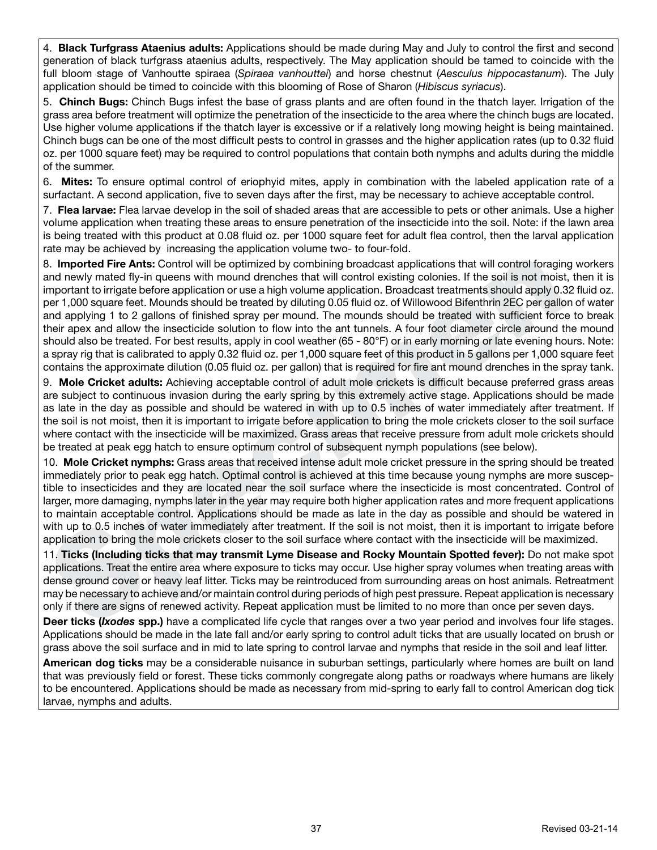4. **Black Turfgrass Ataenius adults:** Applications should be made during May and July to control the first and second generation of black turfgrass ataenius adults, respectively. The May application should be tamed to coincide with the full bloom stage of Vanhoutte spiraea (*Spiraea vanhouttei*) and horse chestnut (*Aesculus hippocastanum*). The July application should be timed to coincide with this blooming of Rose of Sharon (*Hibiscus syriacus*).

5. **Chinch Bugs:** Chinch Bugs infest the base of grass plants and are often found in the thatch layer. Irrigation of the grass area before treatment will optimize the penetration of the insecticide to the area where the chinch bugs are located. Use higher volume applications if the thatch layer is excessive or if a relatively long mowing height is being maintained. Chinch bugs can be one of the most difficult pests to control in grasses and the higher application rates (up to 0.32 fluid oz. per 1000 square feet) may be required to control populations that contain both nymphs and adults during the middle of the summer.

6. **Mites:** To ensure optimal control of eriophyid mites, apply in combination with the labeled application rate of a surfactant. A second application, five to seven days after the first, may be necessary to achieve acceptable control.

7. **Flea larvae:** Flea larvae develop in the soil of shaded areas that are accessible to pets or other animals. Use a higher volume application when treating these areas to ensure penetration of the insecticide into the soil. Note: if the lawn area is being treated with this product at 0.08 fluid oz. per 1000 square feet for adult flea control, then the larval application rate may be achieved by increasing the application volume two- to four-fold.

8. **Imported Fire Ants:** Control will be optimized by combining broadcast applications that will control foragin<br>and newly mated Ty<sup>1</sup>in quenas with mound drenches that will control existing colonise. If the soll is not mo 8. **lmported Fire Ants:** Control will be optimized by combining broadcast applications that will control foraging workers and newly mated fly-in queens with mound drenches that will control existing colonies. If the soil is not moist, then it is important to irrigate before application or use a high volume application. Broadcast treatments should apply 0.32 fluid oz. per 1,000 square feet. Mounds should be treated by diluting 0.05 fluid oz. of Willowood Bifenthrin 2EC per gallon of water and applying 1 to 2 gallons of finished spray per mound. The mounds should be treated with sufficient force to break their apex and allow the insecticide solution to flow into the ant tunnels. A four foot diameter circle around the mound should also be treated. For best results, apply in cool weather (65 - 80°F) or in early morning or late evening hours. Note: a spray rig that is calibrated to apply 0.32 fluid oz. per 1,000 square feet of this product in 5 gallons per 1,000 square feet contains the approximate dilution (0.05 fluid oz. per gallon) that is required for fire ant mound drenches in the spray tank.

9. **Mole Cricket adults:** Achieving acceptable control of adult mole crickets is difficult because preferred grass areas are subject to continuous invasion during the early spring by this extremely active stage. Applications should be made as late in the day as possible and should be watered in with up to 0.5 inches of water immediately after treatment. If the soil is not moist, then it is important to irrigate before application to bring the mole crickets closer to the soil surface where contact with the insecticide will be maximized. Grass areas that receive pressure from adult mole crickets should be treated at peak egg hatch to ensure optimum control of subsequent nymph populations (see below).

10. **Mole Cricket nymphs:** Grass areas that received intense adult mole cricket pressure in the spring should be treated immediately prior to peak egg hatch. Optimal control is achieved at this time because young nymphs are more susceptible to insecticides and they are located near the soil surface where the insecticide is most concentrated. Control of larger, more damaging, nymphs later in the year may require both higher application rates and more frequent applications to maintain acceptable control. Applications should be made as late in the day as possible and should be watered in with up to 0.5 inches of water immediately after treatment. If the soil is not moist, then it is important to irrigate before application to bring the mole crickets closer to the soil surface where contact with the insecticide will be maximized.

11. **Ticks (Including ticks that may transmit Lyme Disease and Rocky Mountain Spotted fever):** Do not make spot applications. Treat the entire area where exposure to ticks may occur. Use higher spray volumes when treating areas with dense ground cover or heavy leaf litter. Ticks may be reintroduced from surrounding areas on host animals. Retreatment may be necessary to achieve and/or maintain control during periods of high pest pressure. Repeat application is necessary only if there are signs of renewed activity. Repeat application must be limited to no more than once per seven days.

**Deer ticks (***Ixodes* **spp.)** have a complicated life cycle that ranges over a two year period and involves four life stages. Applications should be made in the late fall and/or early spring to control adult ticks that are usually located on brush or grass above the soil surface and in mid to late spring to control larvae and nymphs that reside in the soil and leaf litter.

**American dog ticks** may be a considerable nuisance in suburban settings, particularly where homes are built on land that was previously field or forest. These ticks commonly congregate along paths or roadways where humans are likely to be encountered. Applications should be made as necessary from mid-spring to early fall to control American dog tick larvae, nymphs and adults.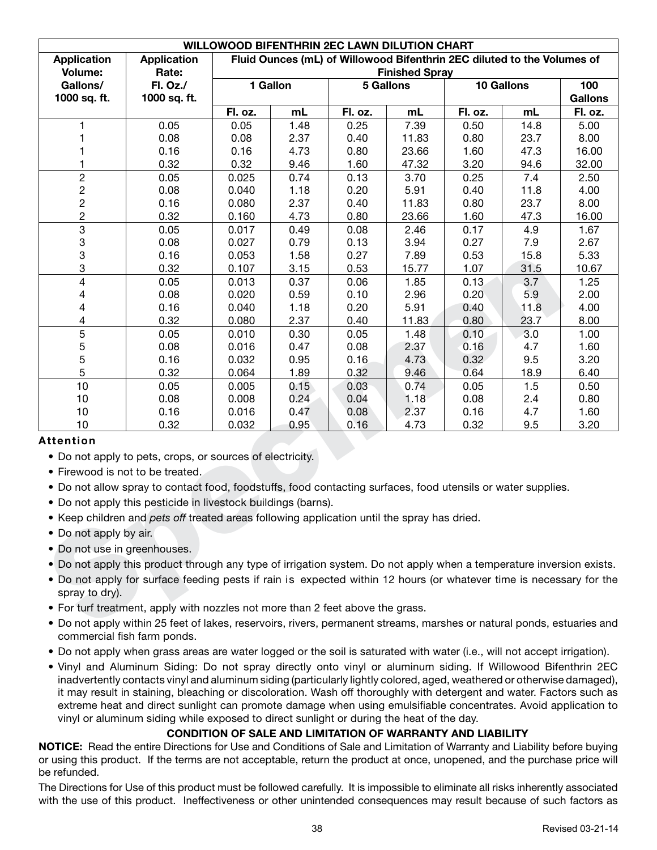| WILLOWOOD BIFENTHRIN 2EC LAWN DILUTION CHART                                                                                          |                                                                                                              |                                                                         |      |            |                |         |      |         |
|---------------------------------------------------------------------------------------------------------------------------------------|--------------------------------------------------------------------------------------------------------------|-------------------------------------------------------------------------|------|------------|----------------|---------|------|---------|
| <b>Application</b>                                                                                                                    | <b>Application</b>                                                                                           | Fluid Ounces (mL) of Willowood Bifenthrin 2EC diluted to the Volumes of |      |            |                |         |      |         |
| Volume:                                                                                                                               | Rate:                                                                                                        | <b>Finished Spray</b>                                                   |      |            |                |         |      |         |
| Gallons/                                                                                                                              | Fl. Oz./                                                                                                     | 1 Gallon<br><b>5 Gallons</b>                                            |      | 10 Gallons | 100            |         |      |         |
| 1000 sq. ft.                                                                                                                          | 1000 sq. ft.                                                                                                 |                                                                         |      |            | <b>Gallons</b> |         |      |         |
|                                                                                                                                       |                                                                                                              | Fl. oz.                                                                 | mL   | Fl. oz.    | mL             | Fl. oz. | mL   | Fl. oz. |
|                                                                                                                                       | 0.05                                                                                                         | 0.05                                                                    | 1.48 | 0.25       | 7.39           | 0.50    | 14.8 | 5.00    |
|                                                                                                                                       | 0.08                                                                                                         | 0.08                                                                    | 2.37 | 0.40       | 11.83          | 0.80    | 23.7 | 8.00    |
|                                                                                                                                       | 0.16                                                                                                         | 0.16                                                                    | 4.73 | 0.80       | 23.66          | 1.60    | 47.3 | 16.00   |
| 1                                                                                                                                     | 0.32                                                                                                         | 0.32                                                                    | 9.46 | 1.60       | 47.32          | 3.20    | 94.6 | 32.00   |
| $\boldsymbol{2}$                                                                                                                      | 0.05                                                                                                         | 0.025                                                                   | 0.74 | 0.13       | 3.70           | 0.25    | 7.4  | 2.50    |
| $\overline{c}$                                                                                                                        | 0.08                                                                                                         | 0.040                                                                   | 1.18 | 0.20       | 5.91           | 0.40    | 11.8 | 4.00    |
| $\boldsymbol{2}$                                                                                                                      | 0.16                                                                                                         | 0.080                                                                   | 2.37 | 0.40       | 11.83          | 0.80    | 23.7 | 8.00    |
| $\overline{c}$                                                                                                                        | 0.32                                                                                                         | 0.160                                                                   | 4.73 | 0.80       | 23.66          | 1.60    | 47.3 | 16.00   |
| $\overline{3}$                                                                                                                        | 0.05                                                                                                         | 0.017                                                                   | 0.49 | 0.08       | 2.46           | 0.17    | 4.9  | 1.67    |
| $\ensuremath{\mathsf{3}}$                                                                                                             | 0.08                                                                                                         | 0.027                                                                   | 0.79 | 0.13       | 3.94           | 0.27    | 7.9  | 2.67    |
| 3                                                                                                                                     | 0.16                                                                                                         | 0.053                                                                   | 1.58 | 0.27       | 7.89           | 0.53    | 15.8 | 5.33    |
| 3                                                                                                                                     | 0.32                                                                                                         | 0.107                                                                   | 3.15 | 0.53       | 15.77          | 1.07    | 31.5 | 10.67   |
| $\overline{\mathcal{L}}$                                                                                                              | 0.05                                                                                                         | 0.013                                                                   | 0.37 | 0.06       | 1.85           | 0.13    | 3.7  | 1.25    |
| 4                                                                                                                                     | 0.08                                                                                                         | 0.020                                                                   | 0.59 | 0.10       | 2.96           | 0.20    | 5.9  | 2.00    |
| 4                                                                                                                                     | 0.16                                                                                                         | 0.040                                                                   | 1.18 | 0.20       | 5.91           | 0.40    | 11.8 | 4.00    |
| 4                                                                                                                                     | 0.32                                                                                                         | 0.080                                                                   | 2.37 | 0.40       | 11.83          | 0.80    | 23.7 | 8.00    |
| 5                                                                                                                                     | 0.05                                                                                                         | 0.010                                                                   | 0.30 | 0.05       | 1.48           | 0.10    | 3.0  | 1.00    |
| 5                                                                                                                                     | 0.08                                                                                                         | 0.016                                                                   | 0.47 | 0.08       | 2.37           | 0.16    | 4.7  | 1.60    |
| 5                                                                                                                                     | 0.16                                                                                                         | 0.032                                                                   | 0.95 | 0.16       | 4.73           | 0.32    | 9.5  | 3.20    |
| 5                                                                                                                                     | 0.32                                                                                                         | 0.064                                                                   | 1.89 | 0.32       | 9.46           | 0.64    | 18.9 | 6.40    |
| 10                                                                                                                                    | 0.05                                                                                                         | 0.005                                                                   | 0.15 | 0.03       | 0.74           | 0.05    | 1.5  | 0.50    |
| 10                                                                                                                                    | 0.08                                                                                                         | 0.008                                                                   | 0.24 | 0.04       | 1.18           | 0.08    | 2.4  | 0.80    |
| 10                                                                                                                                    | 0.16                                                                                                         | 0.016                                                                   | 0.47 | 0.08       | 2.37           | 0.16    | 4.7  | 1.60    |
| 10                                                                                                                                    | 0.32                                                                                                         | 0.032                                                                   | 0.95 | 0.16       | 4.73           | 0.32    | 9.5  | 3.20    |
| <b>Attention</b>                                                                                                                      |                                                                                                              |                                                                         |      |            |                |         |      |         |
|                                                                                                                                       | • Do not apply to pets, crops, or sources of electricity.                                                    |                                                                         |      |            |                |         |      |         |
|                                                                                                                                       | • Firewood is not to be treated.                                                                             |                                                                         |      |            |                |         |      |         |
|                                                                                                                                       |                                                                                                              |                                                                         |      |            |                |         |      |         |
|                                                                                                                                       | . Do not allow spray to contact food, foodstuffs, food contacting surfaces, food utensils or water supplies. |                                                                         |      |            |                |         |      |         |
|                                                                                                                                       | • Do not apply this pesticide in livestock buildings (barns).                                                |                                                                         |      |            |                |         |      |         |
|                                                                                                                                       | • Keep children and pets off treated areas following application until the spray has dried.                  |                                                                         |      |            |                |         |      |         |
| • Do not apply by air.                                                                                                                |                                                                                                              |                                                                         |      |            |                |         |      |         |
|                                                                                                                                       | • Do not use in greenhouses.                                                                                 |                                                                         |      |            |                |         |      |         |
| • Do not apply this product through any type of irrigation system. Do not apply when a temperature inversion exists.                  |                                                                                                              |                                                                         |      |            |                |         |      |         |
|                                                                                                                                       |                                                                                                              |                                                                         |      |            |                |         |      |         |
| • Do not apply for surface feeding pests if rain is expected within 12 hours (or whatever time is necessary for the<br>spray to dry). |                                                                                                              |                                                                         |      |            |                |         |      |         |
|                                                                                                                                       |                                                                                                              |                                                                         |      |            |                |         |      |         |
| • For turf treatment, apply with nozzles not more than 2 feet above the grass.                                                        |                                                                                                              |                                                                         |      |            |                |         |      |         |
| • Do not apply within 25 feet of lakes, reservoirs, rivers, permanent streams, marshes or natural ponds, estuaries and                |                                                                                                              |                                                                         |      |            |                |         |      |         |

# **Attention**

- Do not apply to pets, crops, or sources of electricity.
- Firewood is not to be treated.
- Do not allow spray to contact food, foodstuffs, food contacting surfaces, food utensils or water supplies.
- Do not apply this pesticide in livestock buildings (barns).
- Keep children and *pets off* treated areas following application until the spray has dried.
- Do not apply by air.
- Do not use in greenhouses.
- Do not apply this product through any type of irrigation system. Do not apply when a temperature inversion exists.
- Do not apply for surface feeding pests if rain is expected within 12 hours (or whatever time is necessary for the spray to dry).
- For turf treatment, apply with nozzles not more than 2 feet above the grass.
- Do not apply within 25 feet of lakes, reservoirs, rivers, permanent streams, marshes or natural ponds, estuaries and commercial fish farm ponds.
- Do not apply when grass areas are water logged or the soil is saturated with water (i.e., will not accept irrigation).
- Vinyl and Aluminum Siding: Do not spray directly onto vinyl or aluminum siding. If Willowood Bifenthrin 2EC inadvertently contacts vinyl and aluminum siding (particularly lightly colored, aged, weathered or otherwise damaged), it may result in staining, bleaching or discoloration. Wash off thoroughly with detergent and water. Factors such as extreme heat and direct sunlight can promote damage when using emulsifiable concentrates. Avoid application to vinyl or aluminum siding while exposed to direct sunlight or during the heat of the day.

# **CONDITION OF SALE AND LIMITATION OF WARRANTY AND LIABILITY**

**NOTICE:** Read the entire Directions for Use and Conditions of Sale and Limitation of Warranty and Liability before buying or using this product. If the terms are not acceptable, return the product at once, unopened, and the purchase price will be refunded.

The Directions for Use of this product must be followed carefully. It is impossible to eliminate all risks inherently associated with the use of this product. Ineffectiveness or other unintended consequences may result because of such factors as